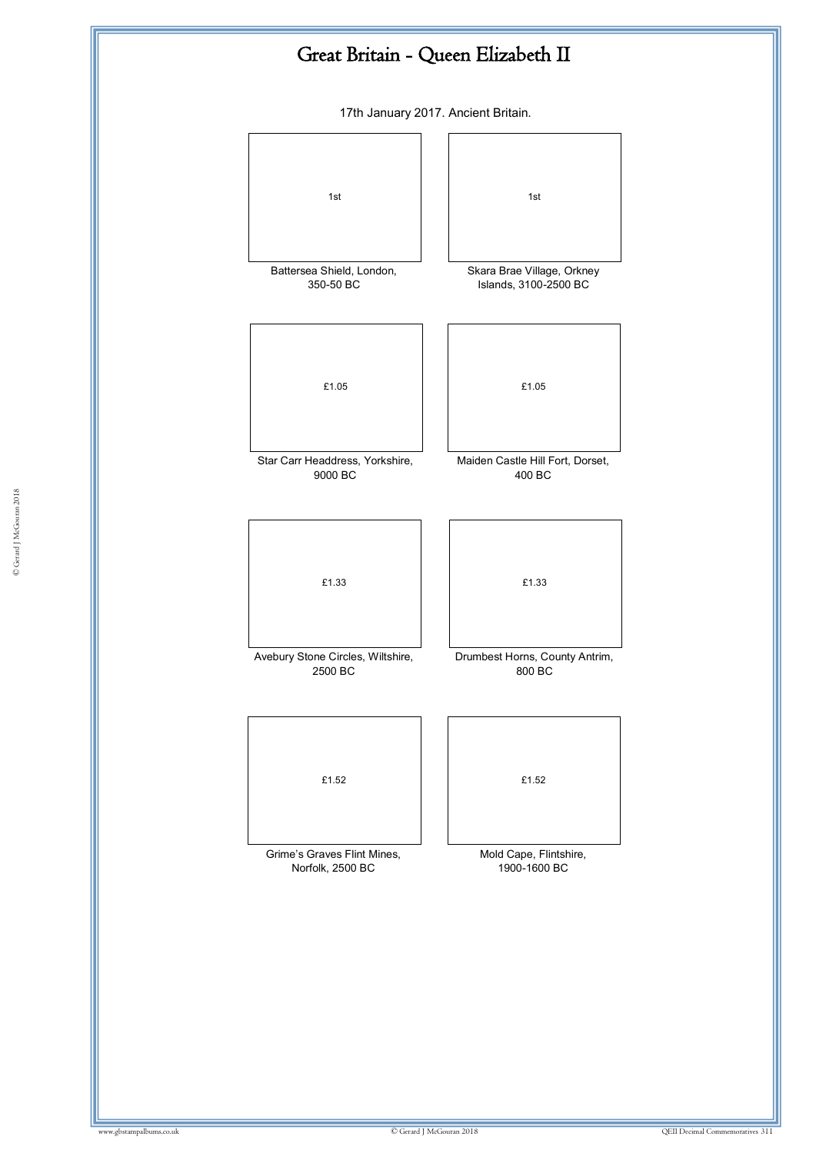

17th January 2017. Ancient Britain.

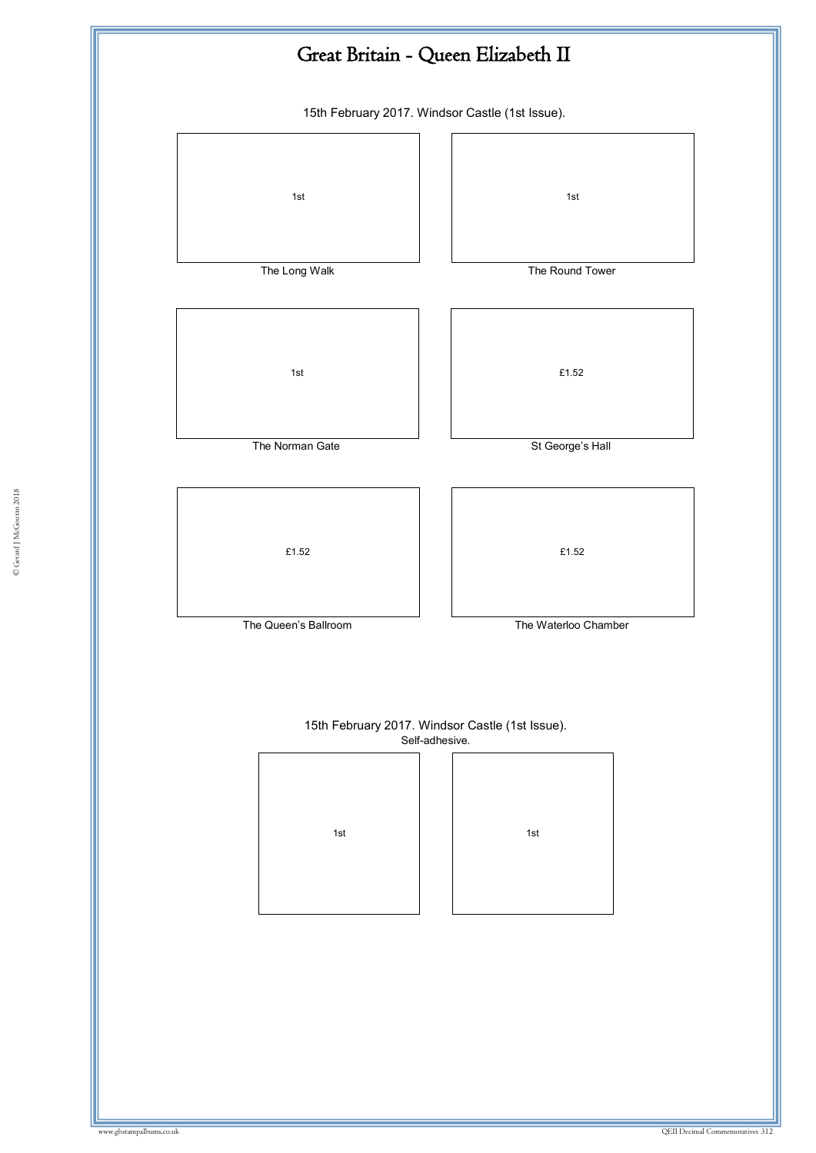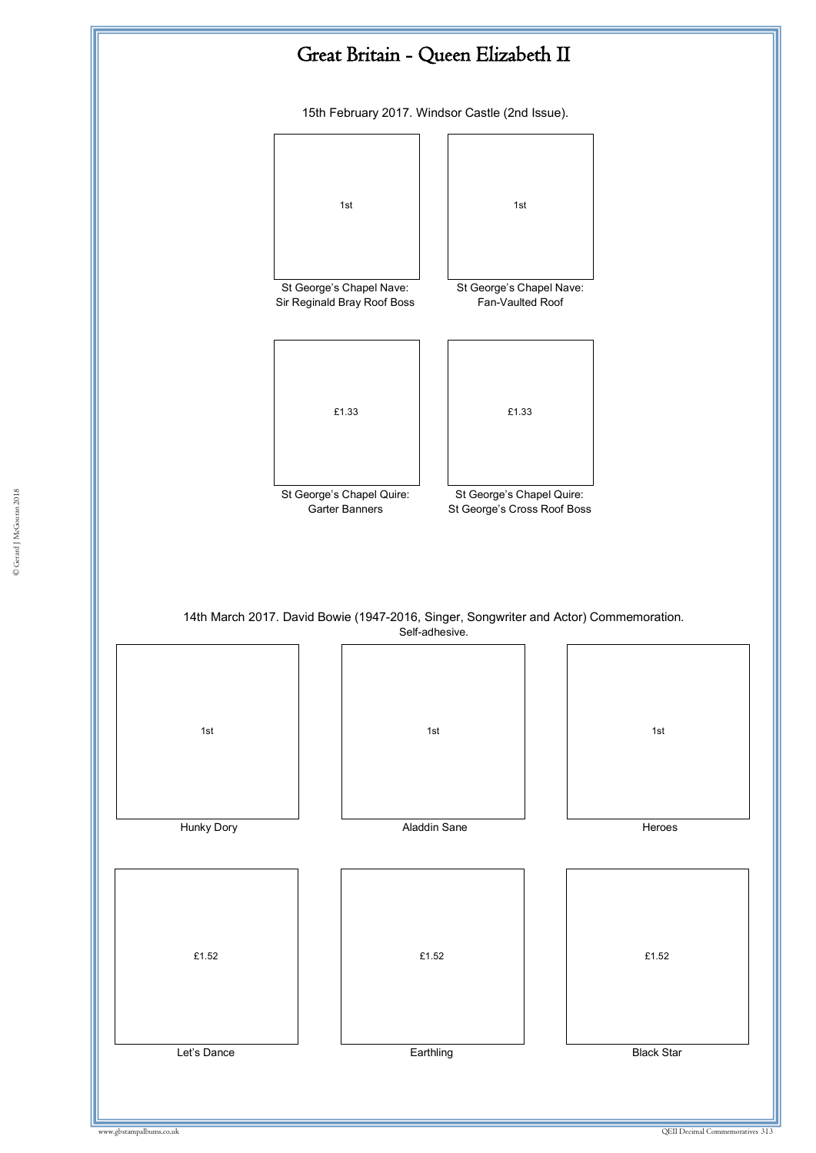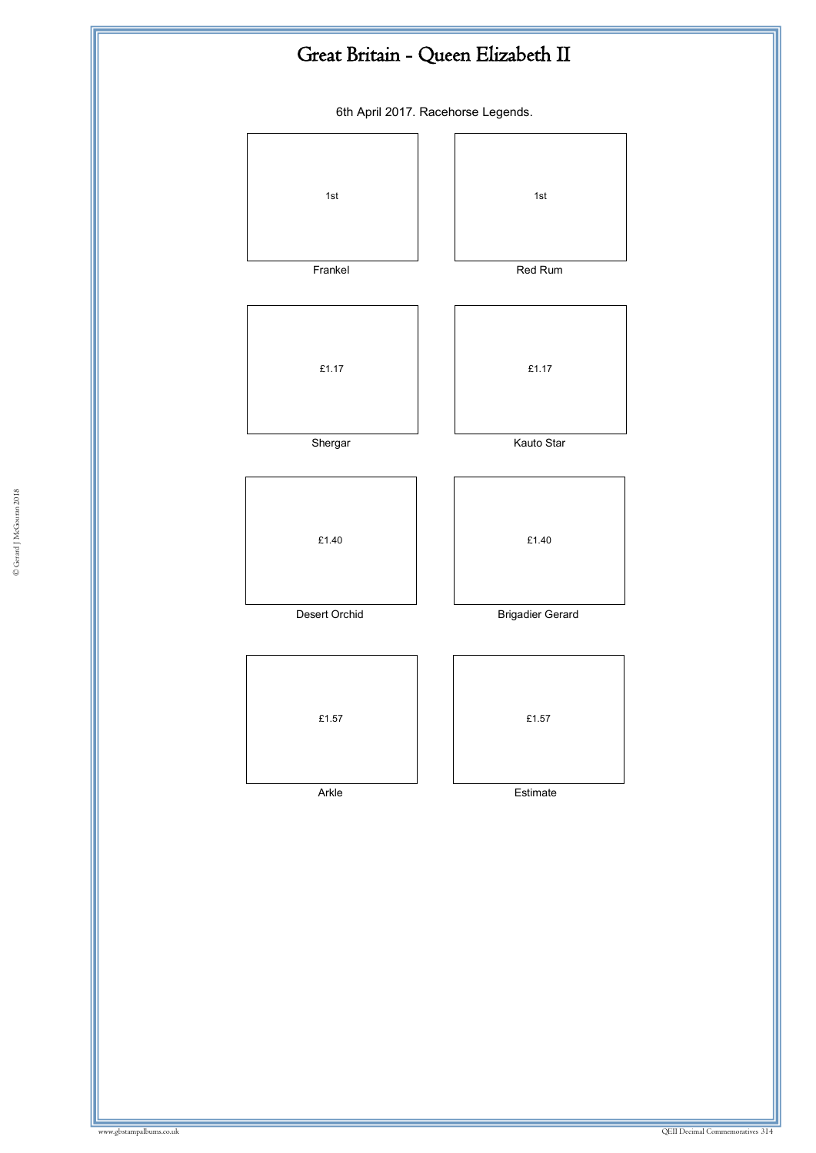## Great Britain - Queen Elizabeth II

6th April 2017. Racehorse Legends.

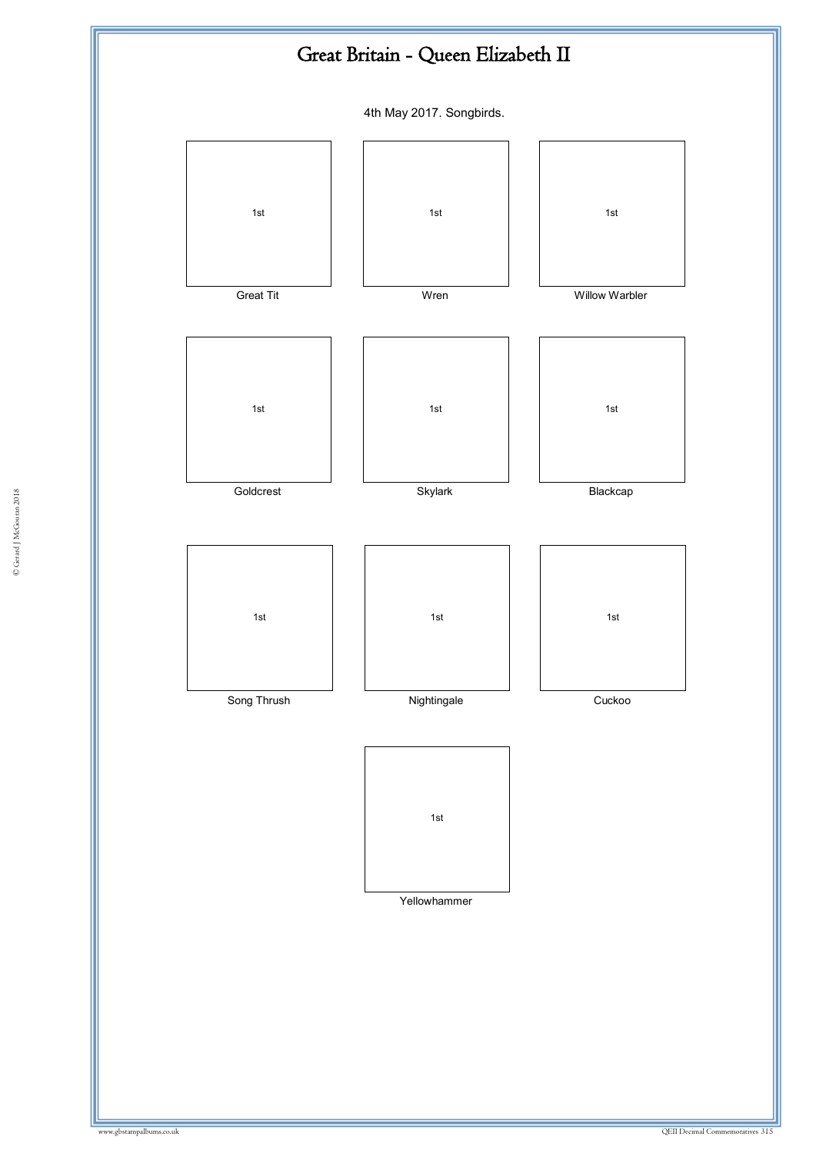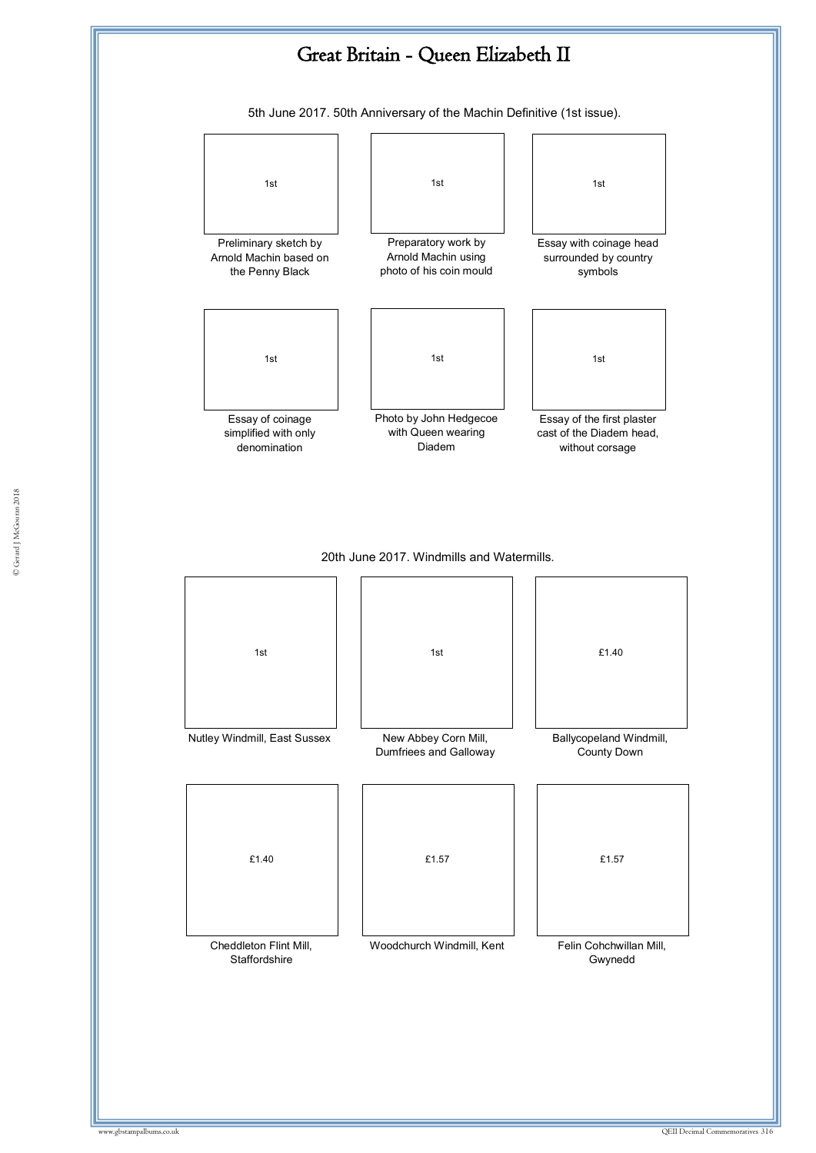

5th June 2017. 50th Anniversary of the Machin Definitive (1st issue).

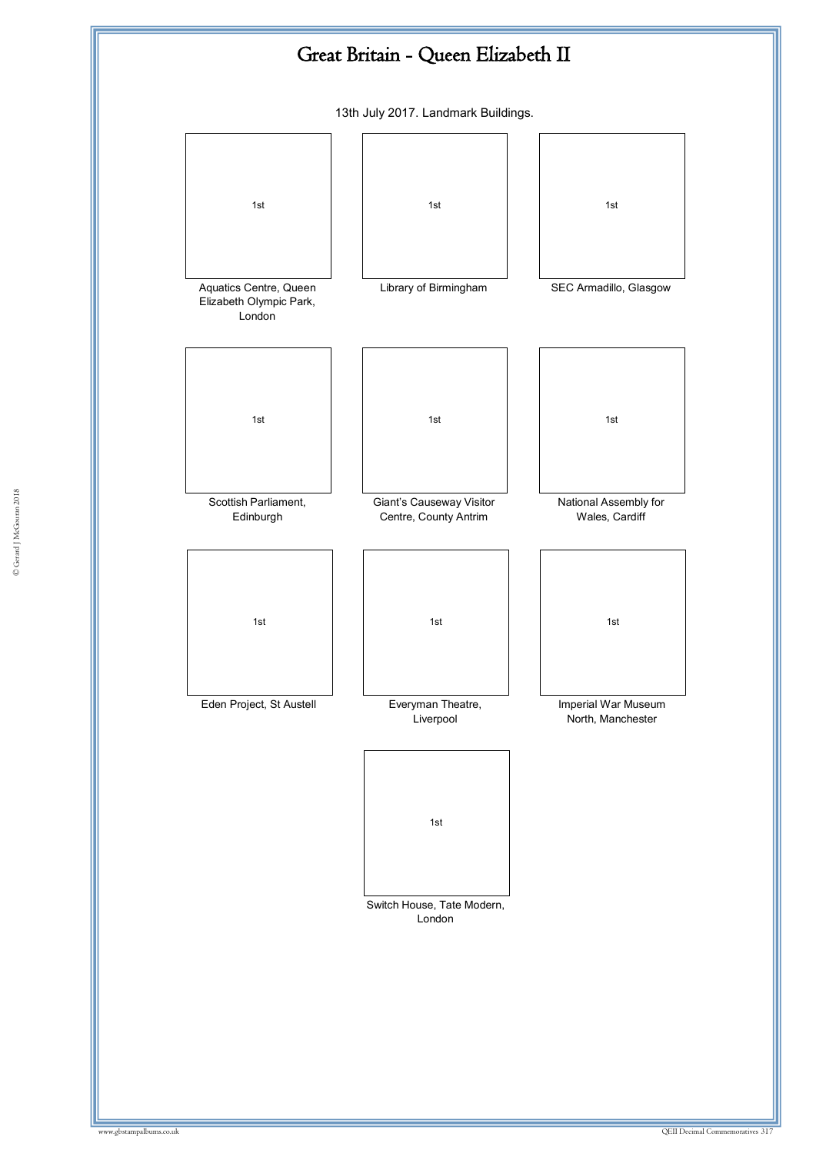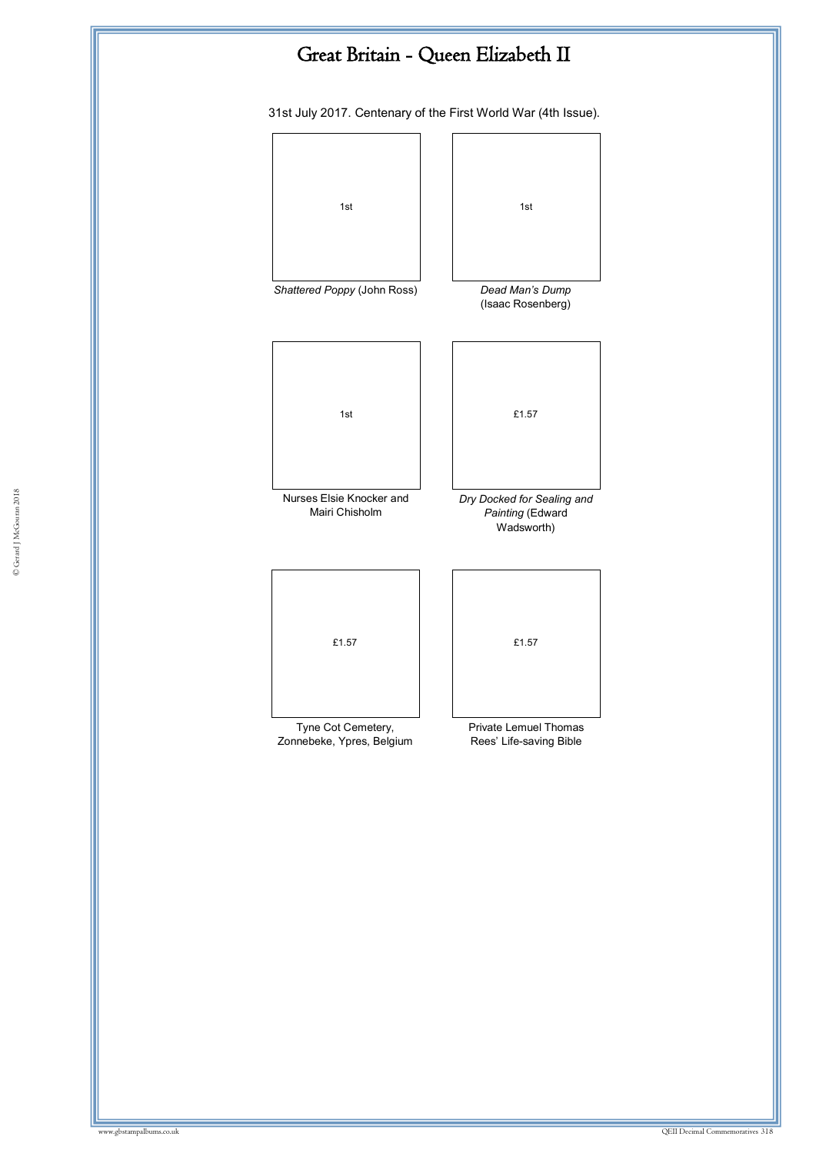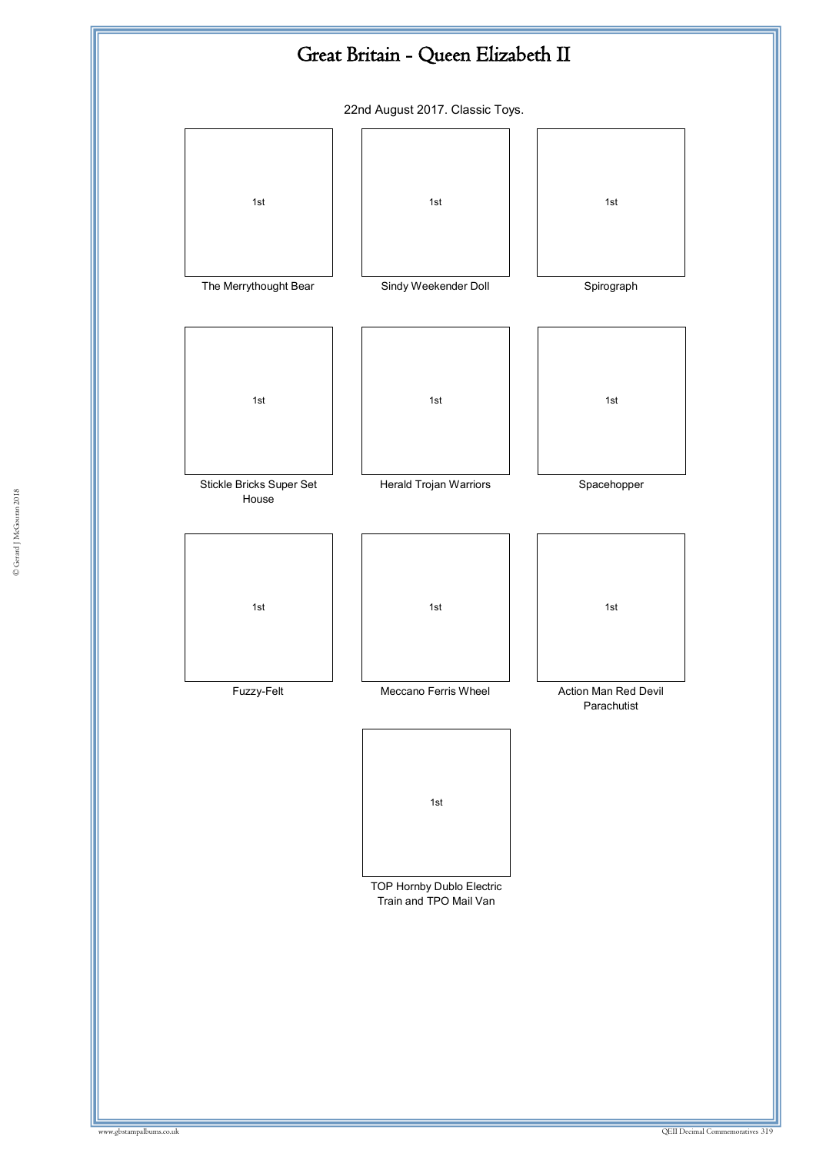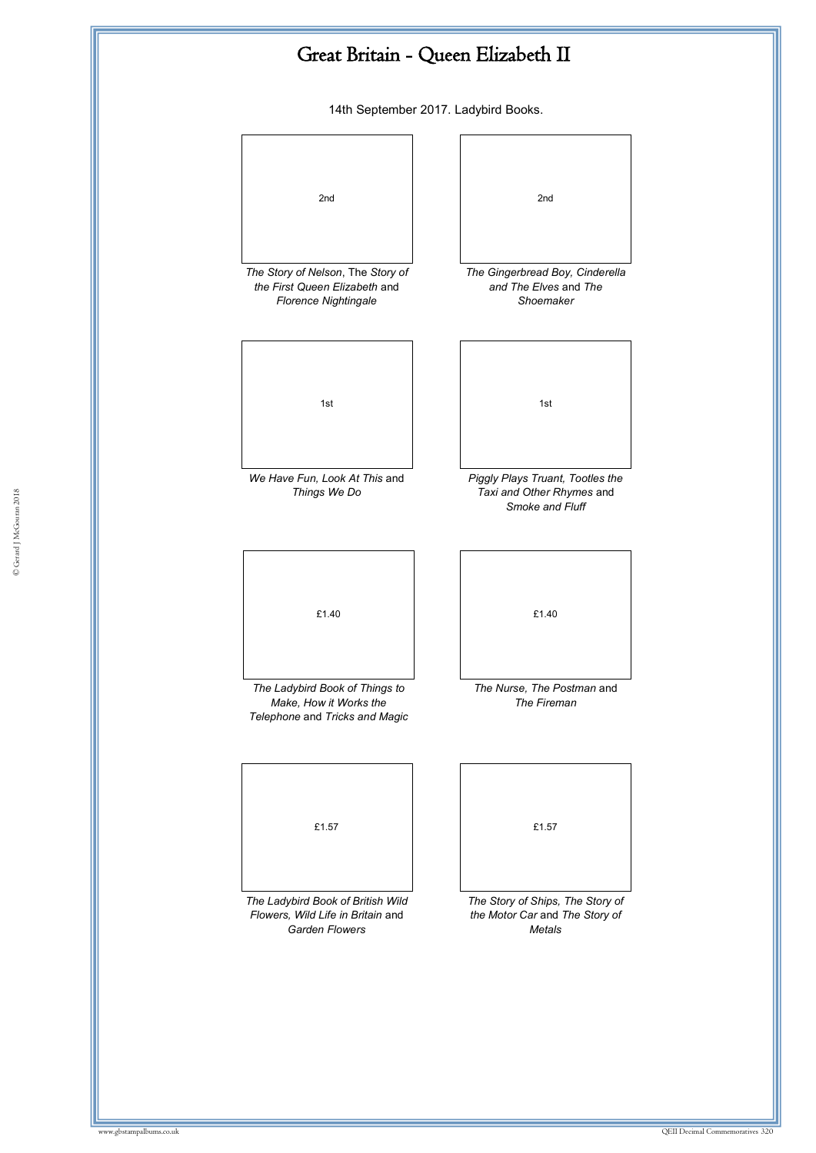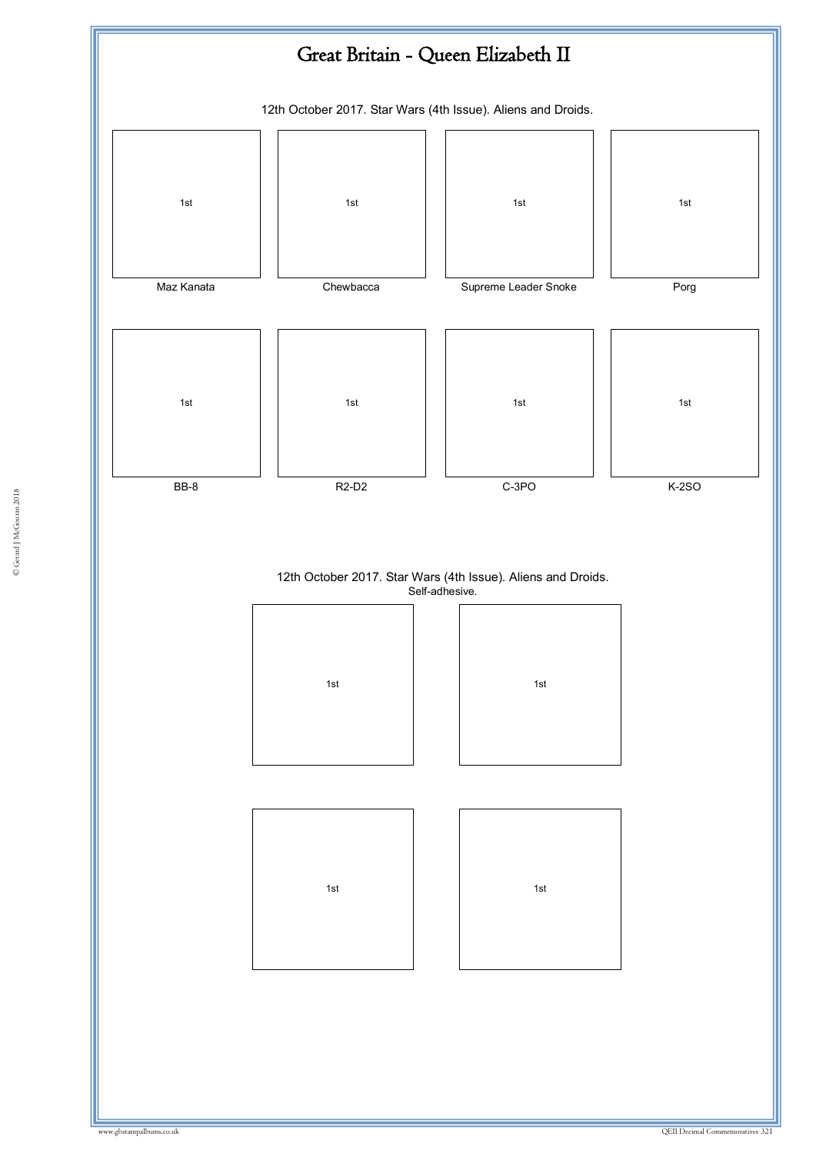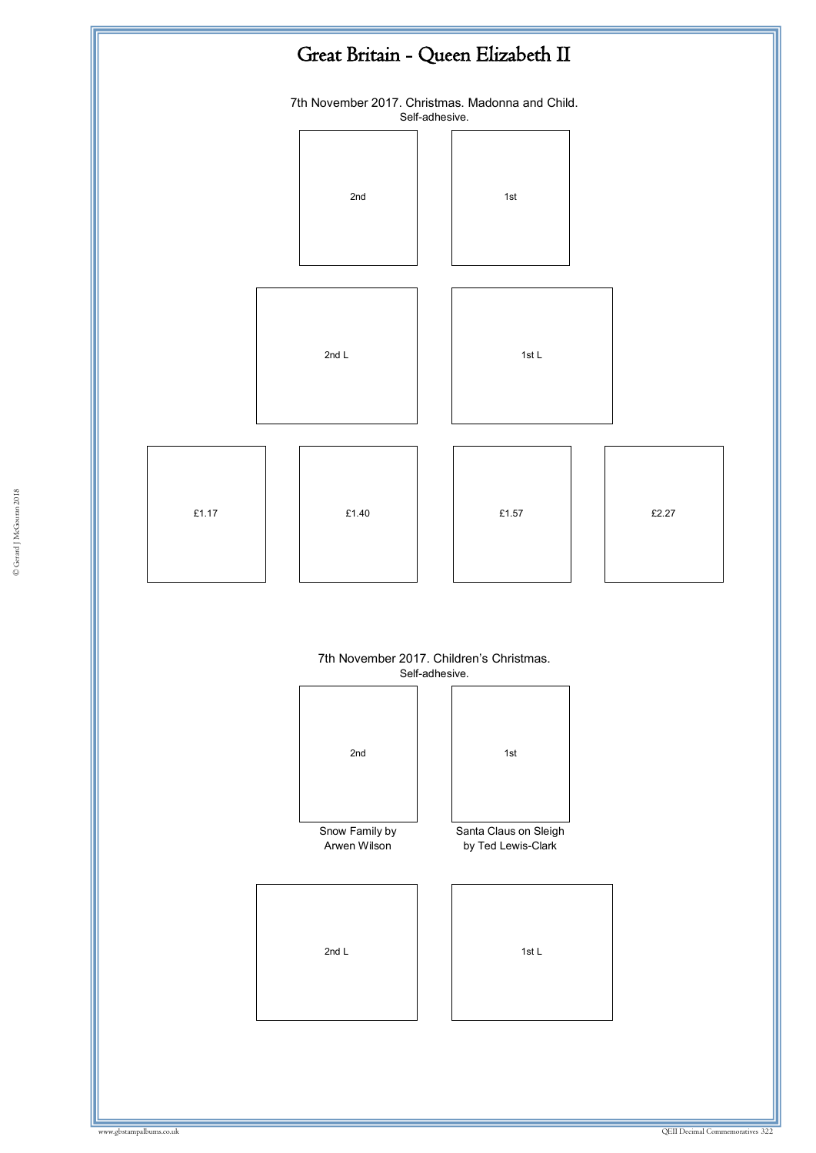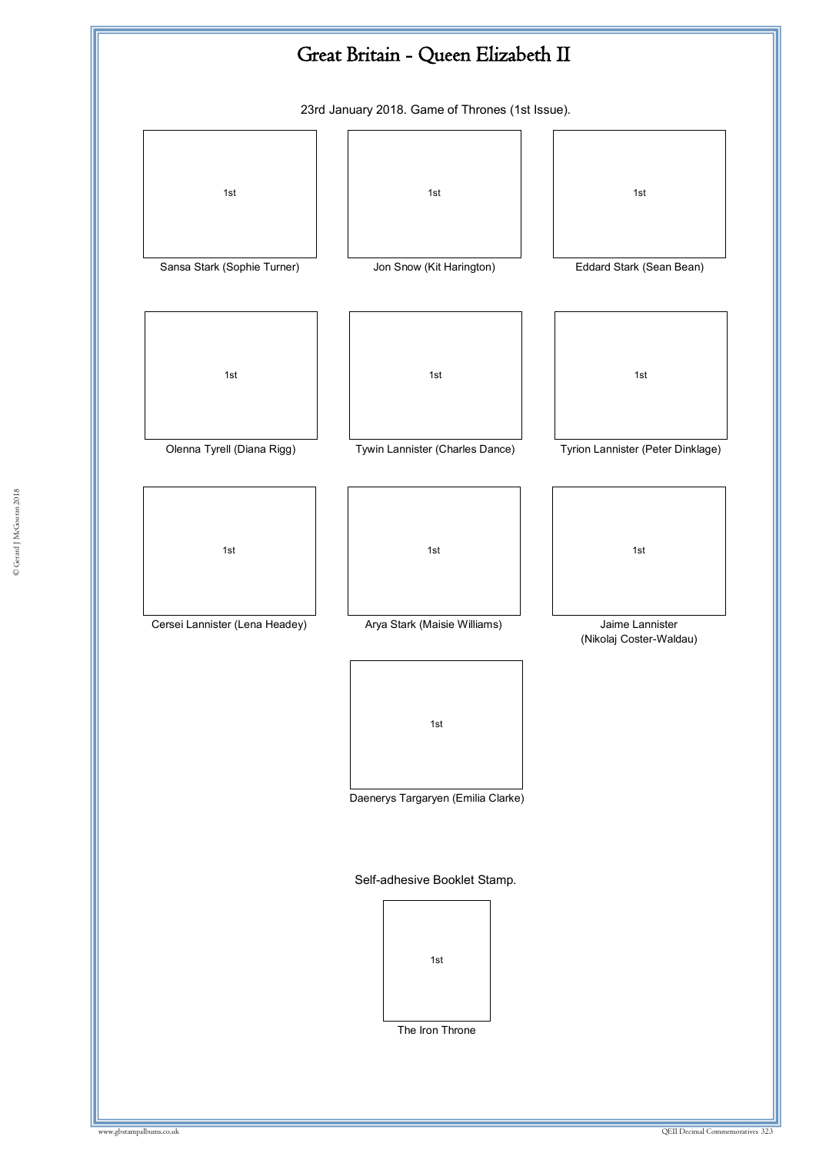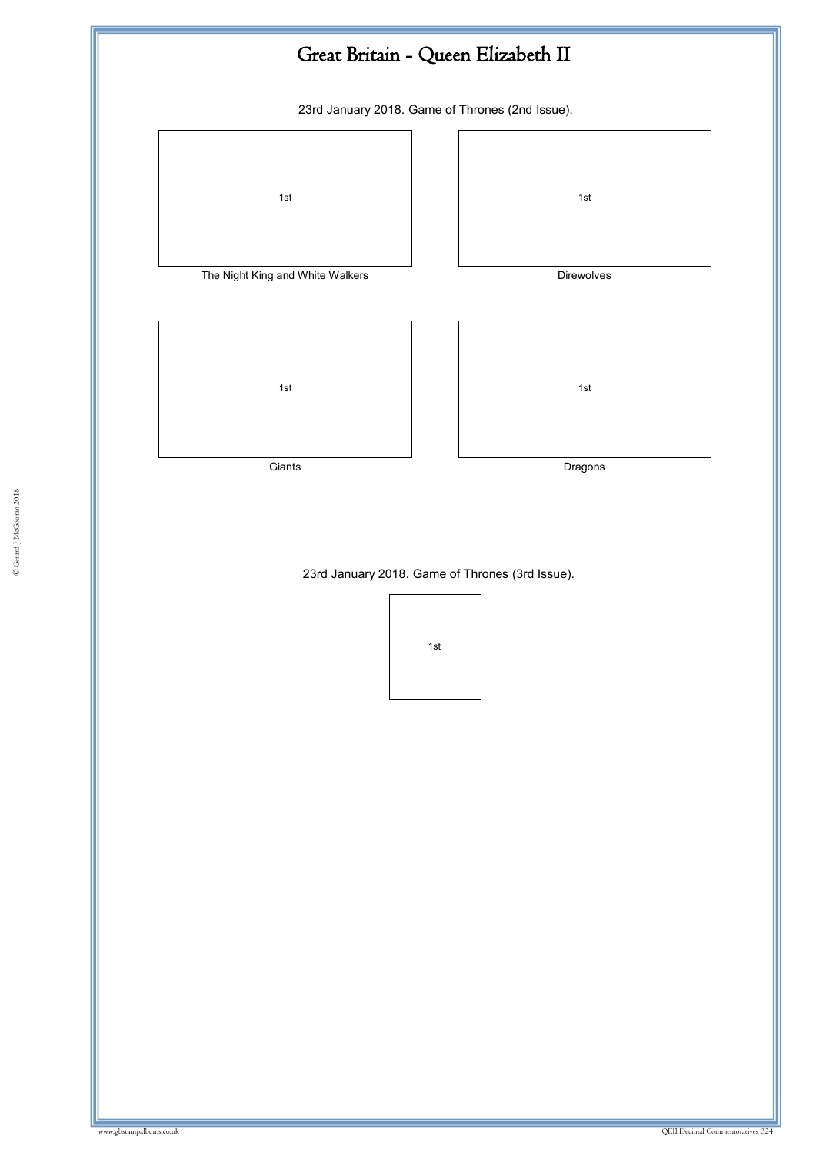

23rd January 2018. Game of Thrones (3rd Issue).

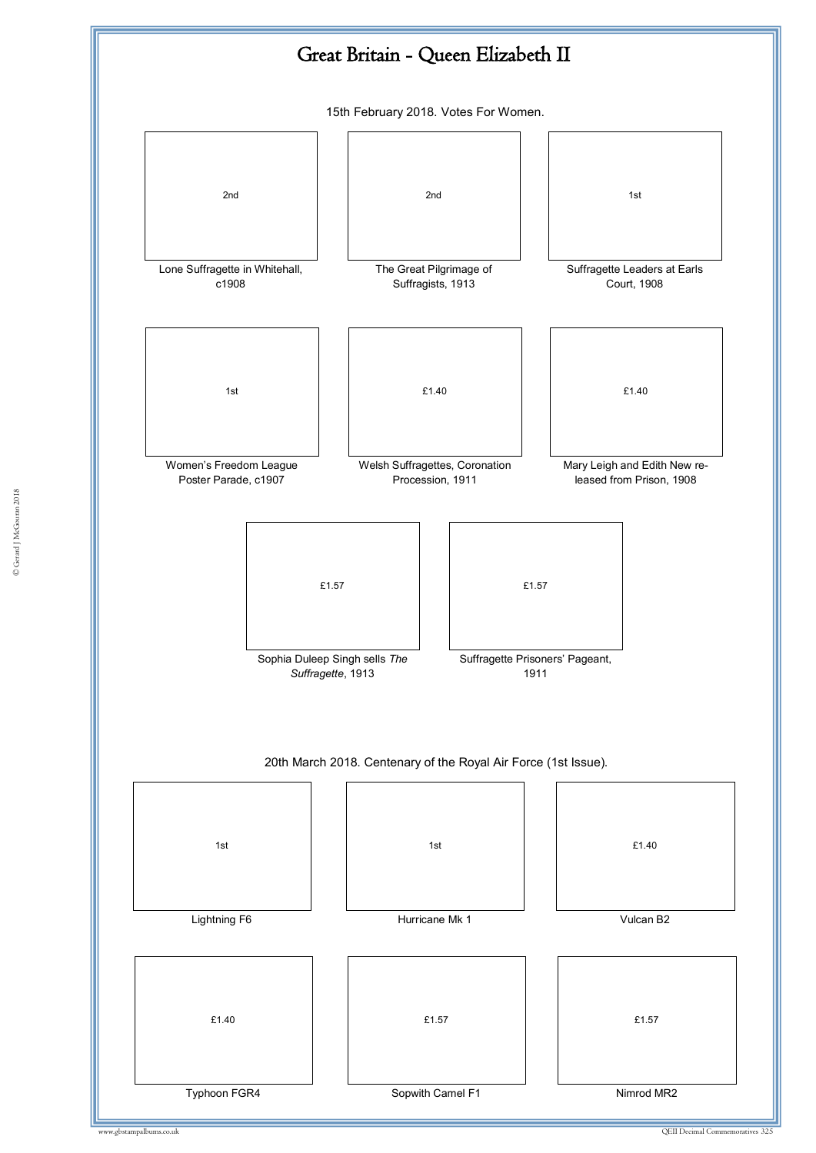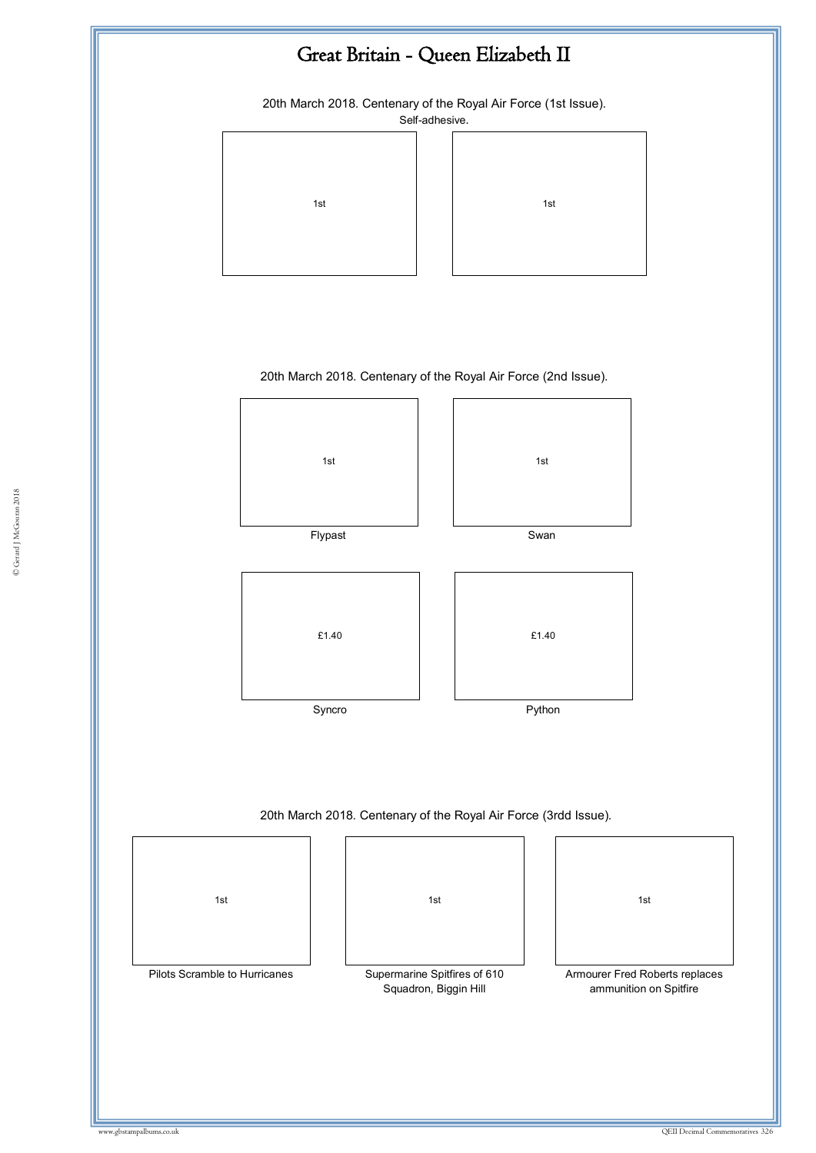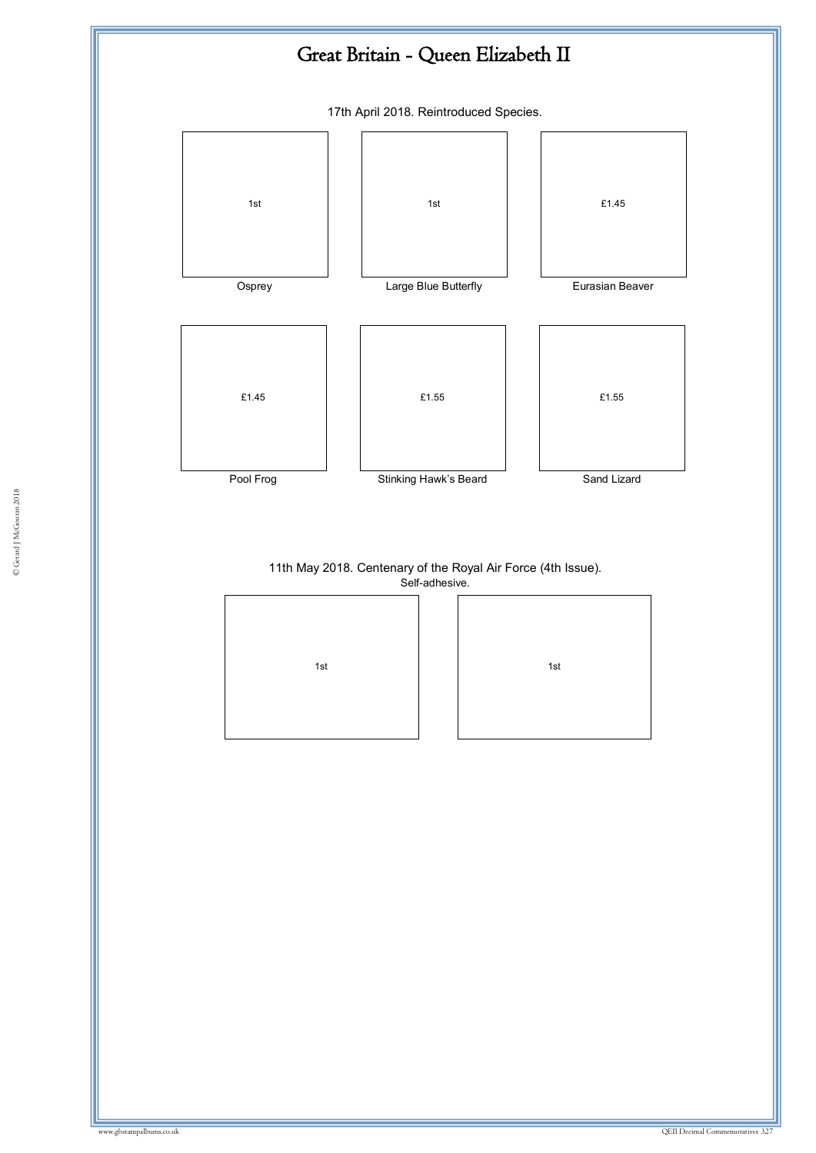

Self-adhesive.

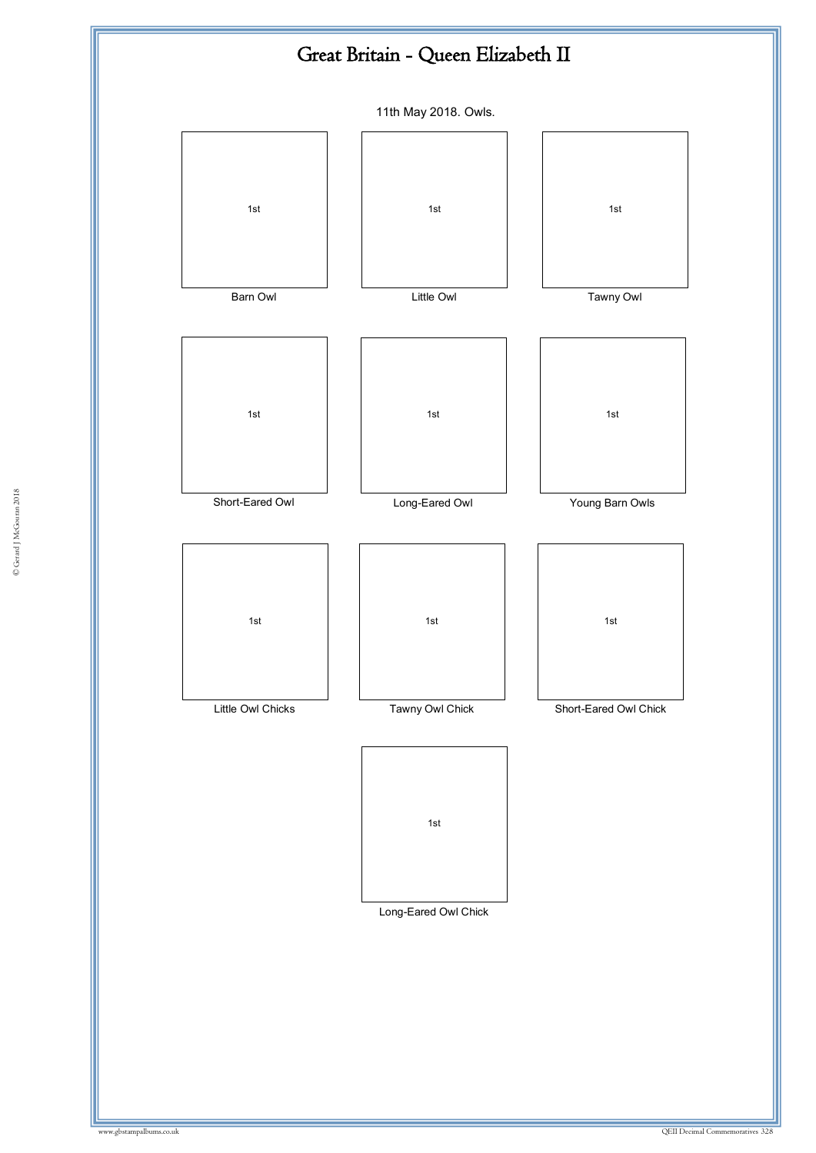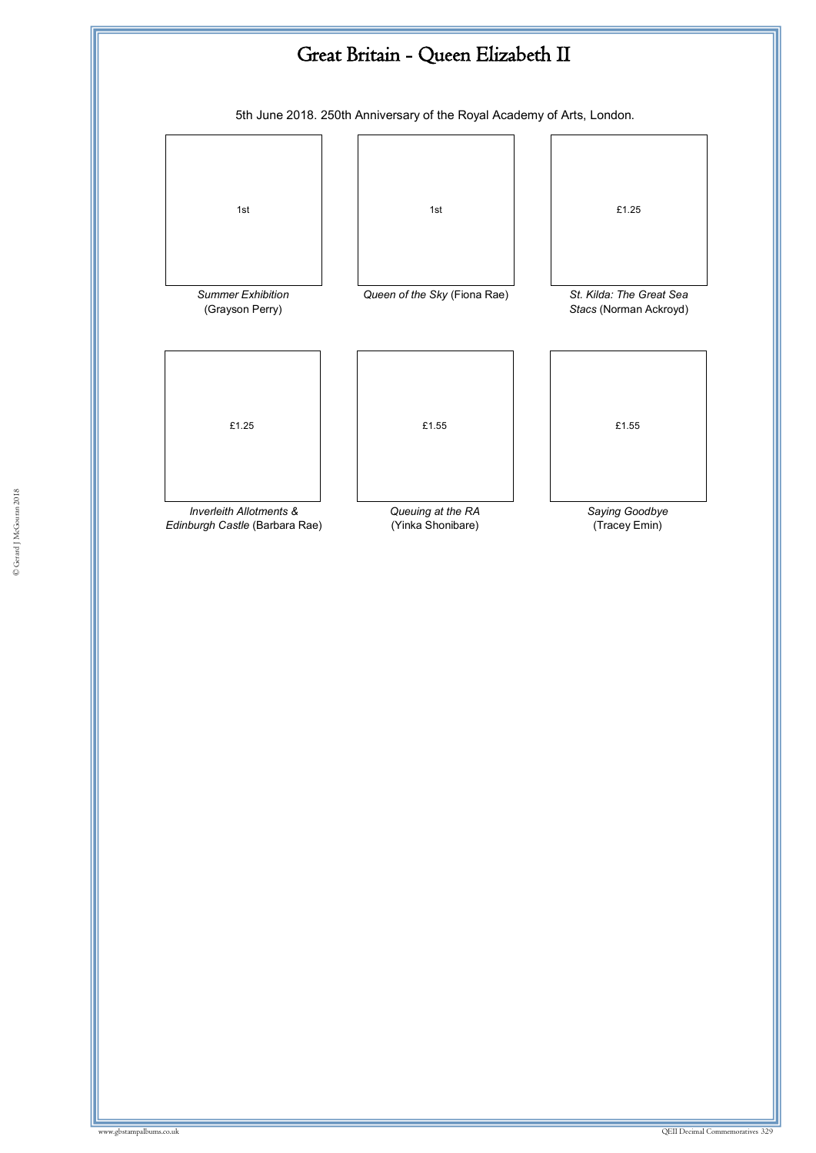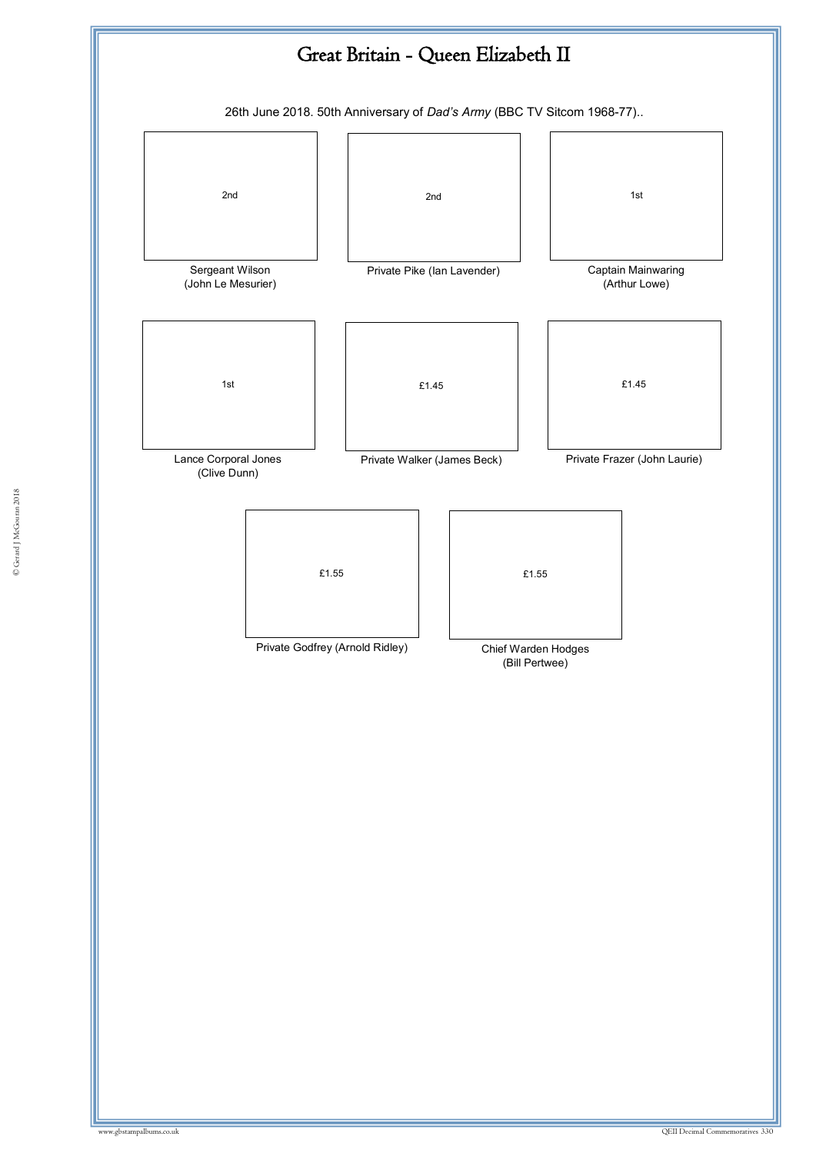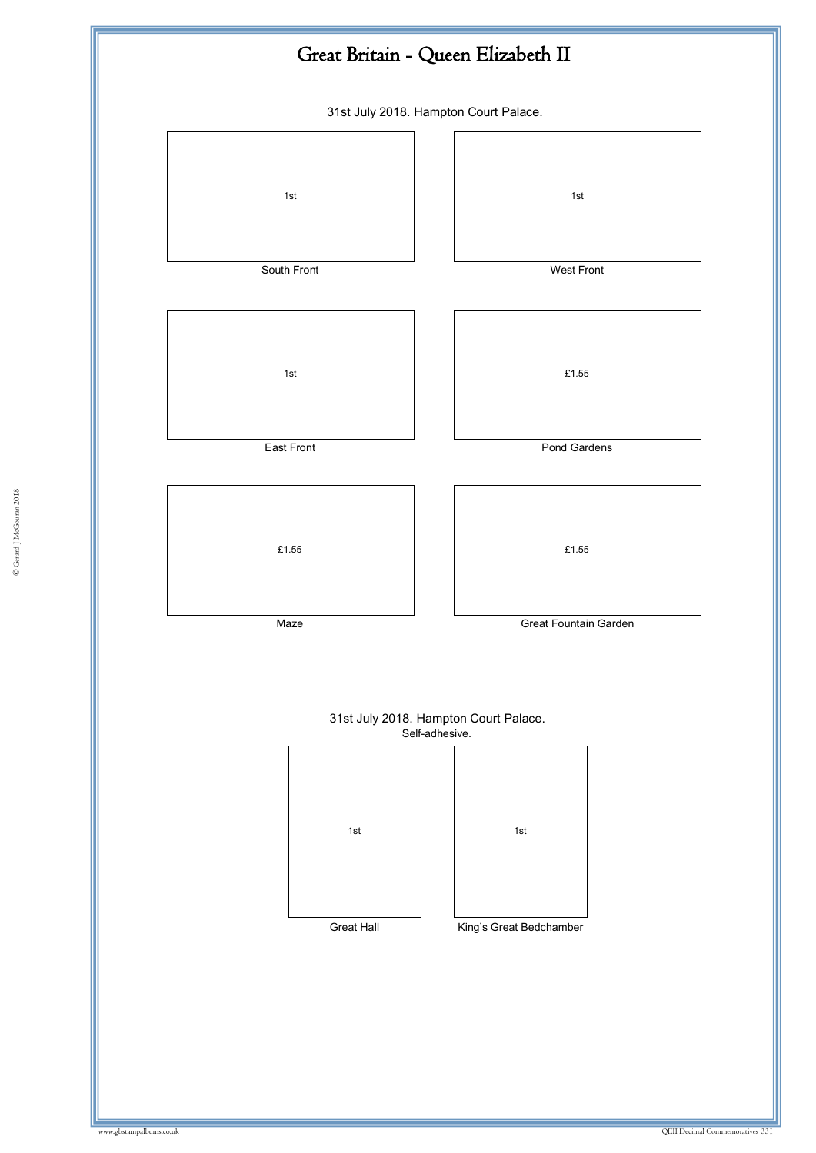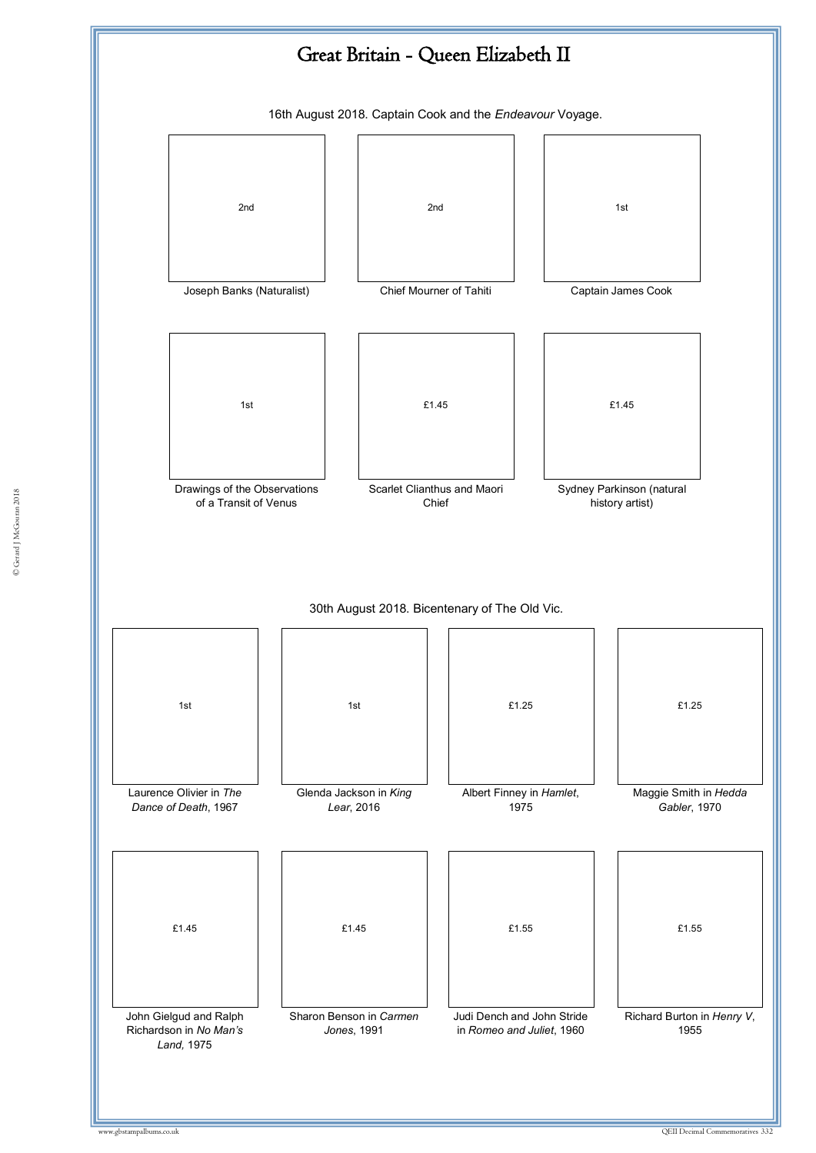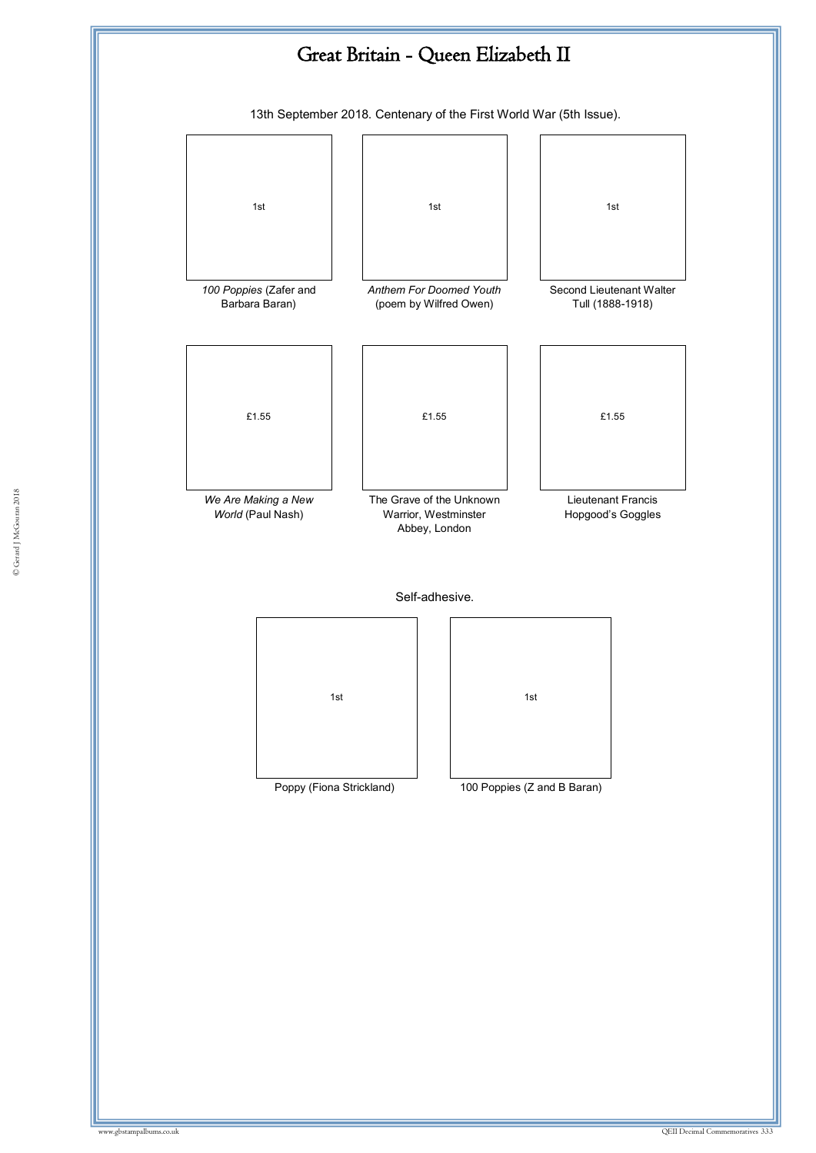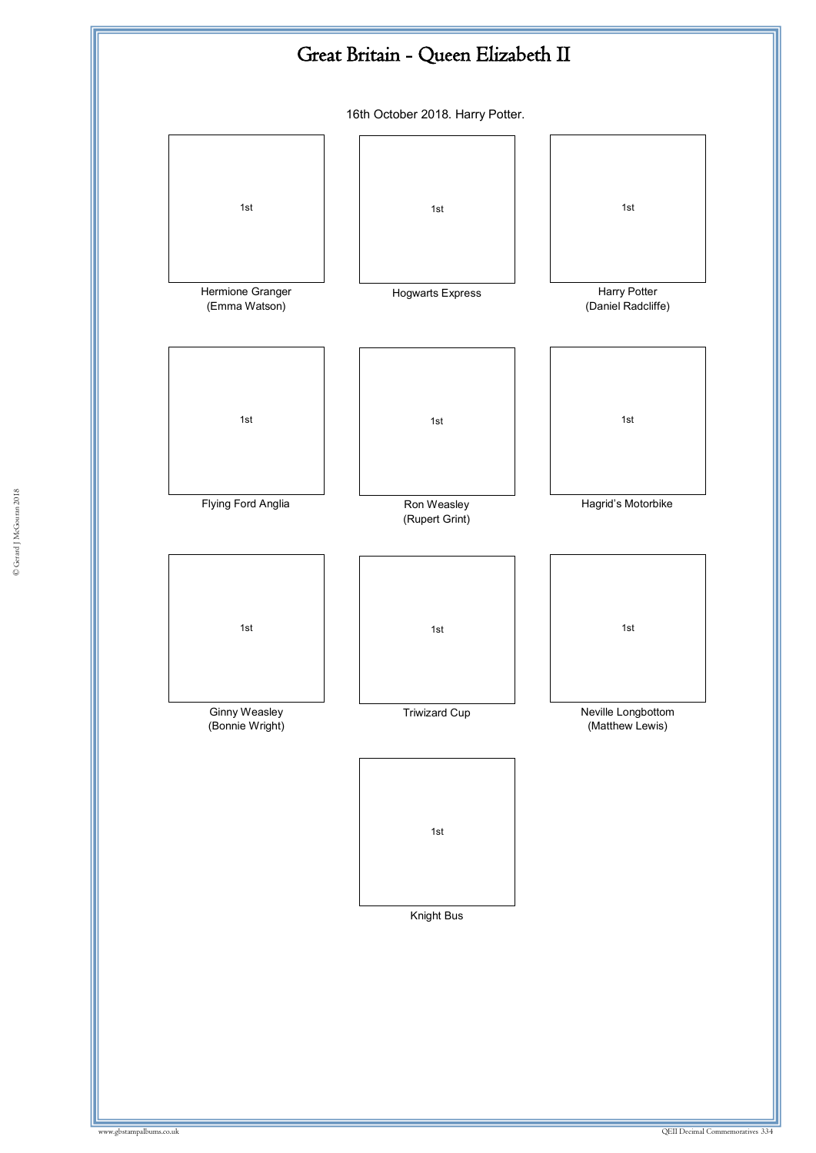

© Gerard J McGouran 2018 © Gerard J McGouran 2018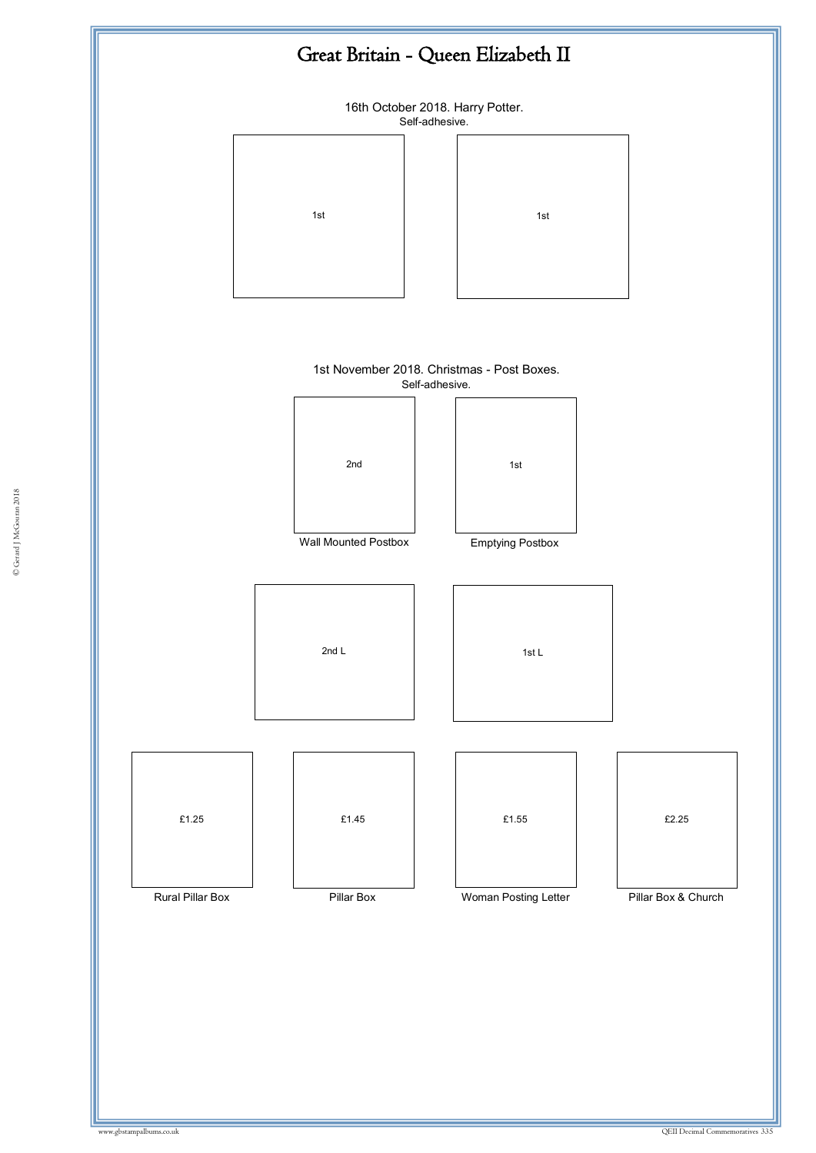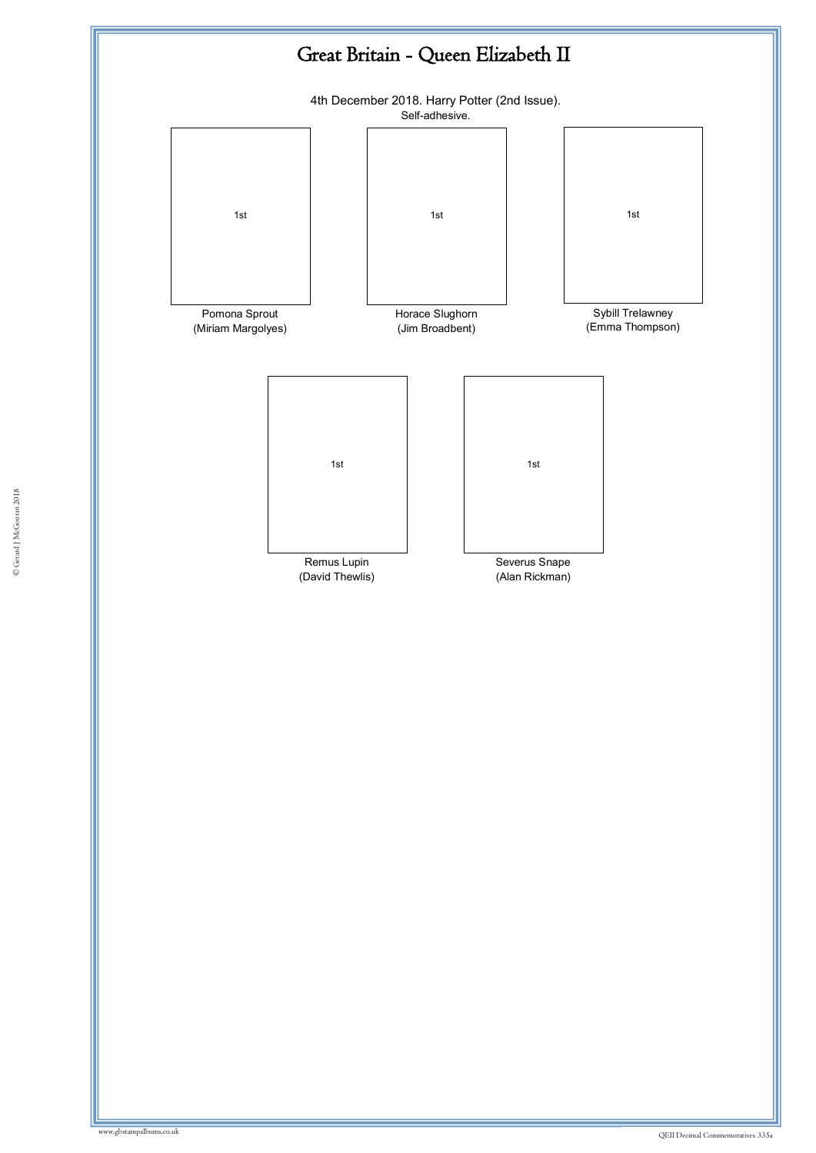

© Gerard J McGouran 2018 © Gerard J McGouran 2018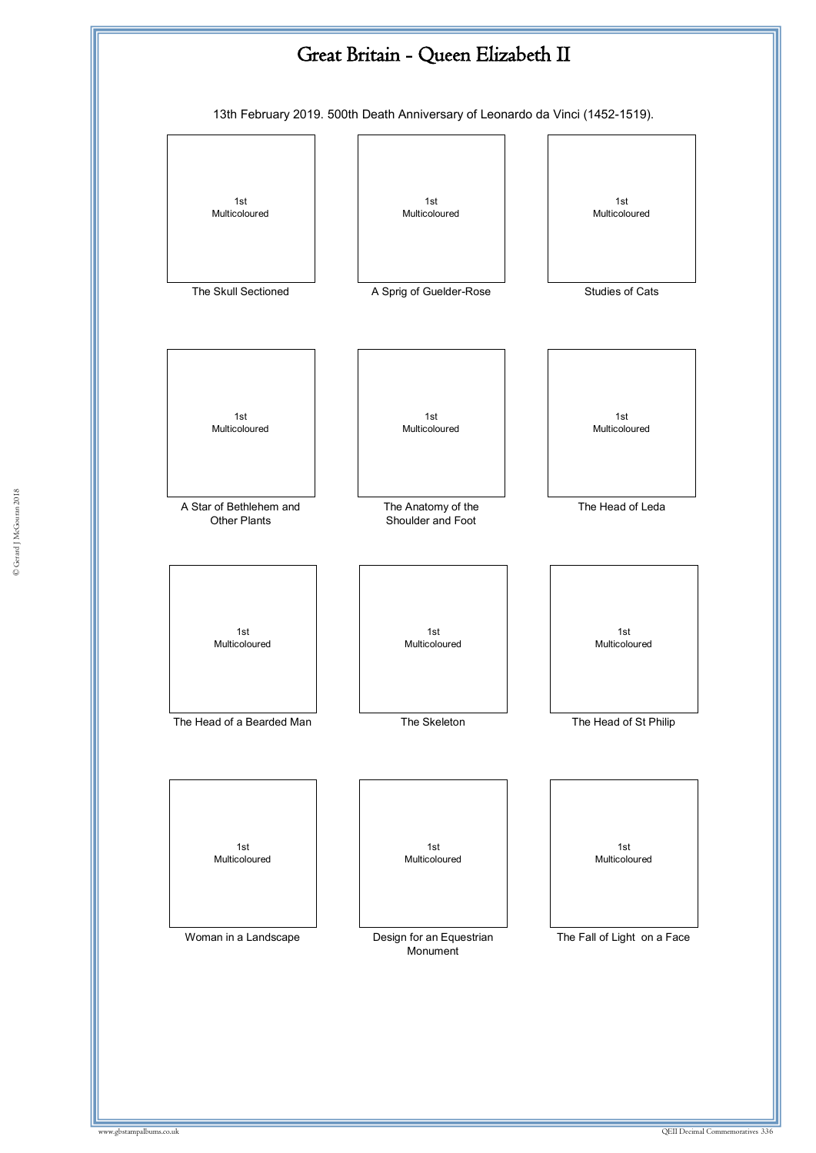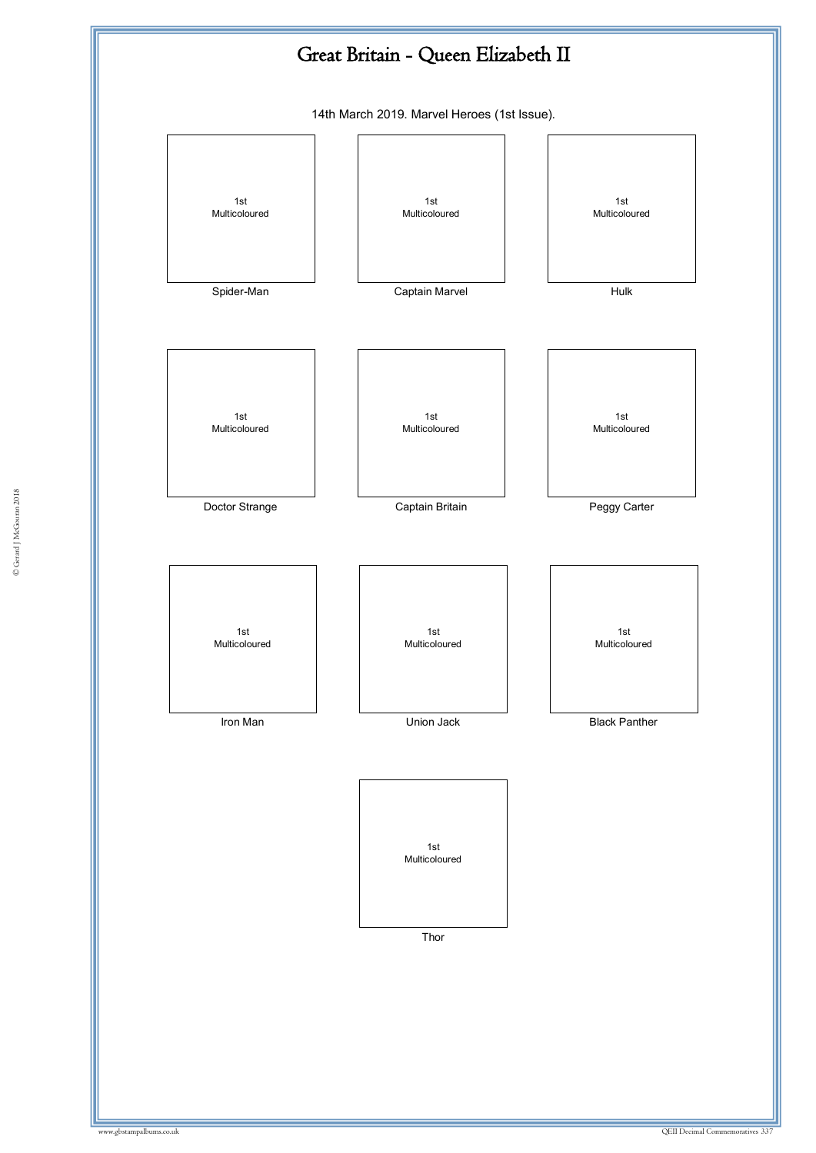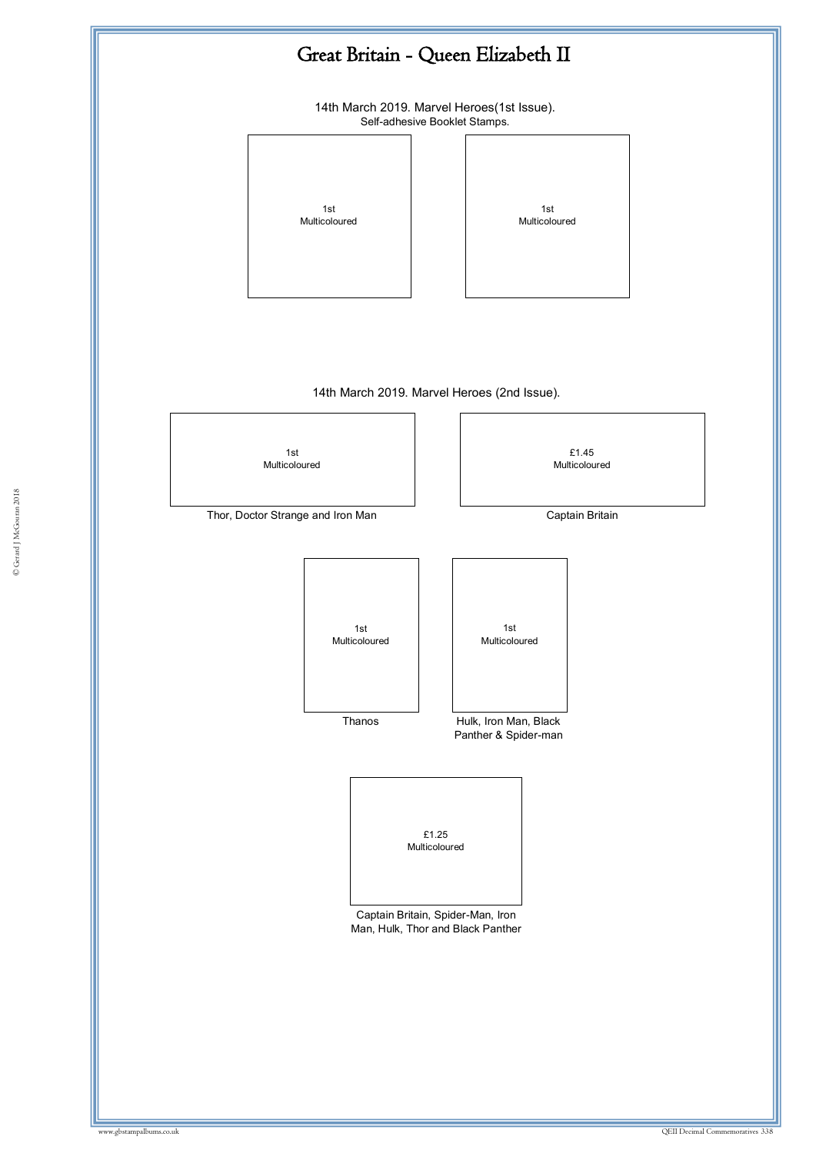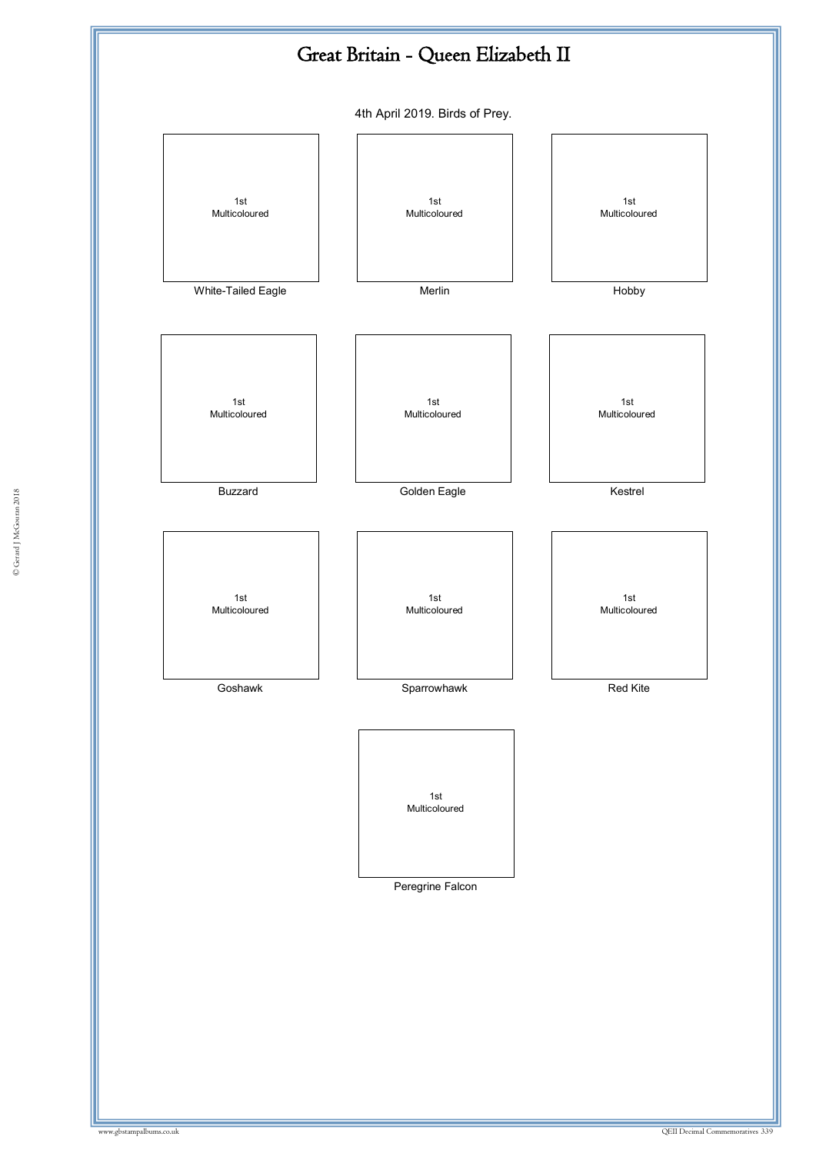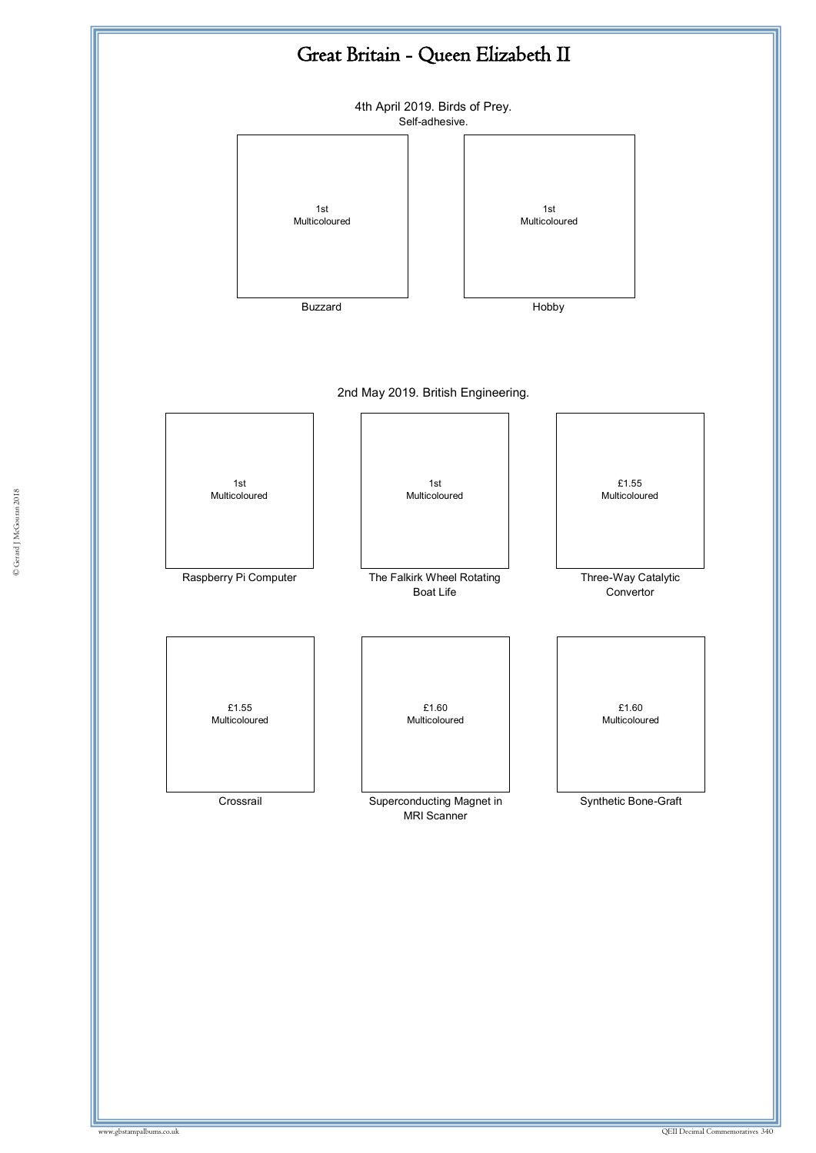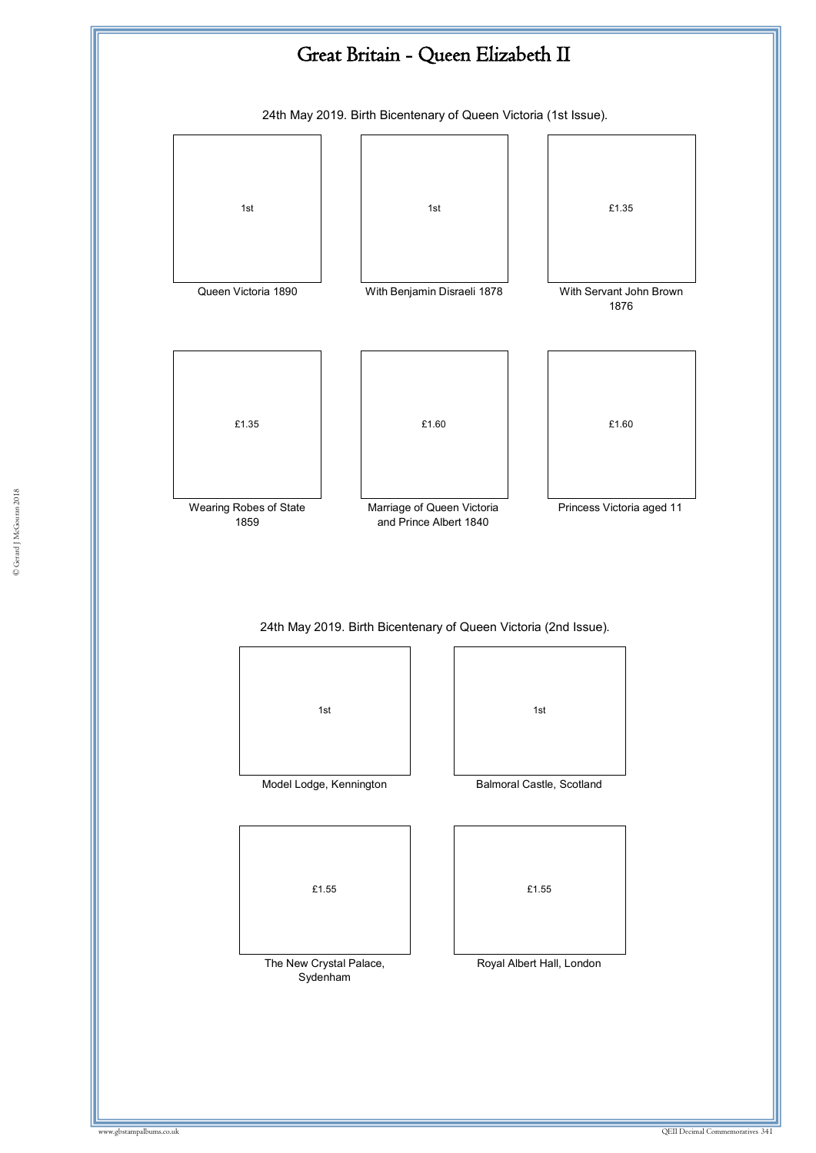

1st Model Lodge, Kennington Balmoral Castle, Scotland £1.55

The New Crystal Palace, Sydenham

1st

£1.55

Royal Albert Hall, London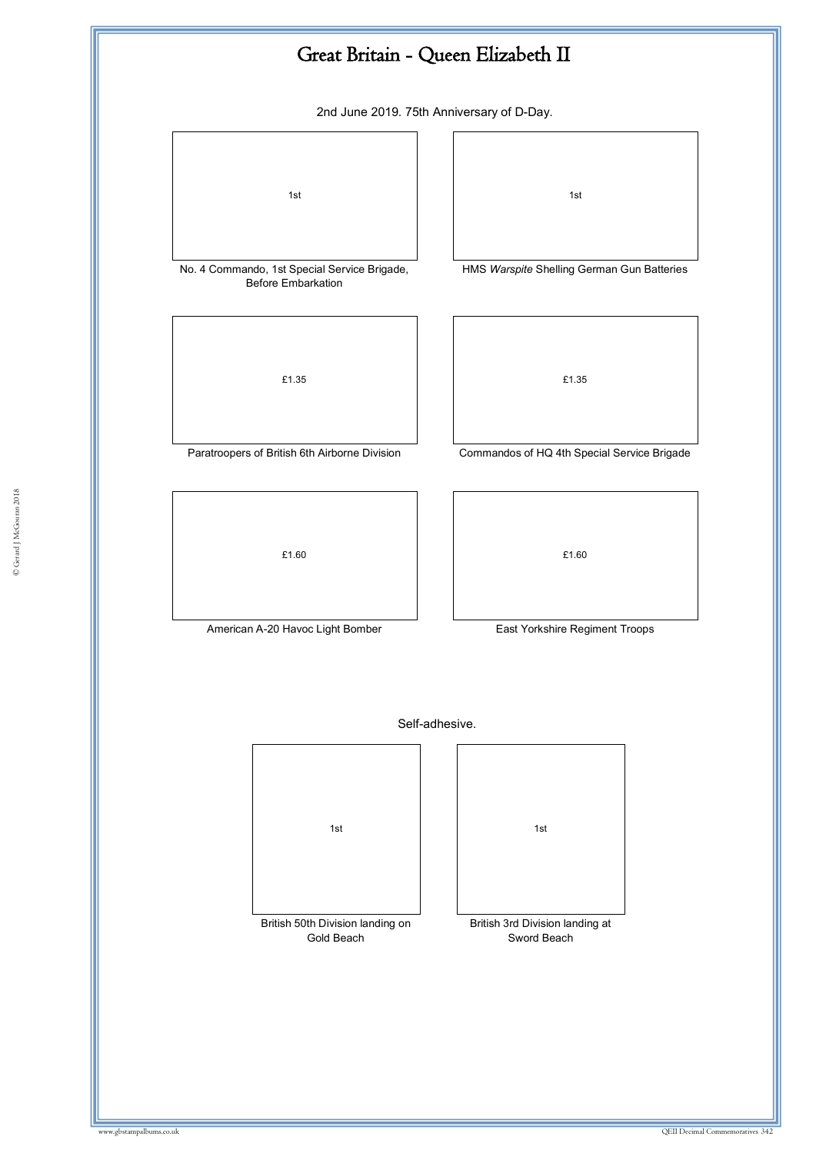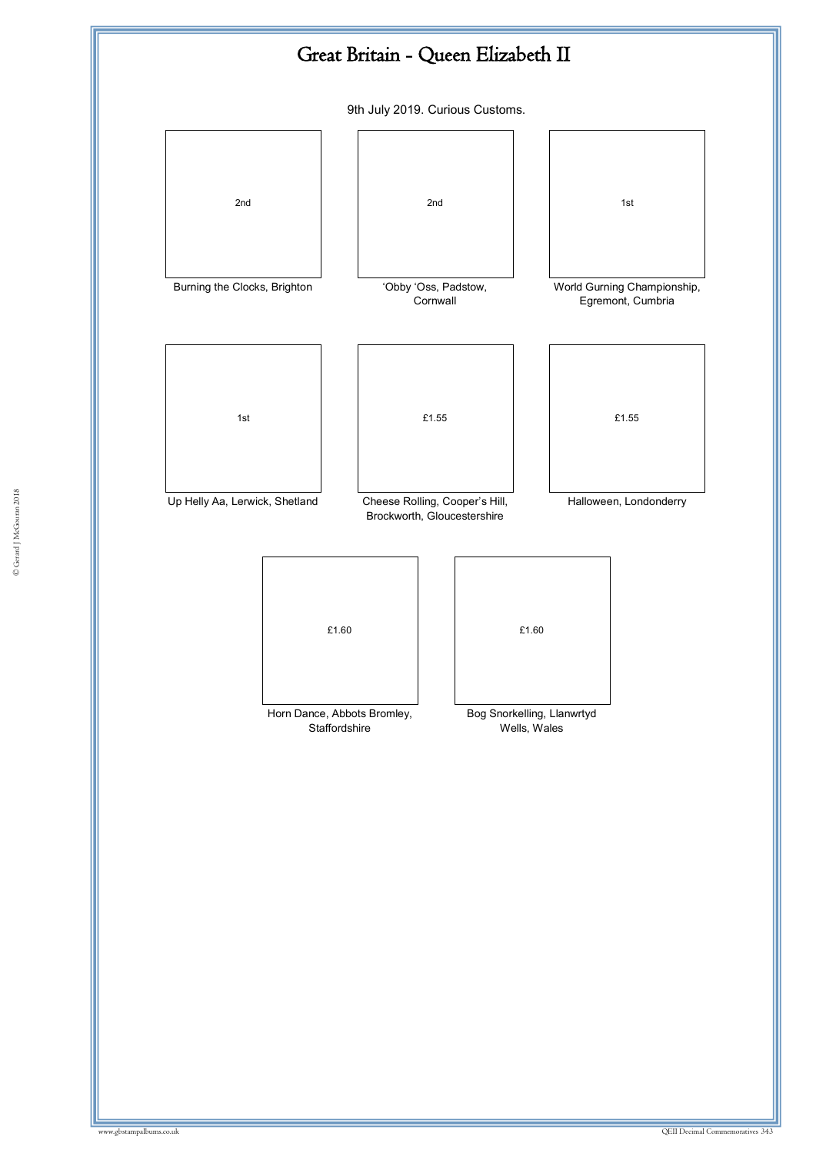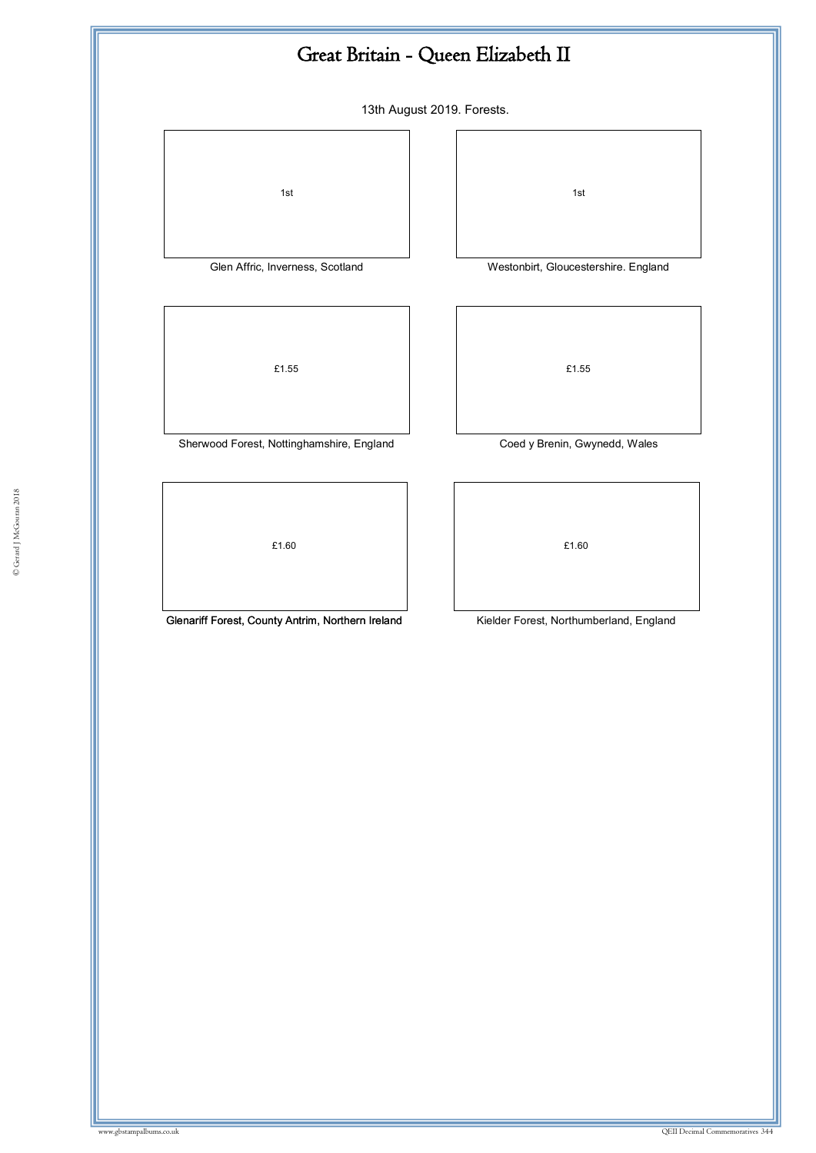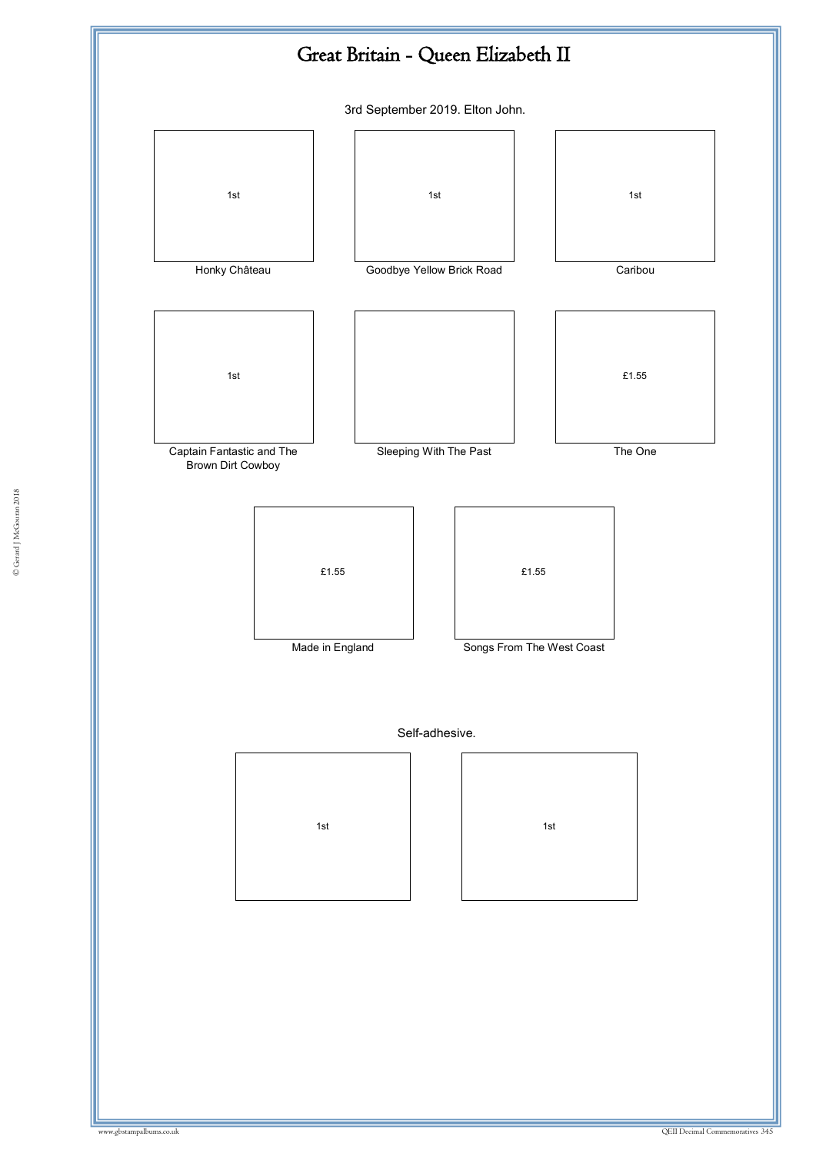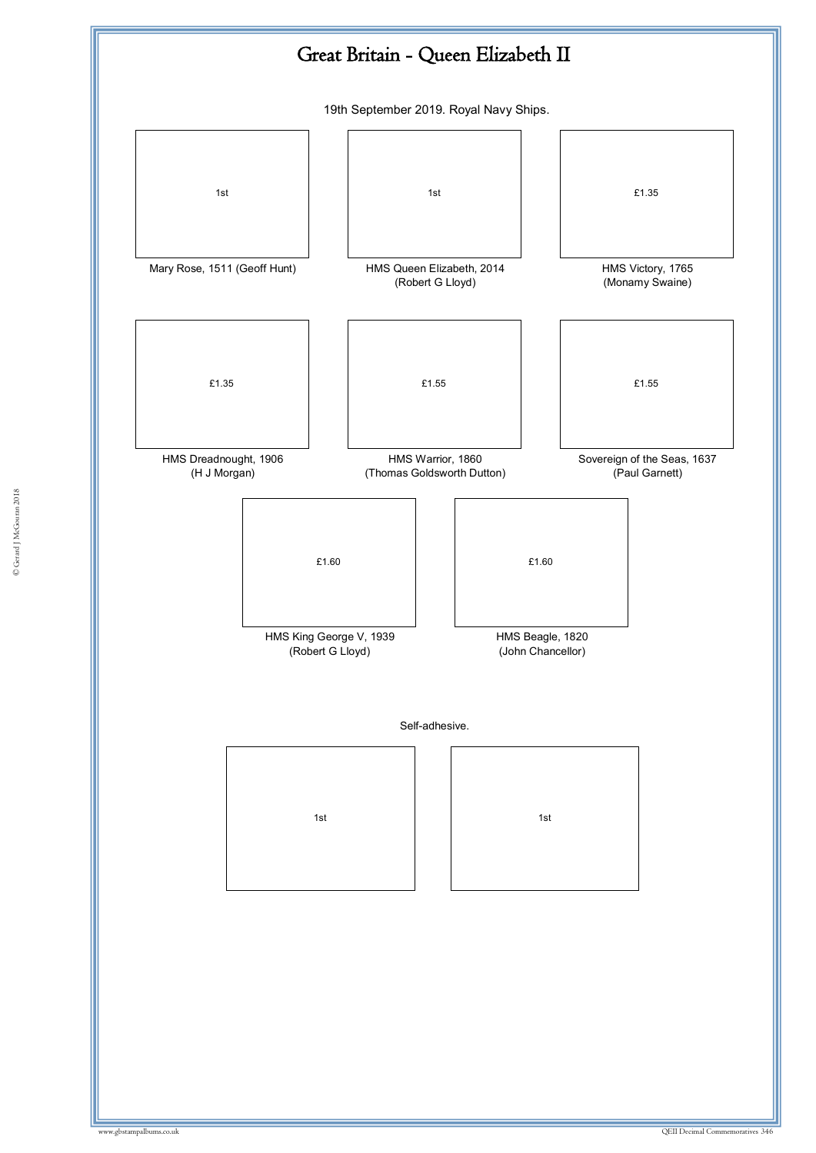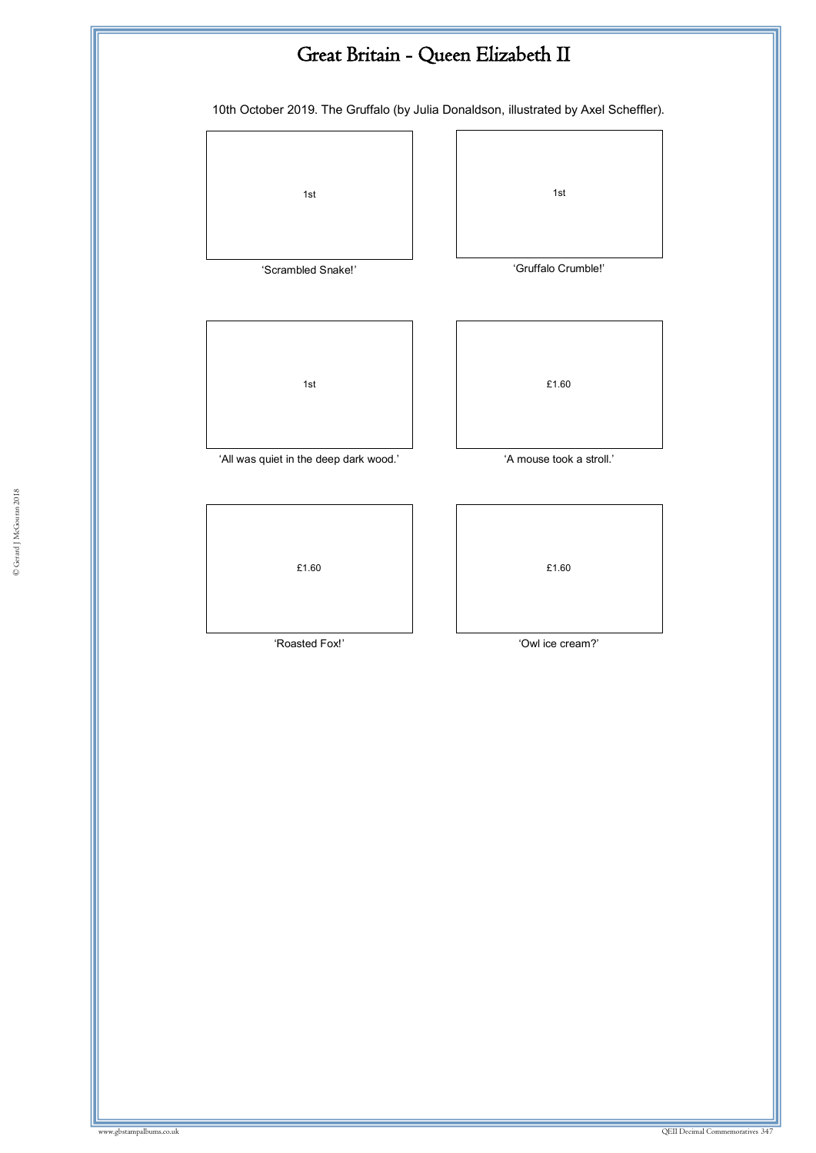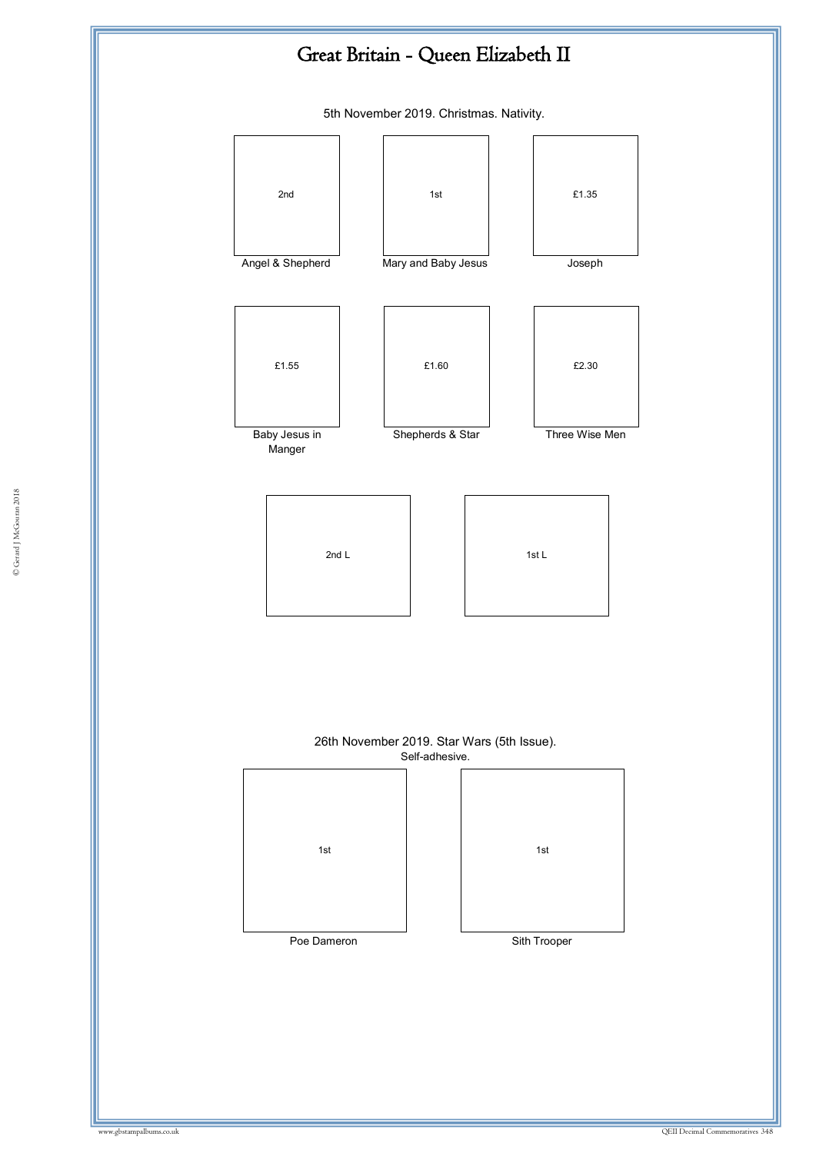## Great Britain - Queen Elizabeth II

5th November 2019. Christmas. Nativity.

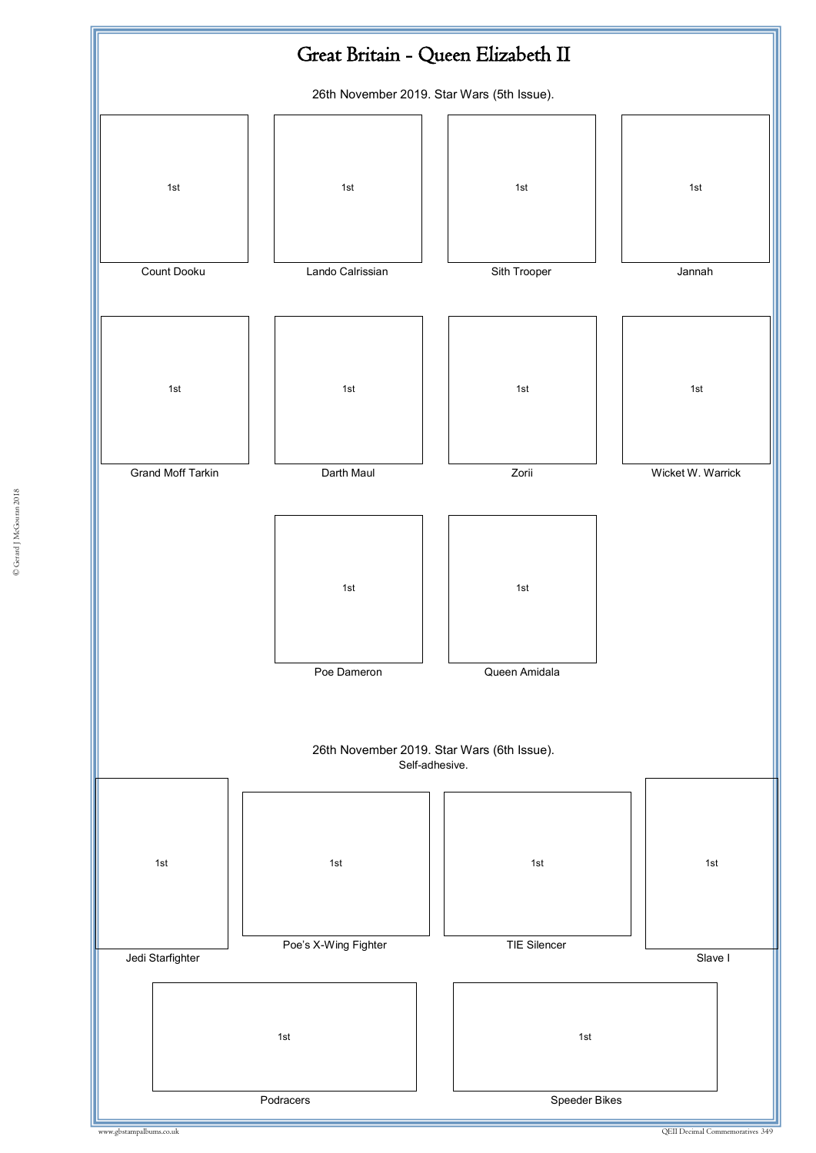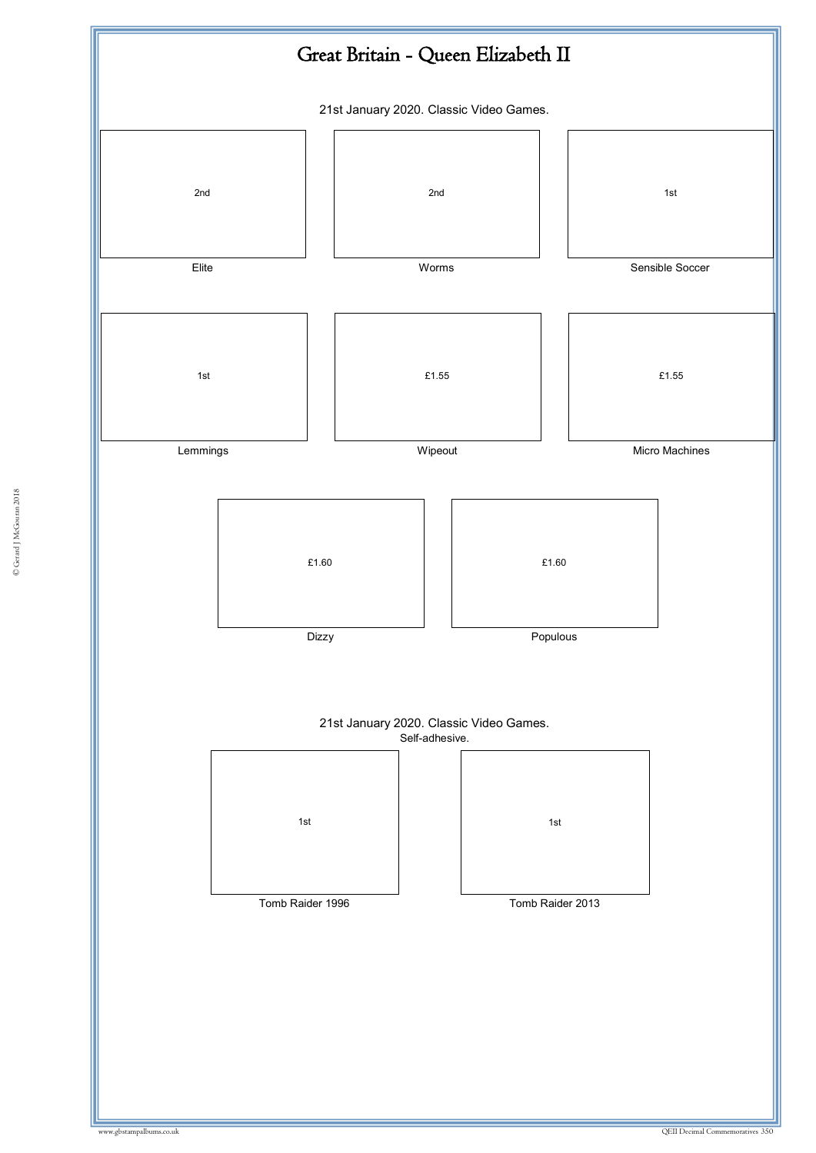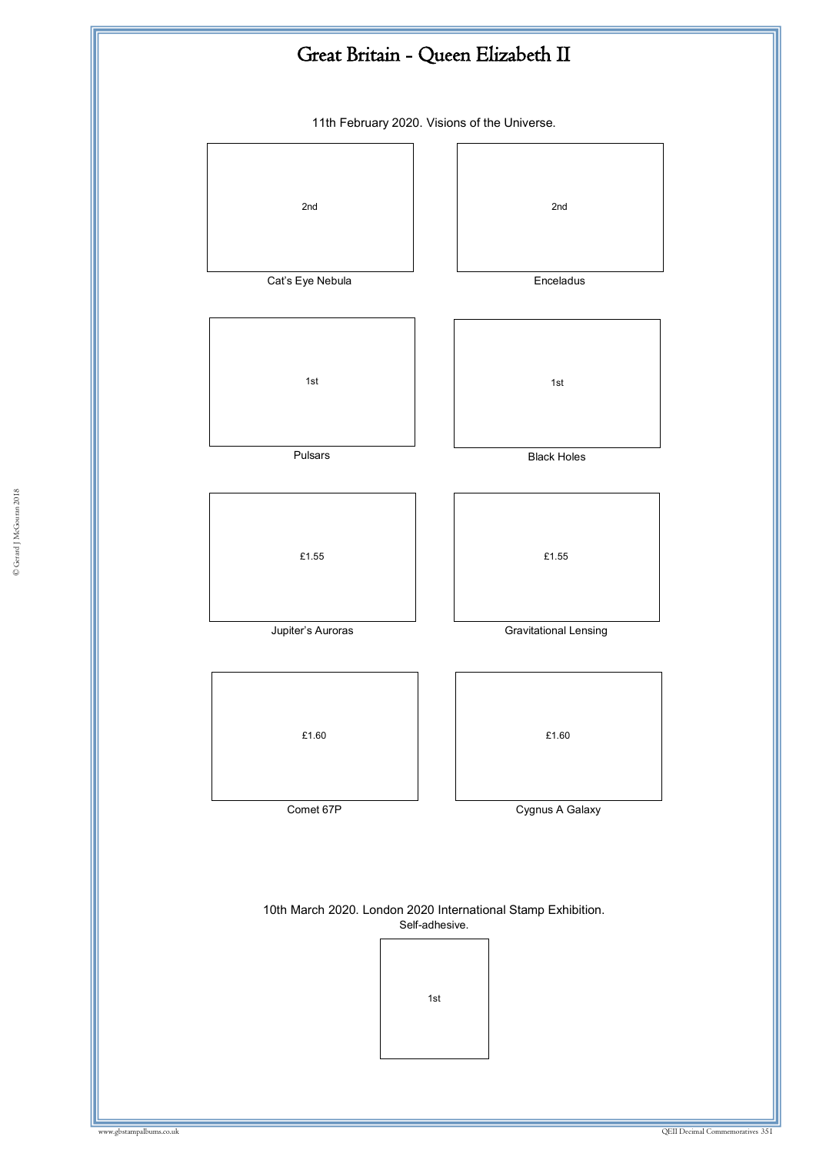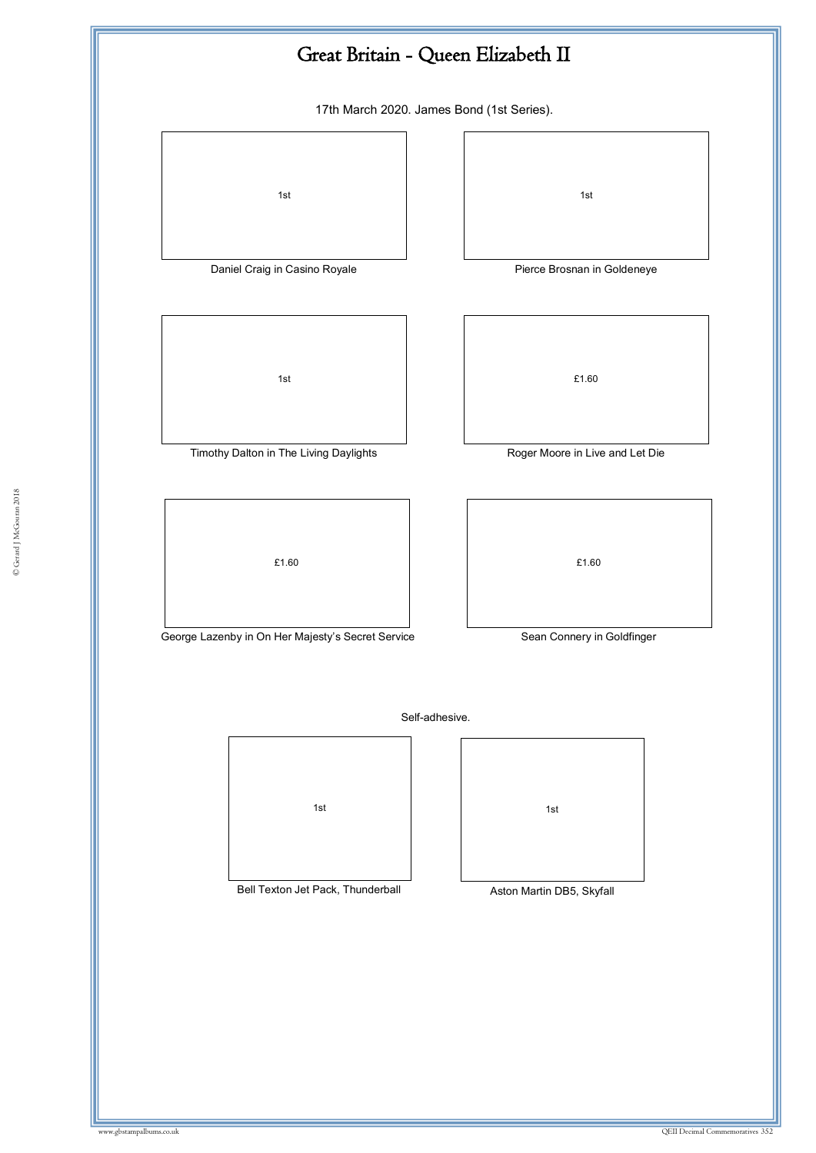![](_page_42_Figure_0.jpeg)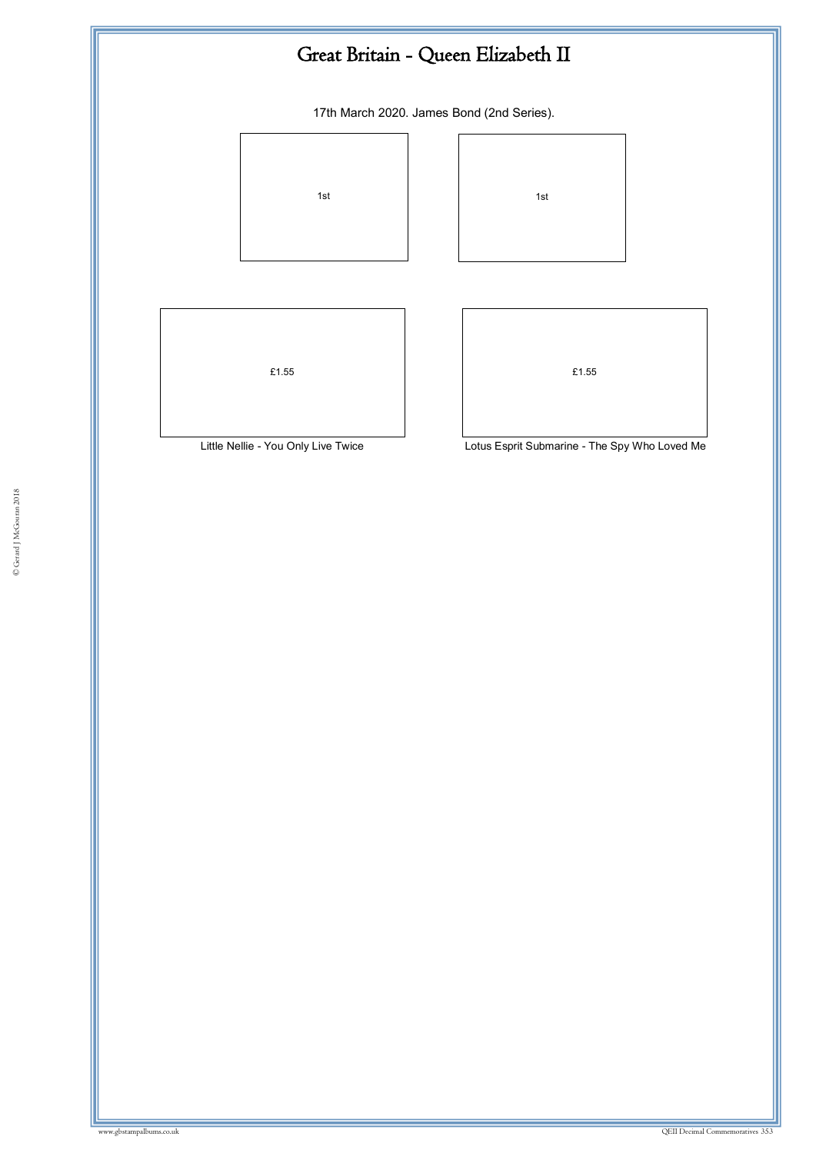![](_page_43_Figure_0.jpeg)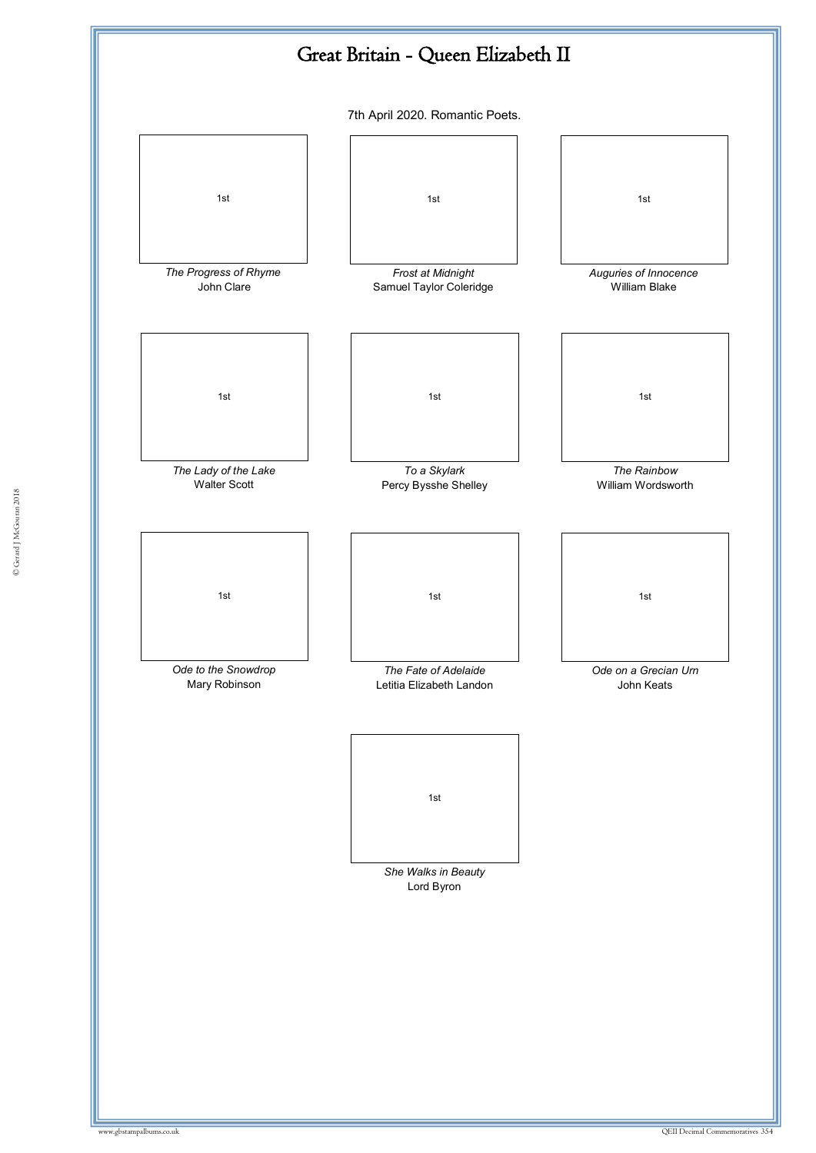![](_page_44_Figure_0.jpeg)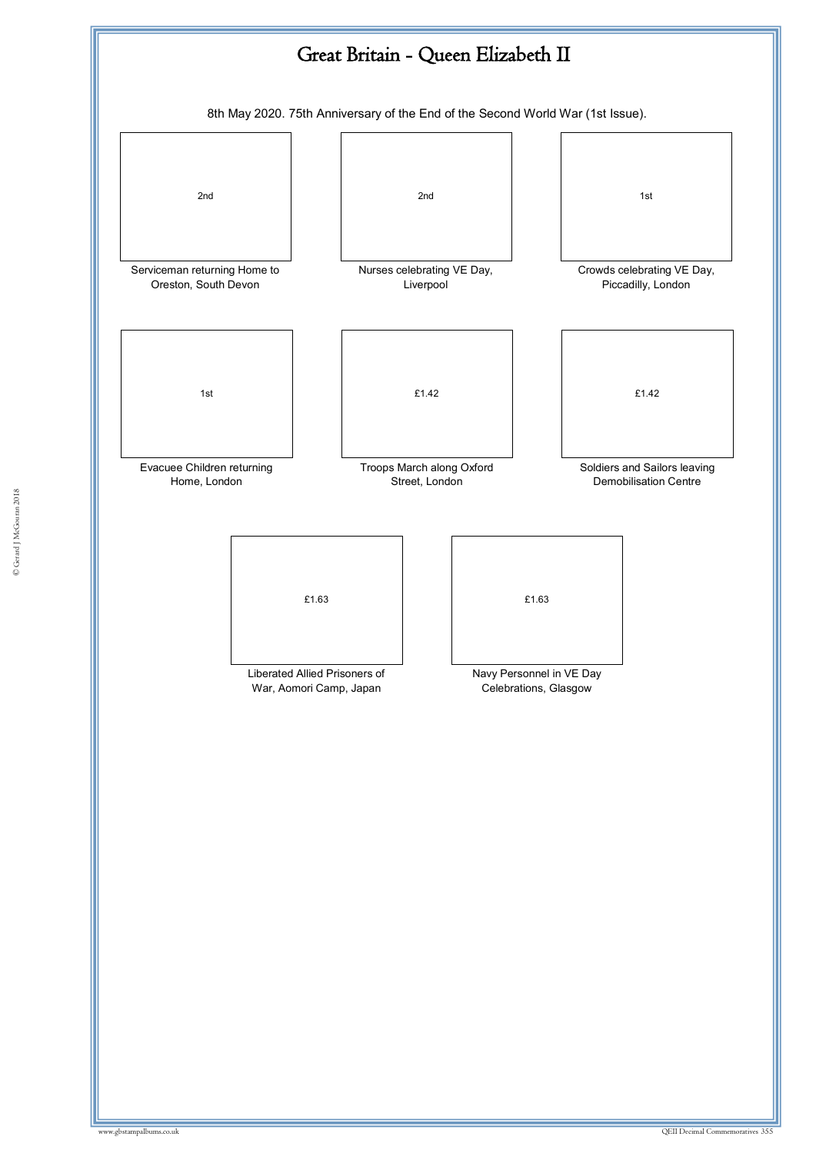![](_page_45_Figure_0.jpeg)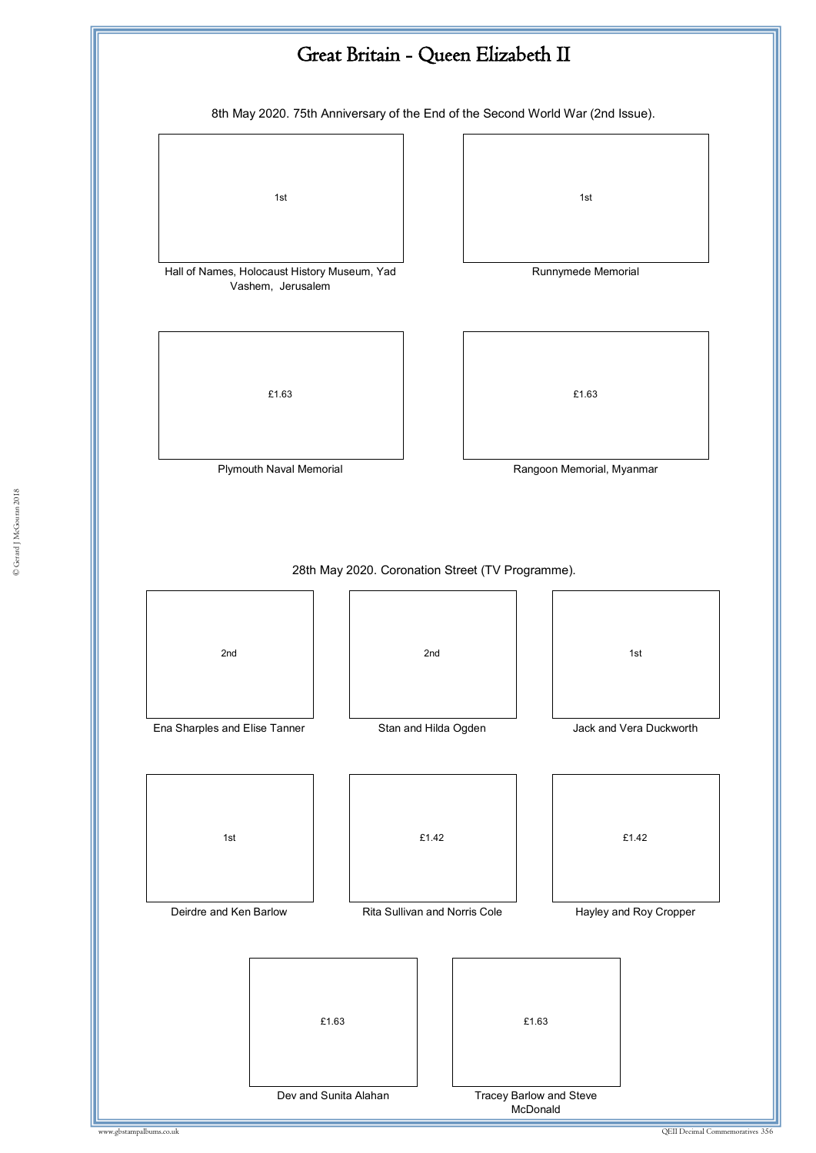![](_page_46_Figure_0.jpeg)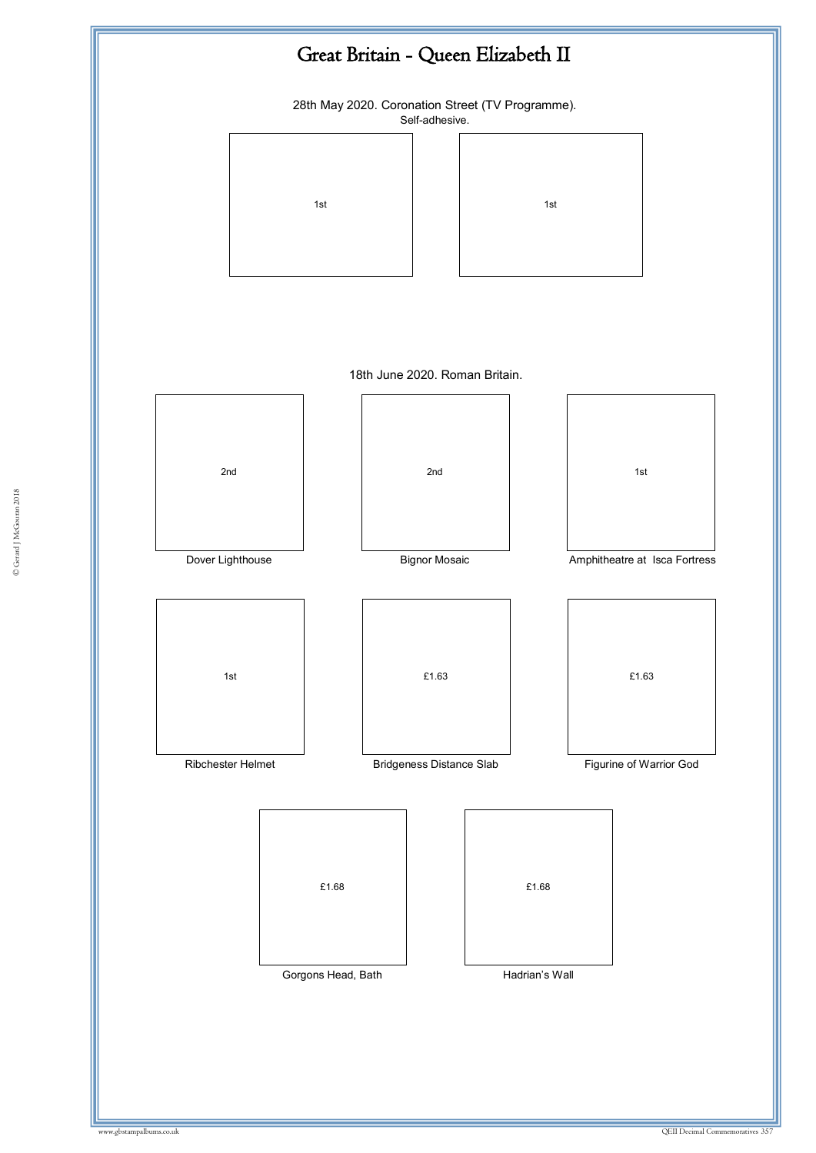![](_page_47_Figure_0.jpeg)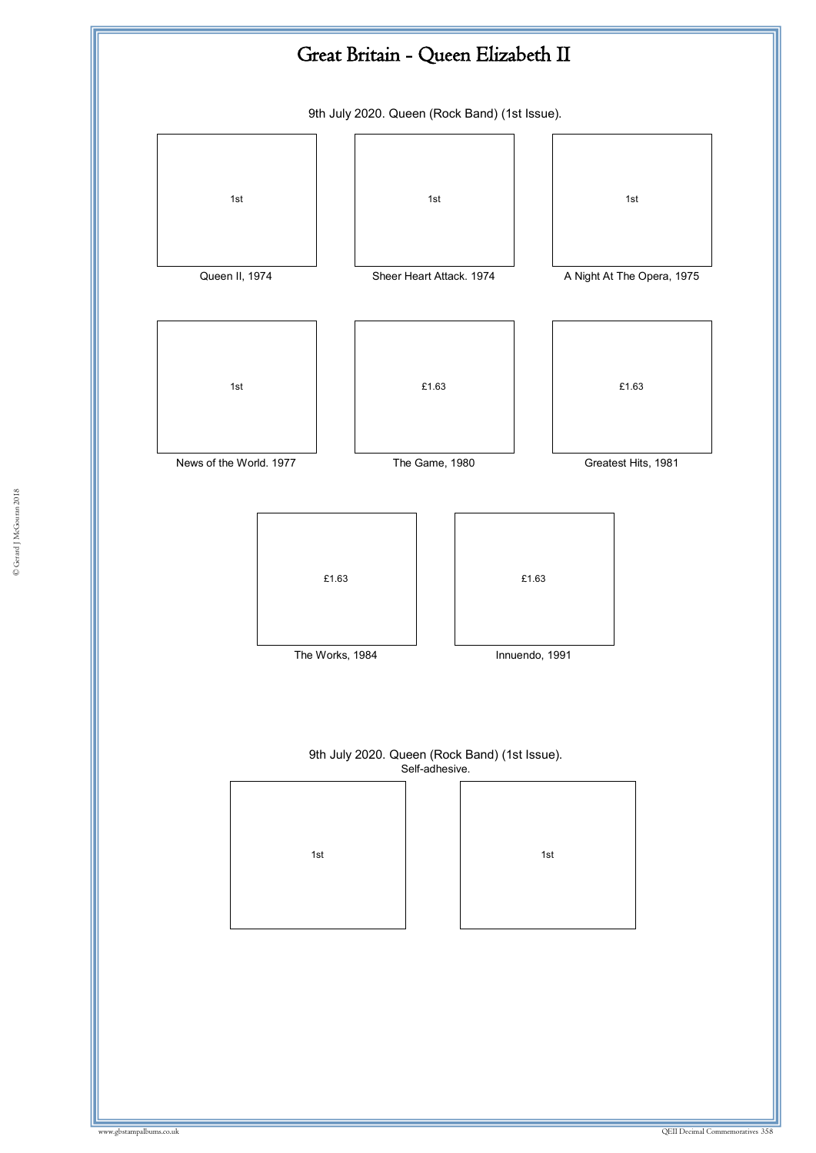![](_page_48_Figure_0.jpeg)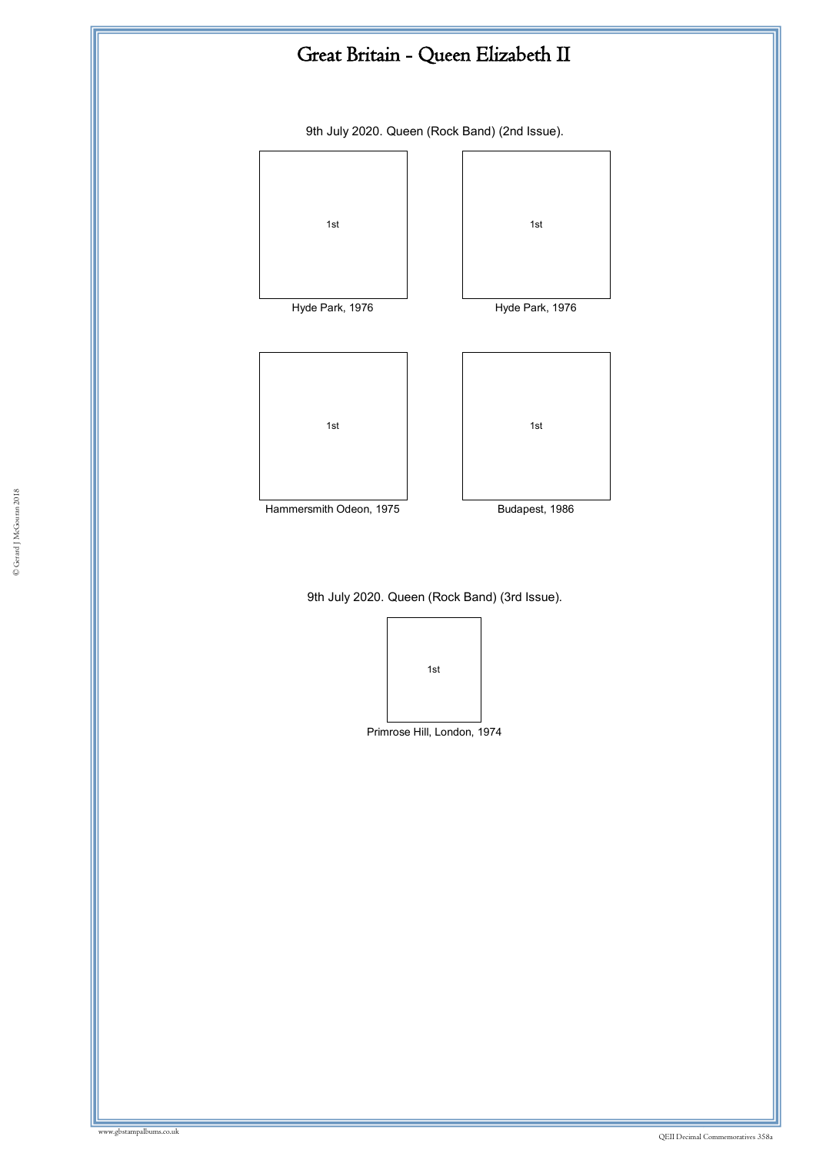![](_page_49_Figure_0.jpeg)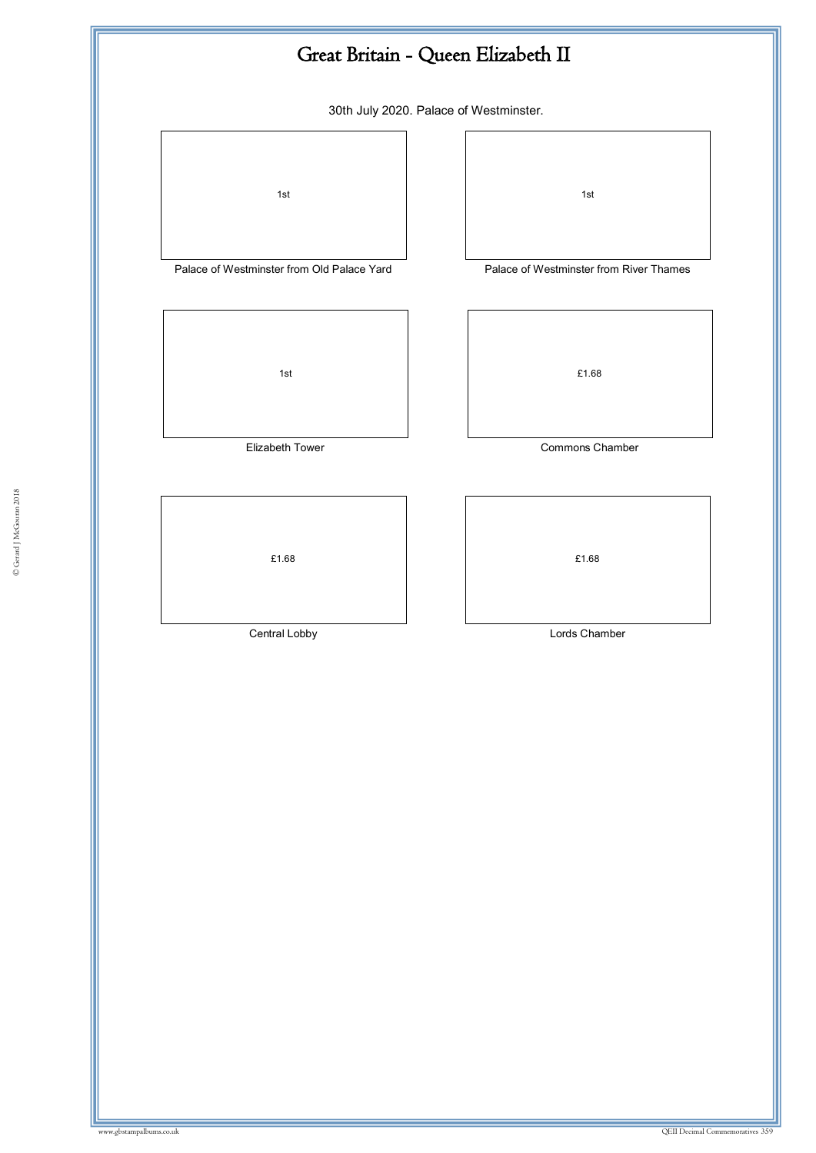![](_page_50_Figure_0.jpeg)

30th July 2020. Palace of Westminster.

![](_page_50_Figure_2.jpeg)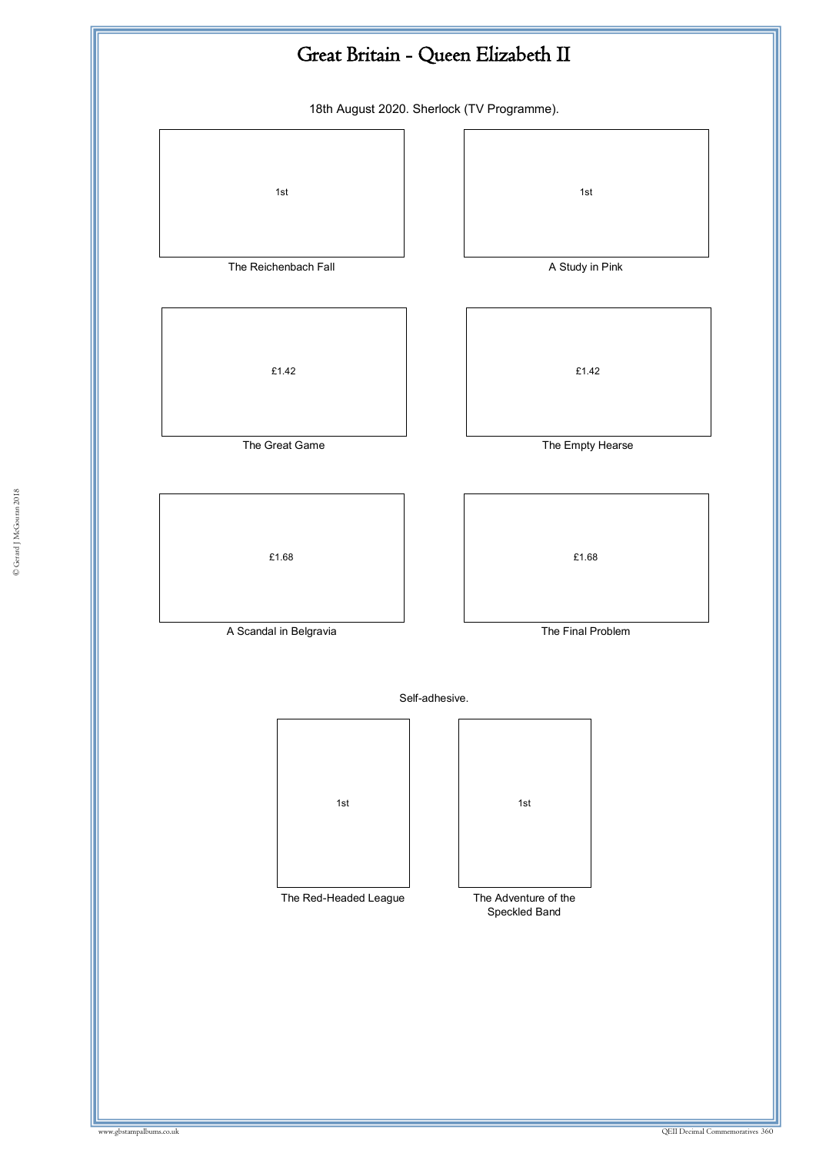![](_page_51_Figure_0.jpeg)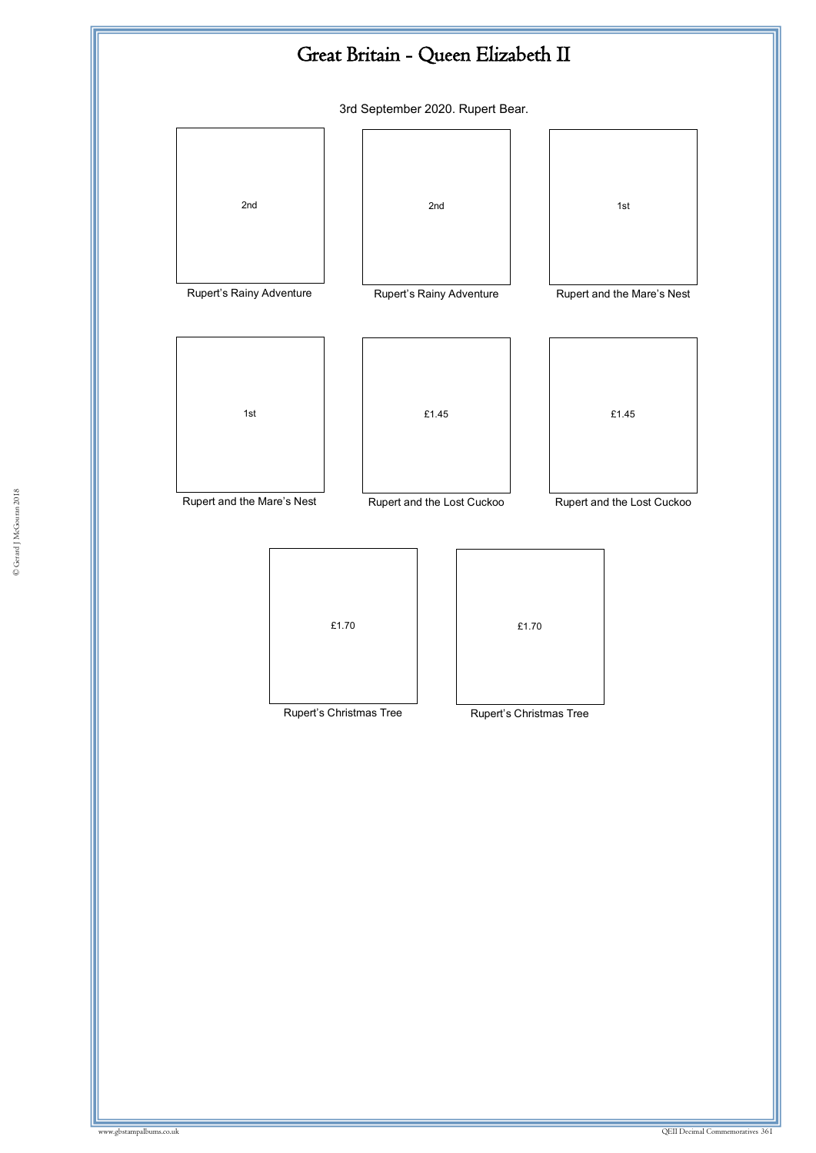![](_page_52_Figure_0.jpeg)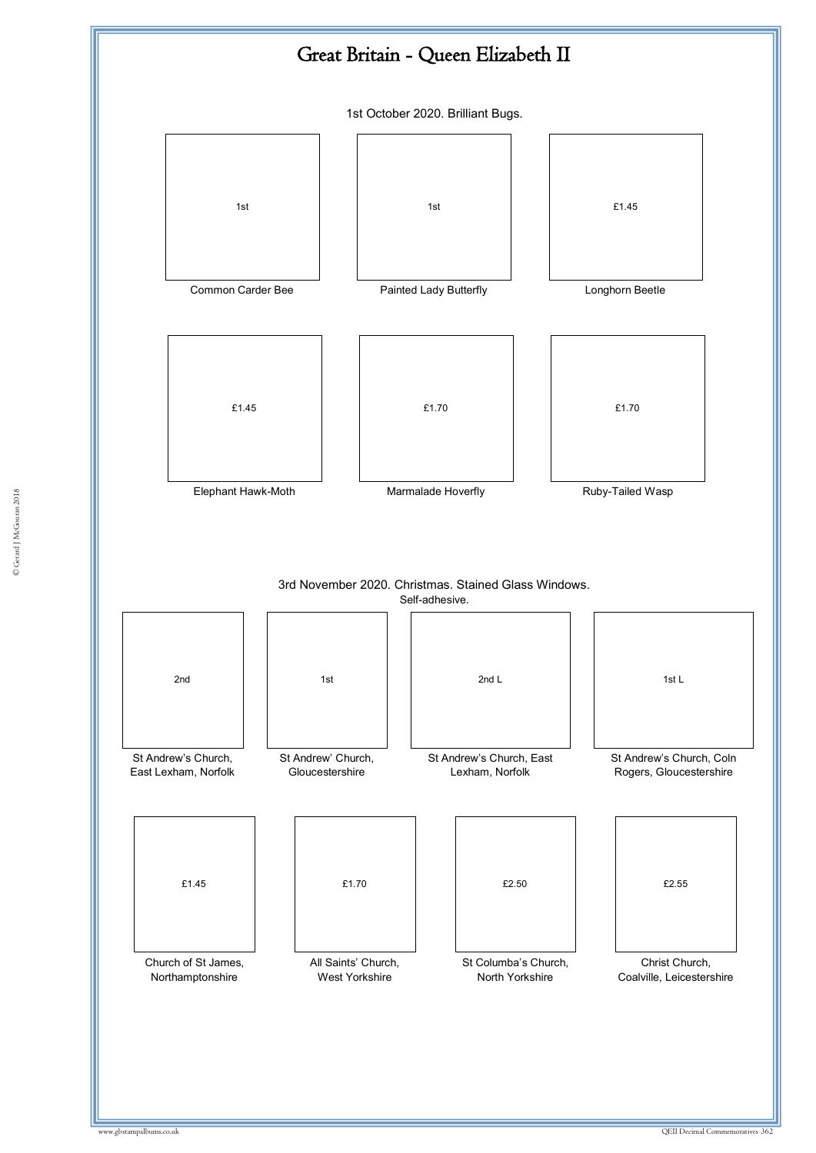![](_page_53_Figure_0.jpeg)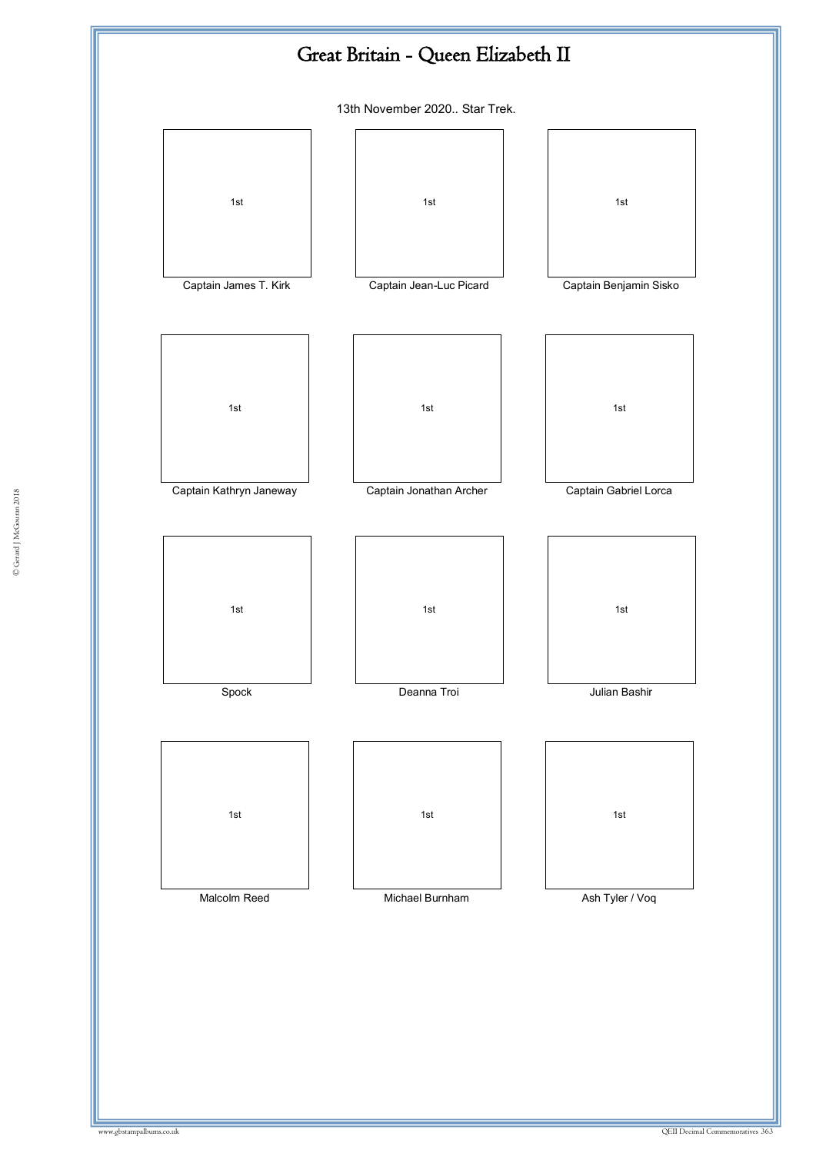![](_page_54_Figure_0.jpeg)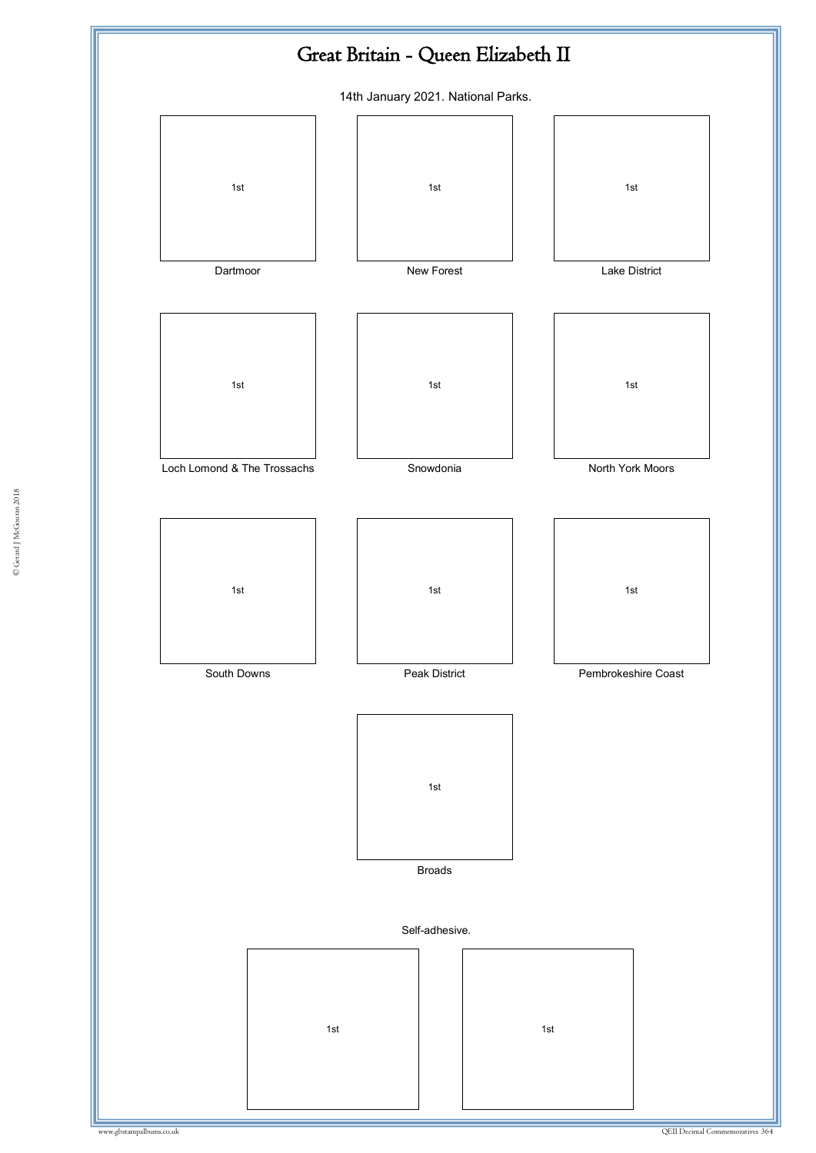![](_page_55_Figure_0.jpeg)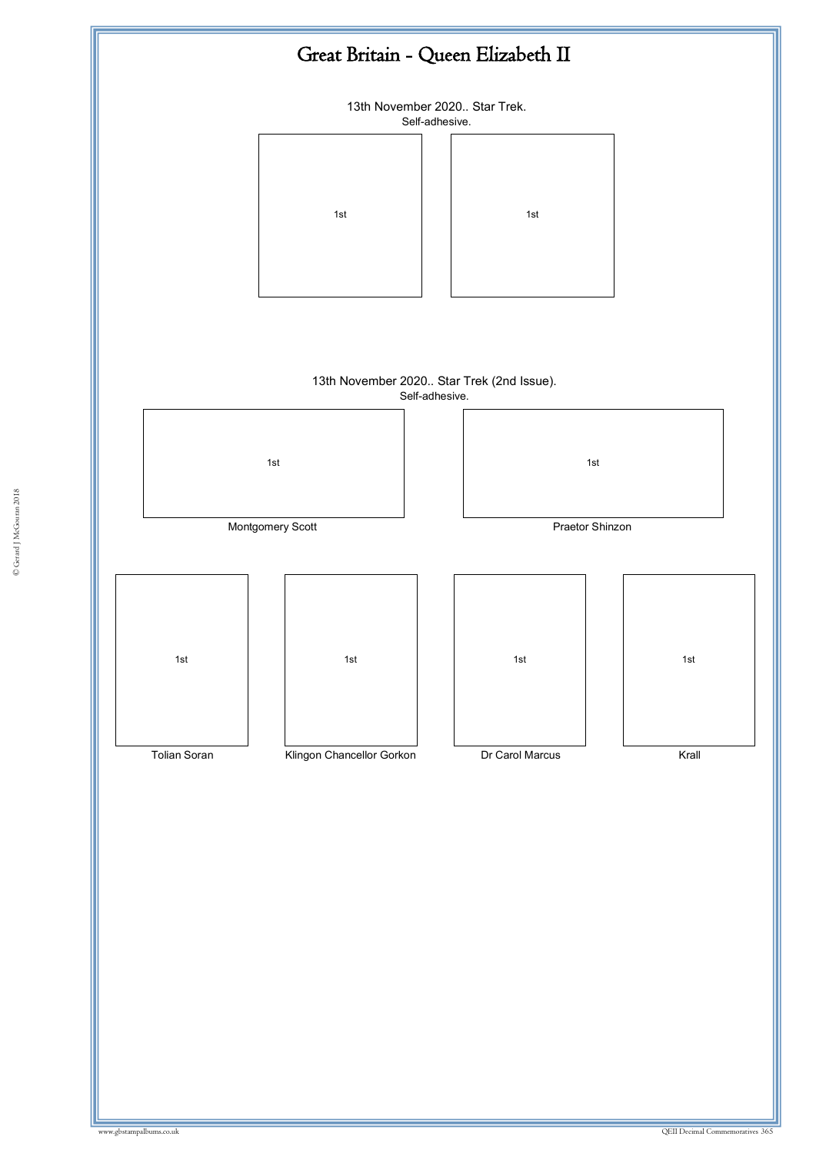![](_page_56_Figure_0.jpeg)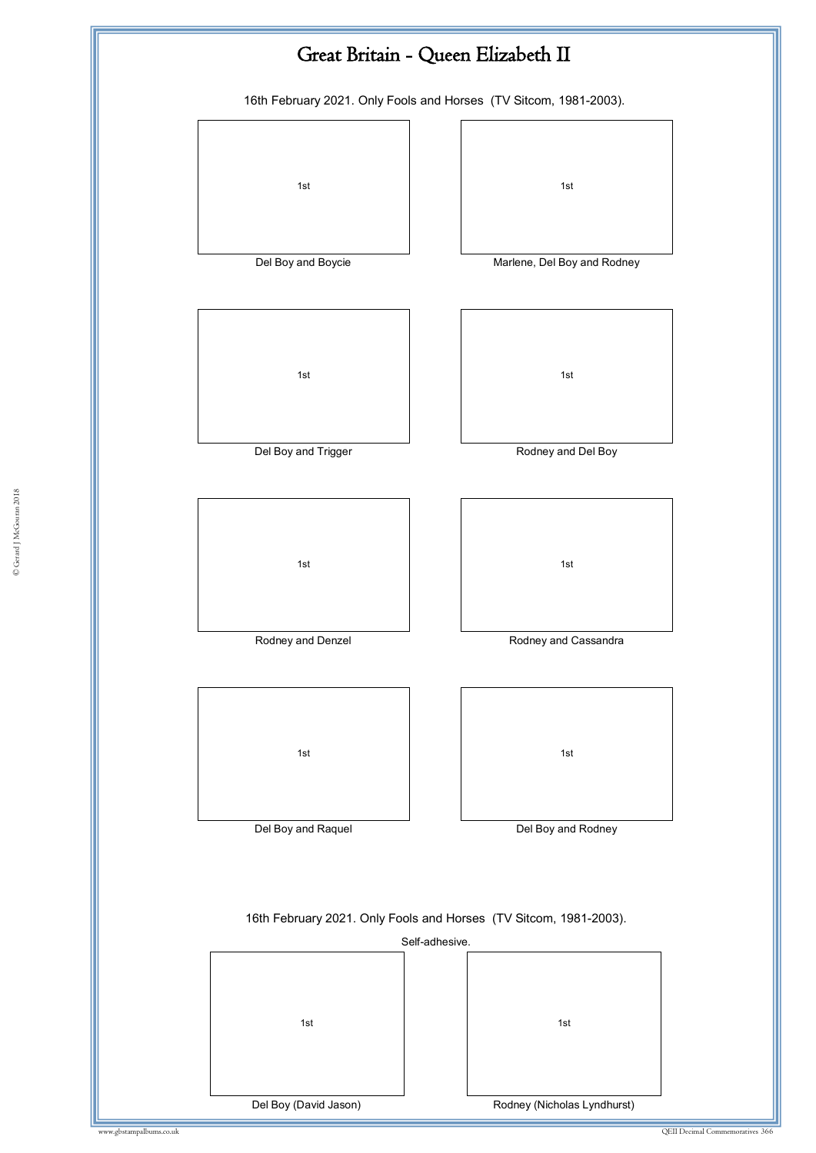![](_page_57_Figure_0.jpeg)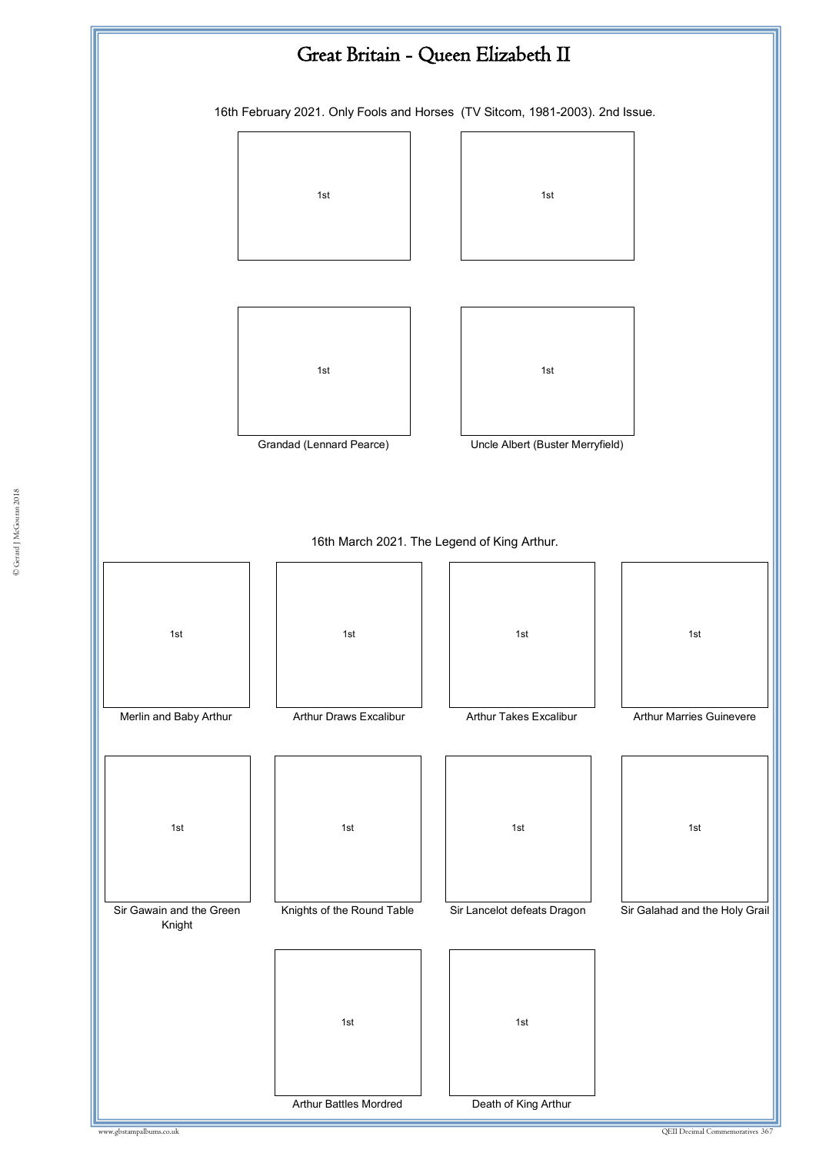![](_page_58_Figure_0.jpeg)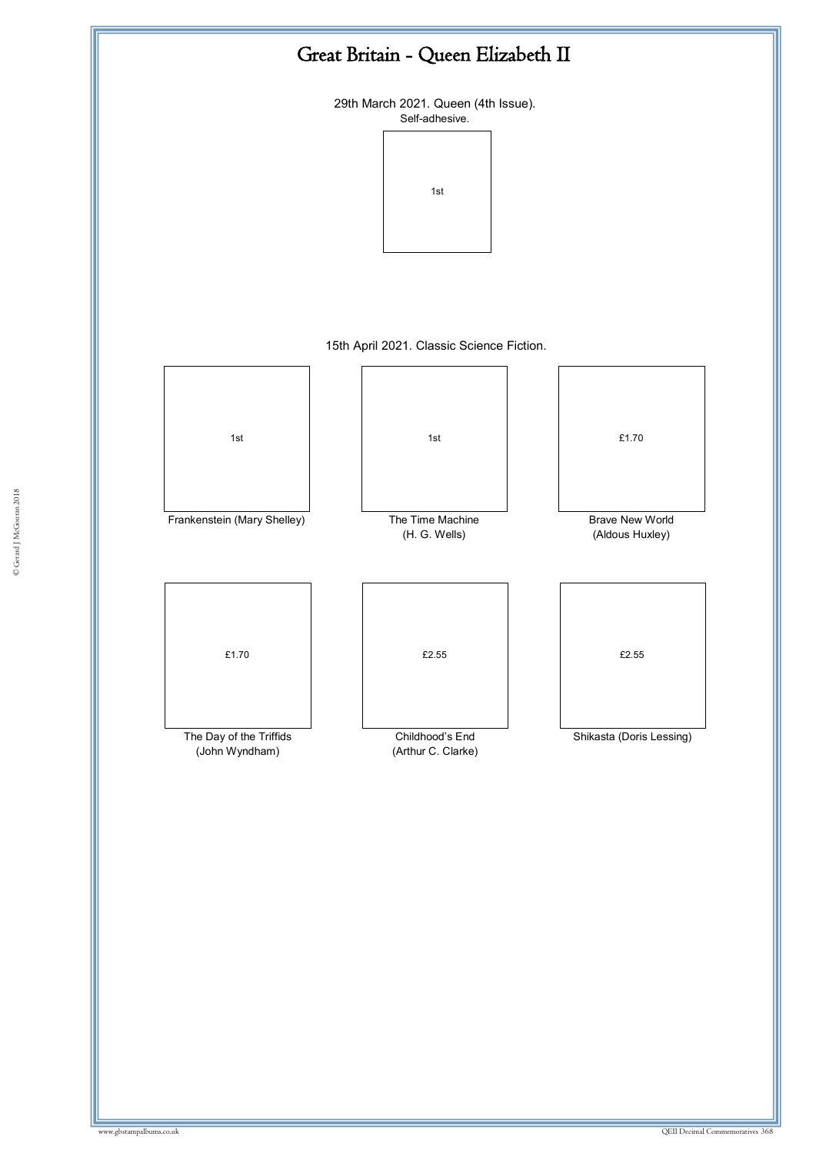![](_page_59_Figure_0.jpeg)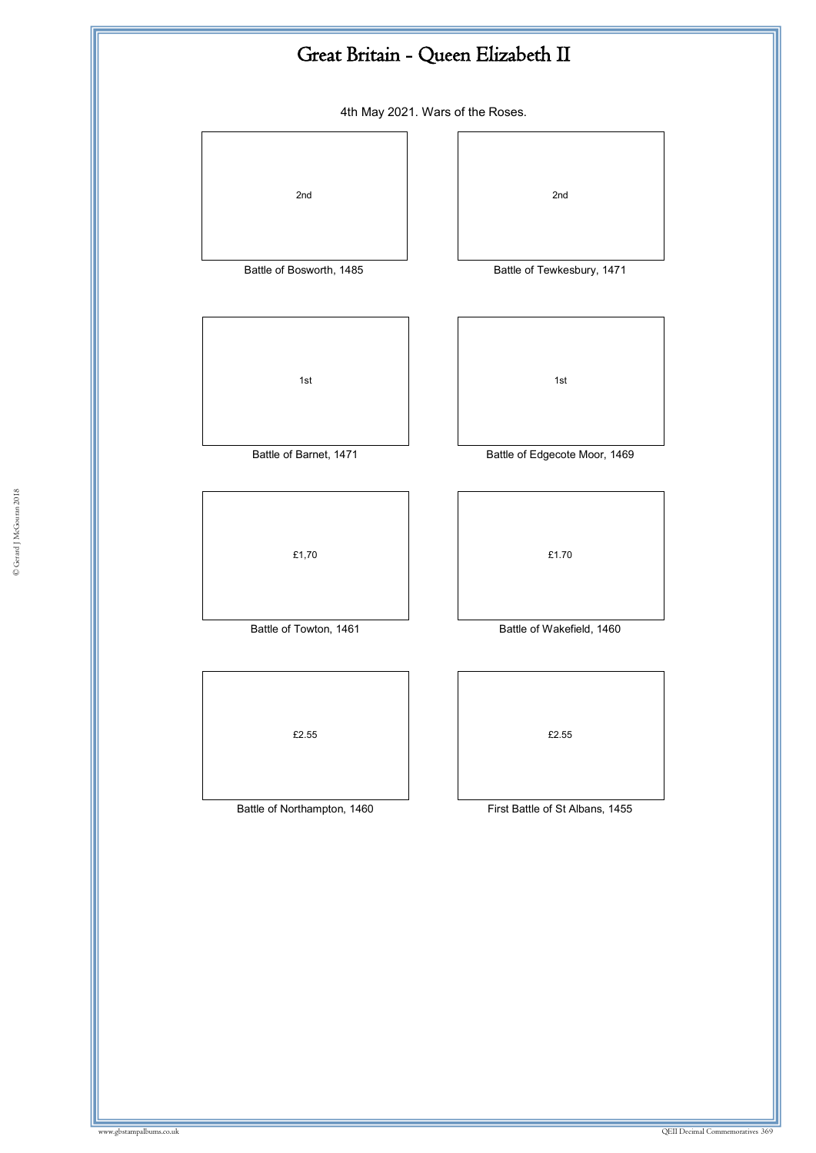![](_page_60_Figure_0.jpeg)

4th May 2021. Wars of the Roses.

![](_page_60_Figure_2.jpeg)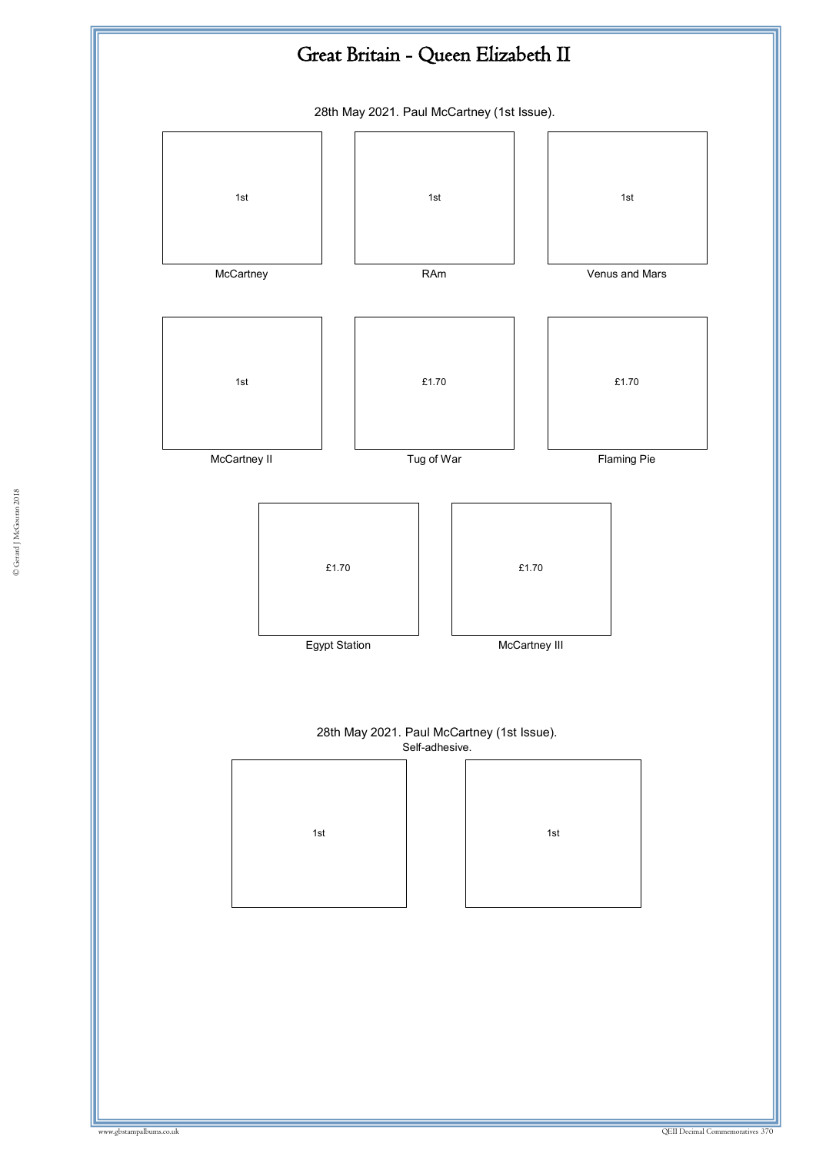![](_page_61_Figure_0.jpeg)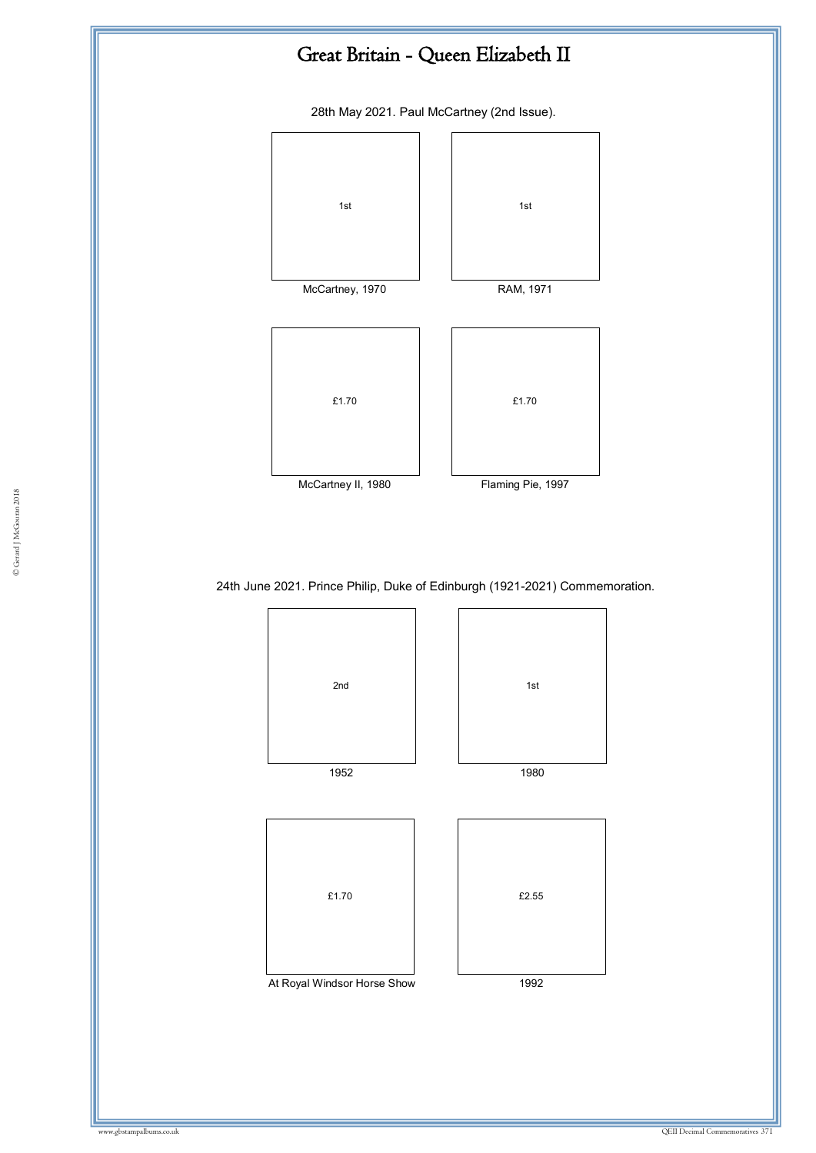![](_page_62_Figure_0.jpeg)

28th May 2021. Paul McCartney (2nd Issue).

![](_page_62_Figure_2.jpeg)

24th June 2021. Prince Philip, Duke of Edinburgh (1921-2021) Commemoration.

![](_page_62_Figure_4.jpeg)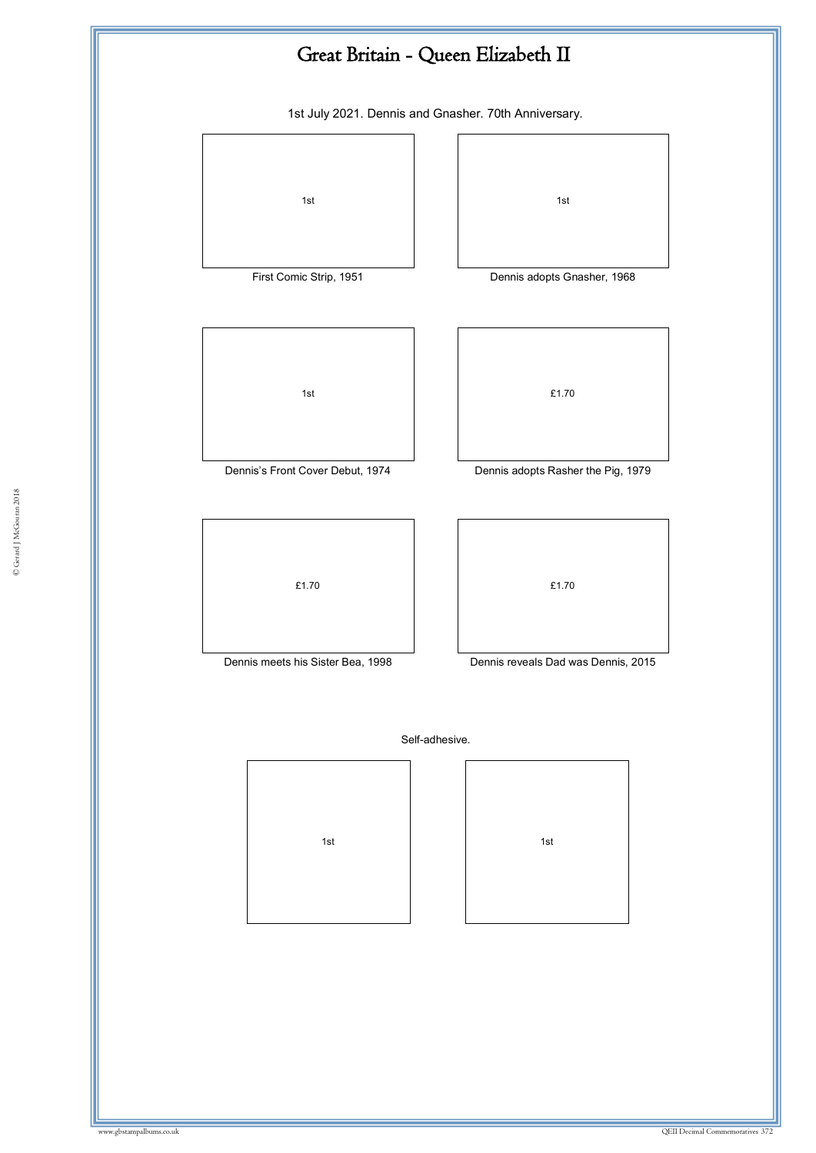![](_page_63_Figure_0.jpeg)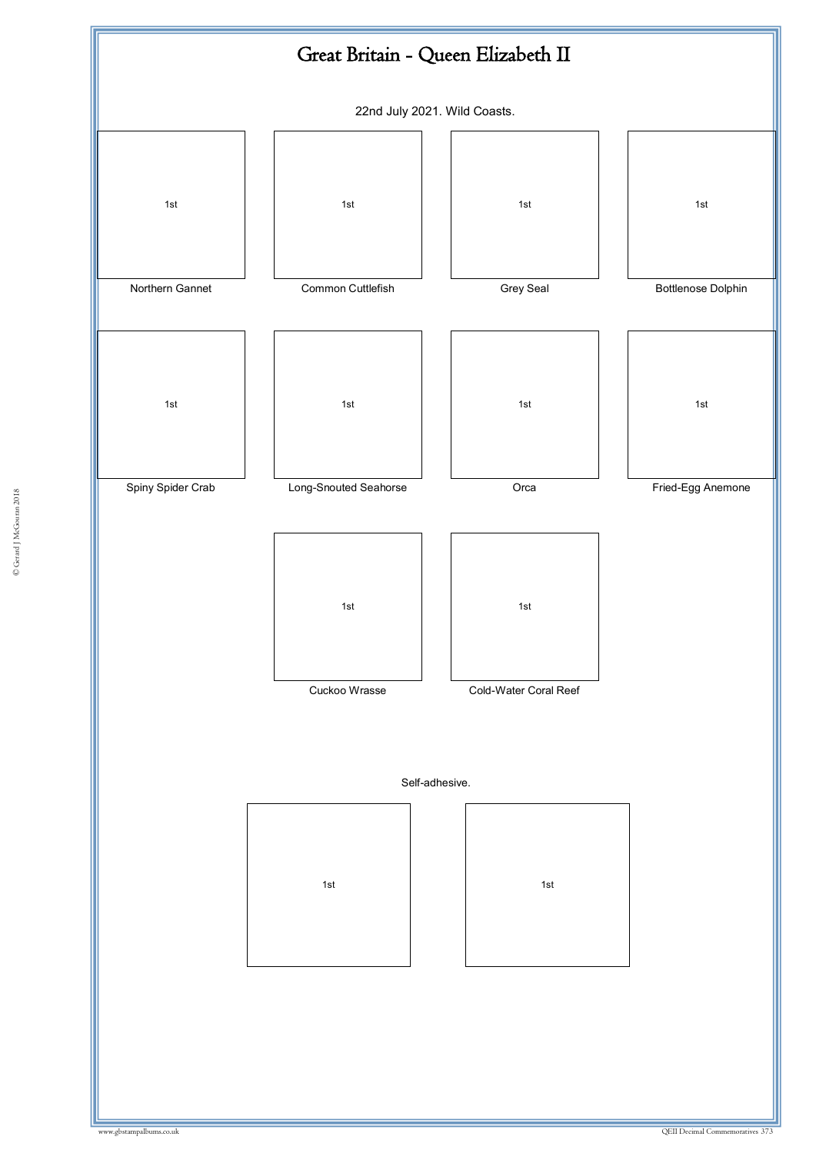![](_page_64_Figure_0.jpeg)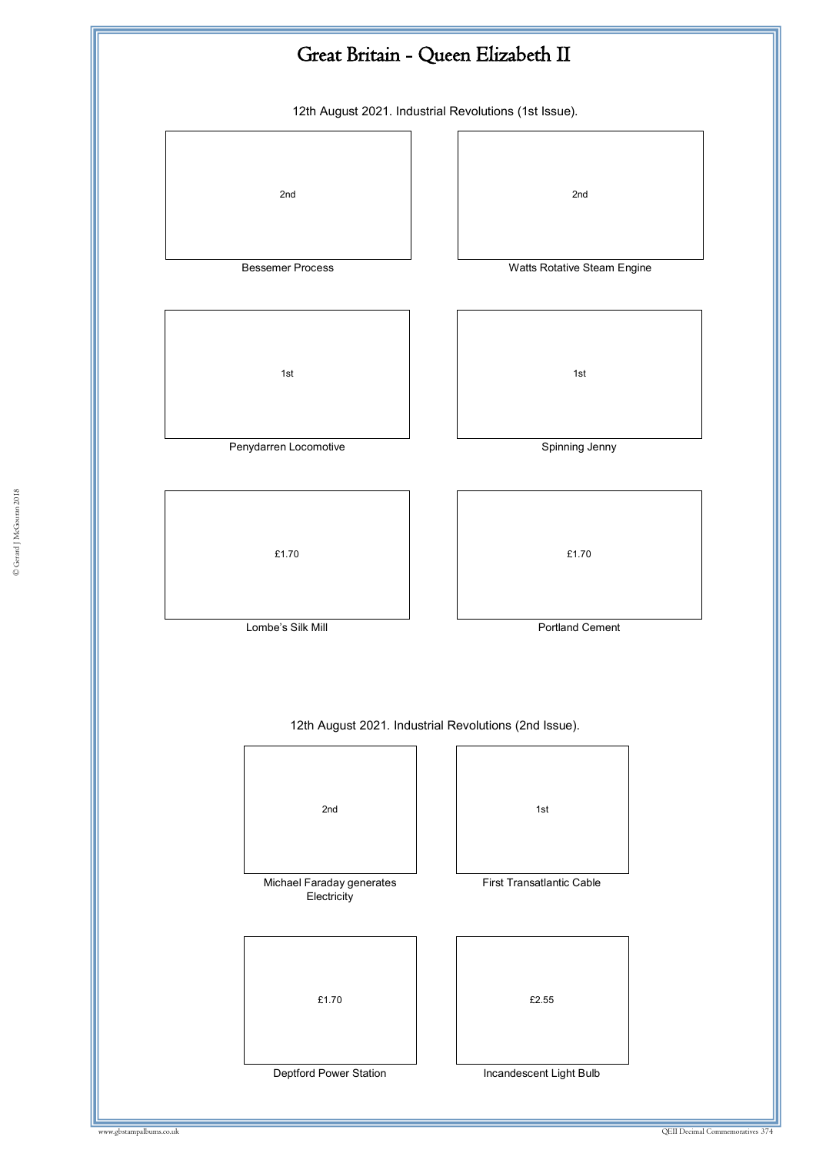![](_page_65_Figure_0.jpeg)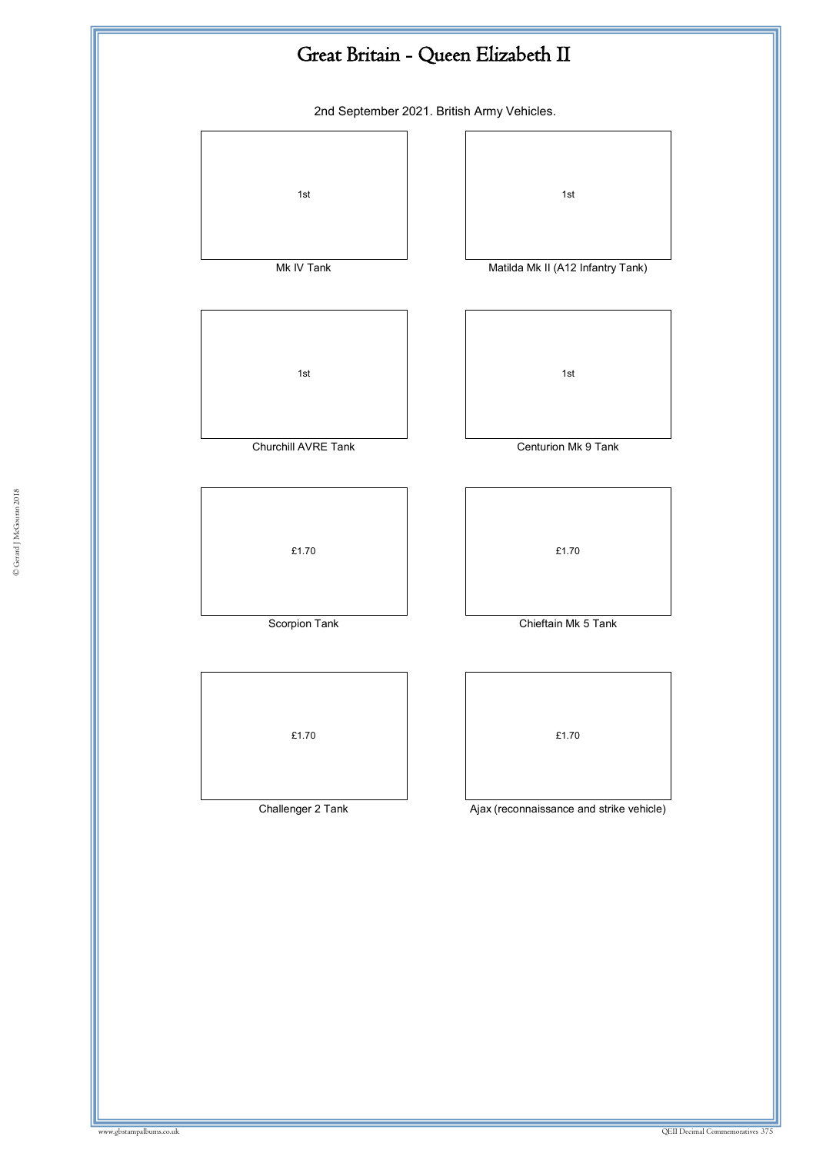![](_page_66_Figure_0.jpeg)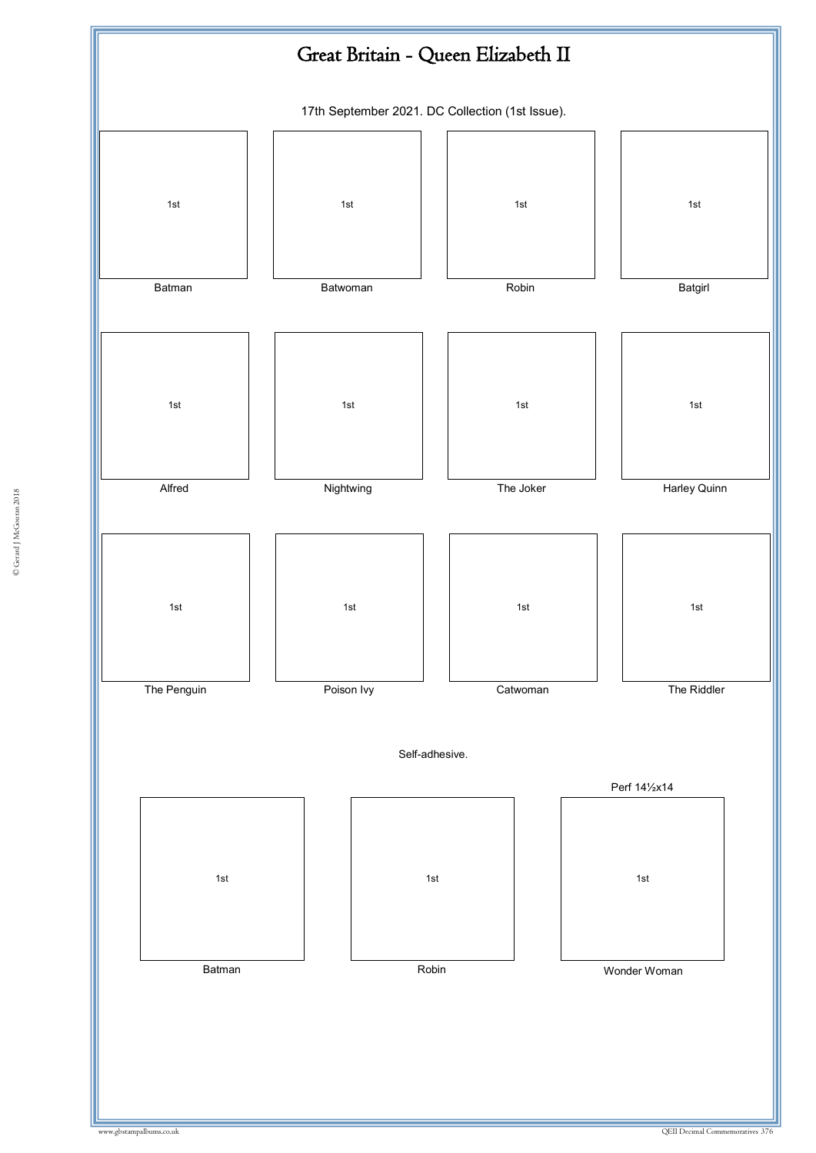![](_page_67_Figure_0.jpeg)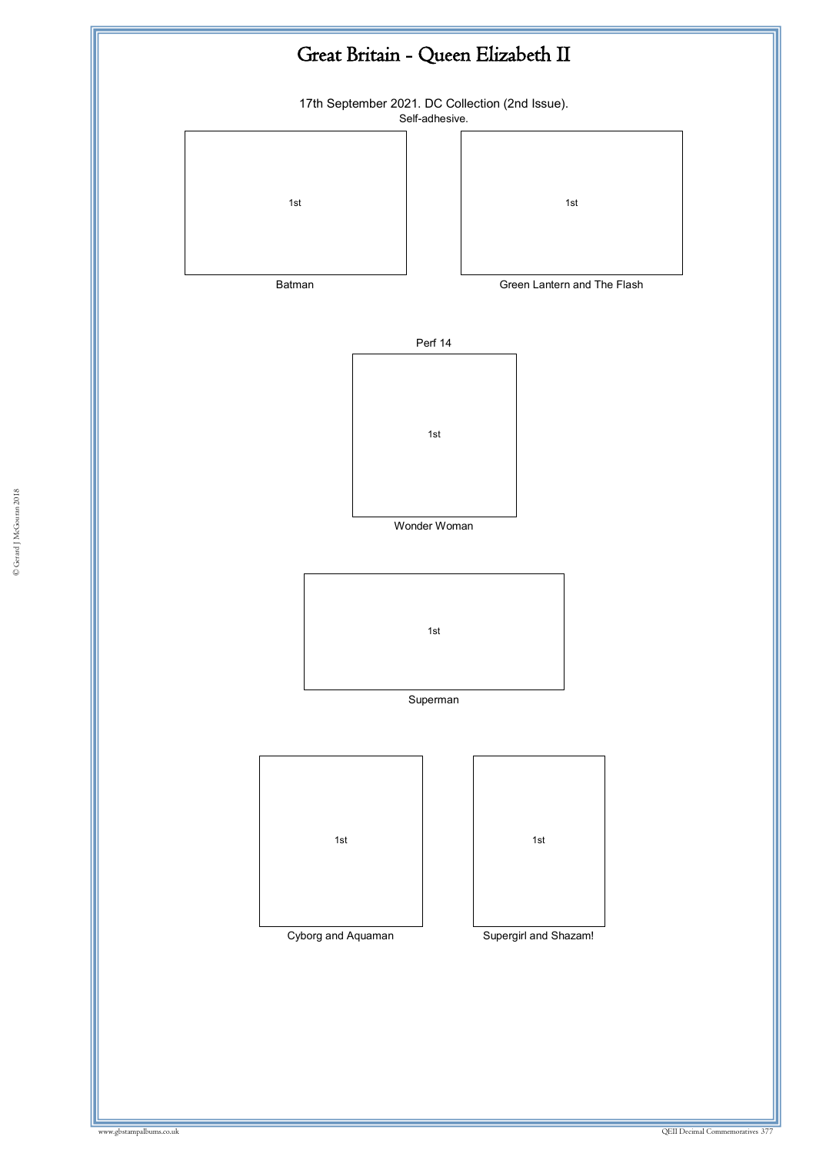![](_page_68_Figure_0.jpeg)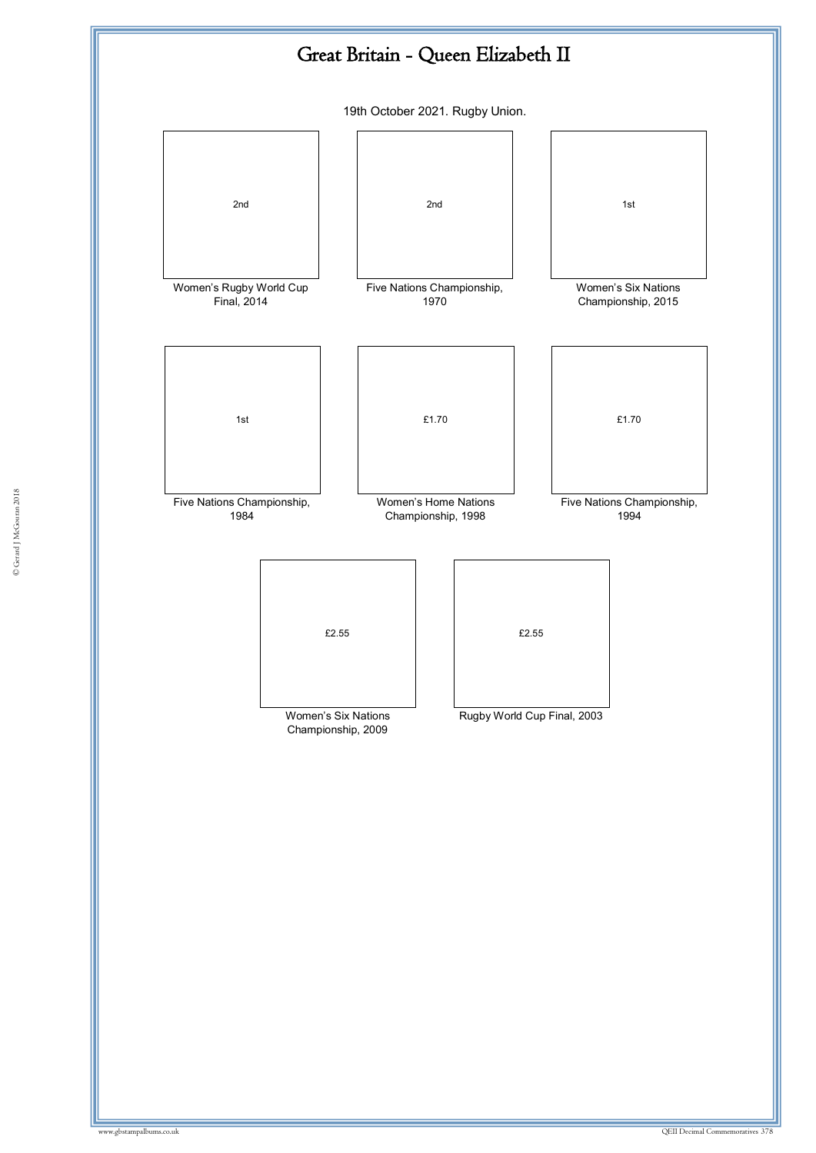![](_page_69_Figure_0.jpeg)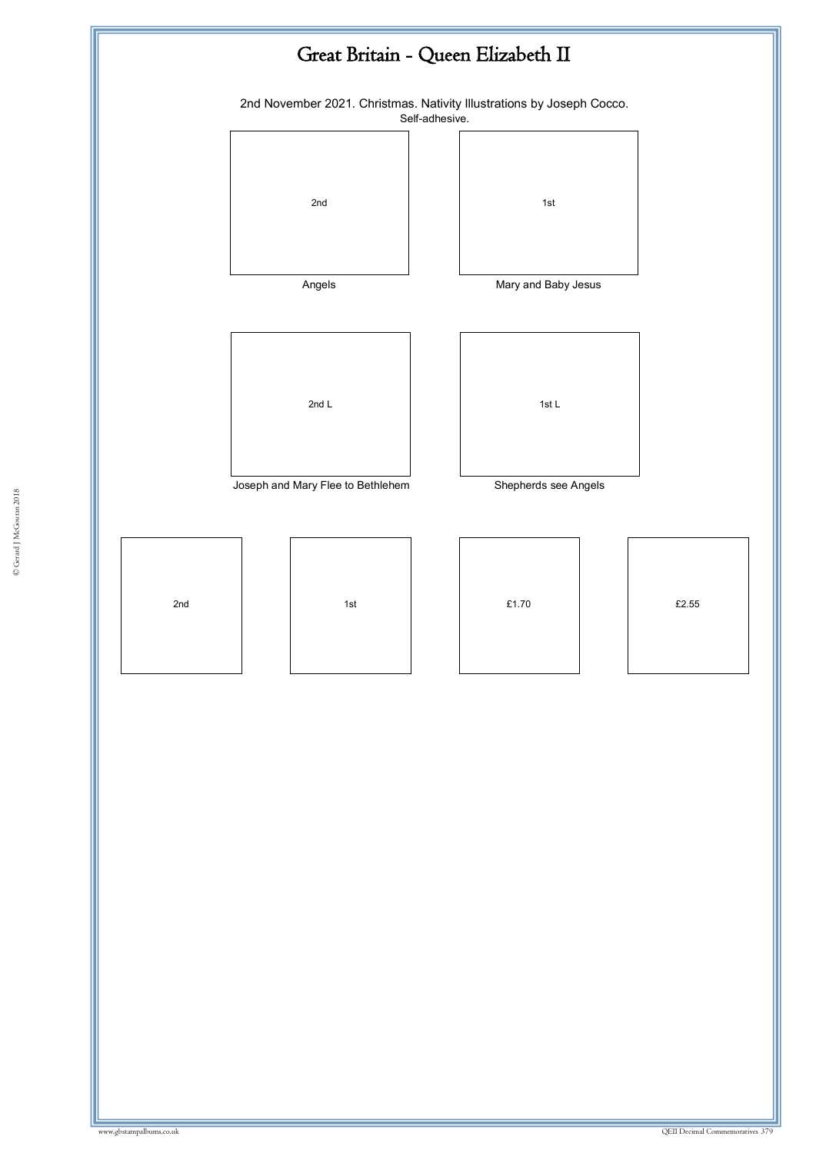![](_page_70_Figure_0.jpeg)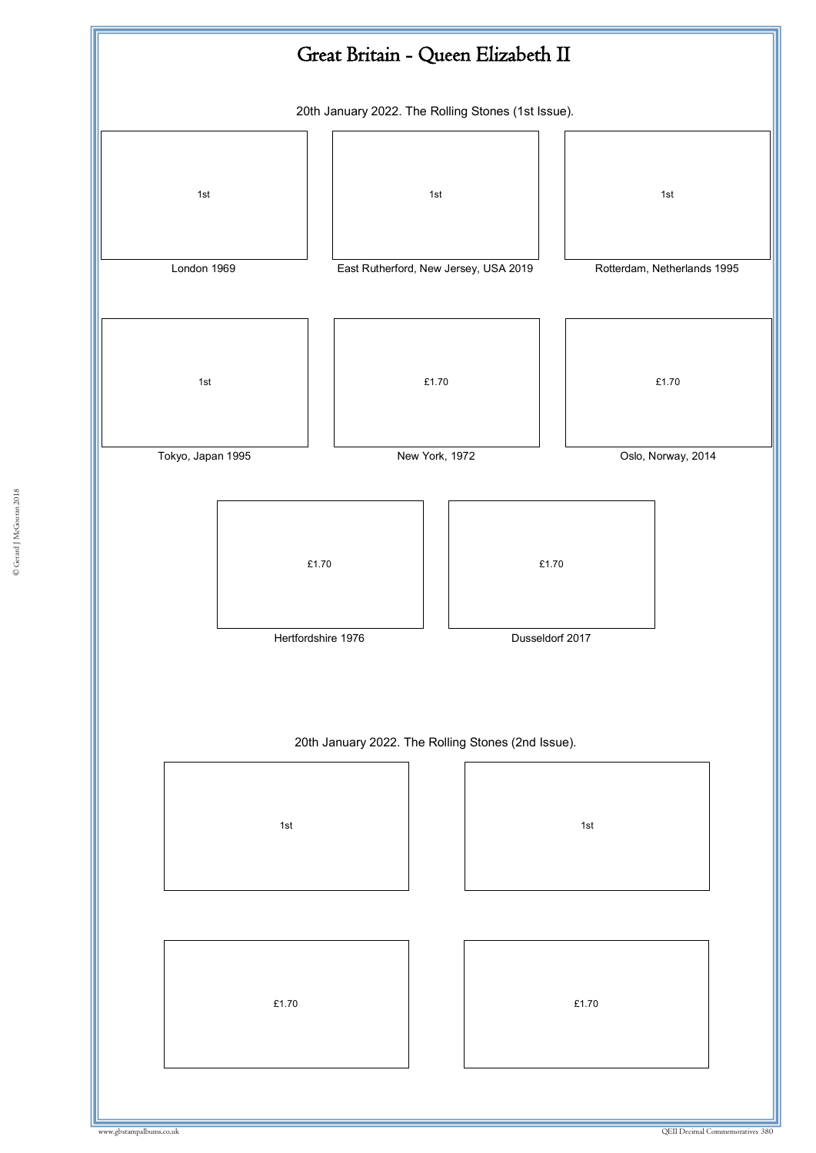![](_page_71_Figure_0.jpeg)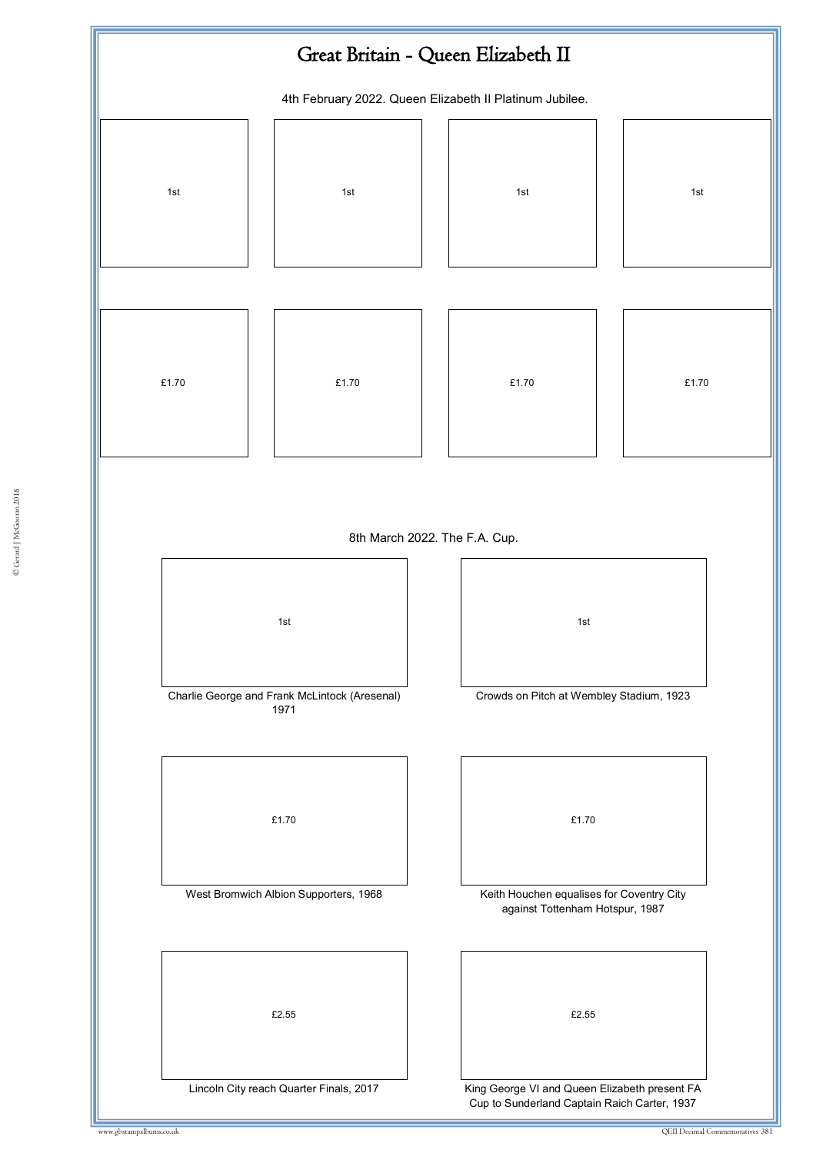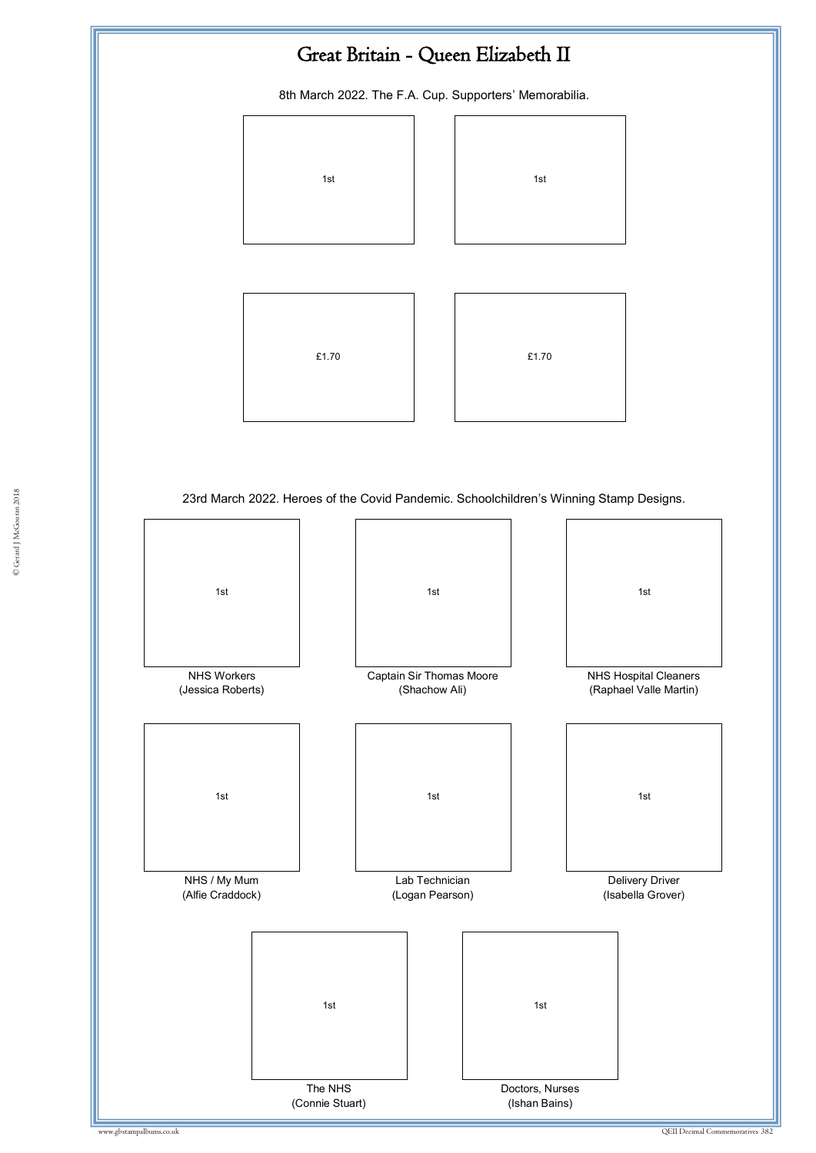## Great Britain - Queen Elizabeth II

8th March 2022. The F.A. Cup. Supporters' Memorabilia.



© Gerard J McGouran 2018 23rd March 2022. Heroes of the Covid Pandemic. Schoolchildren's Winning Stamp Designs.

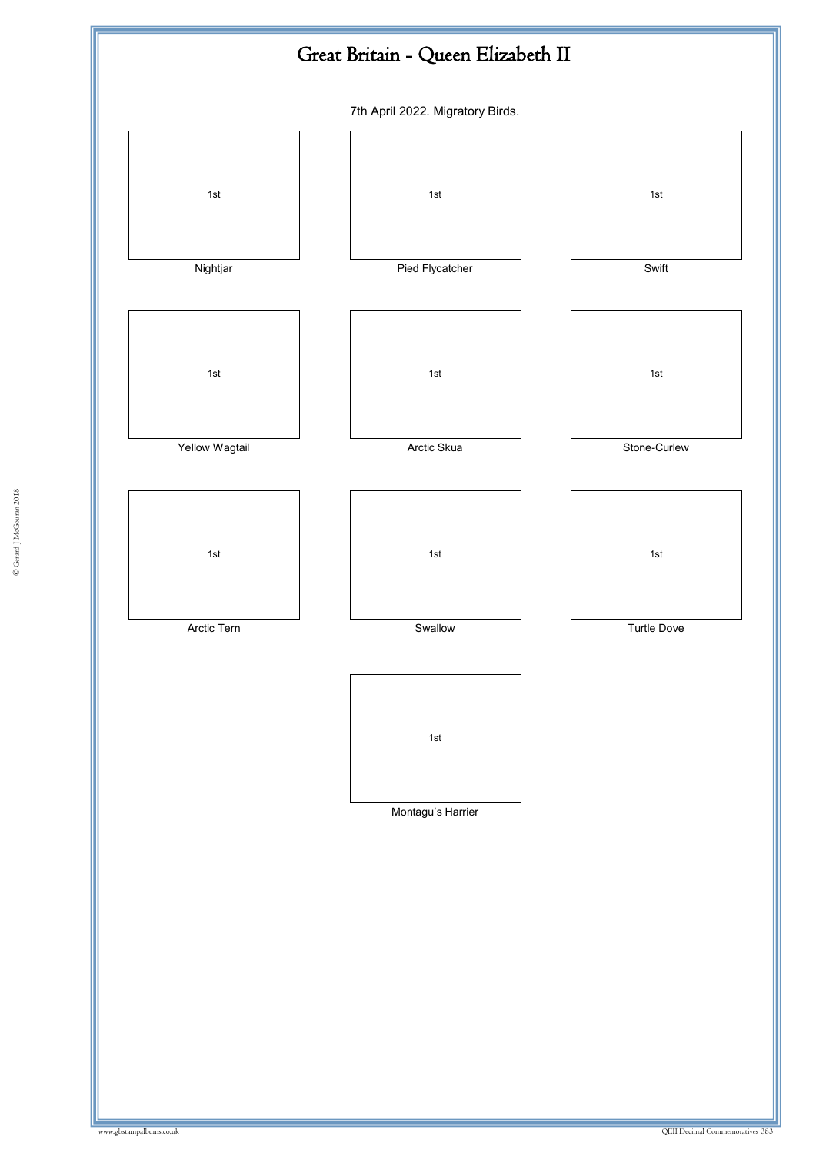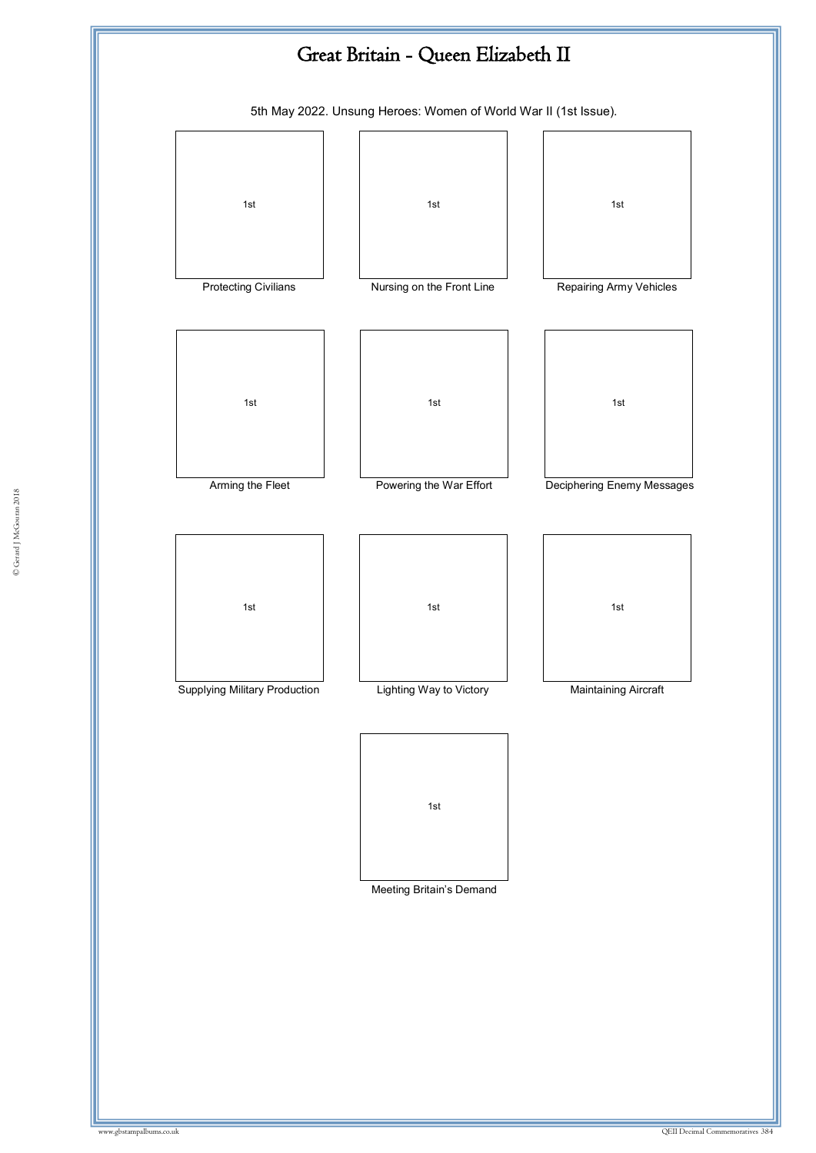